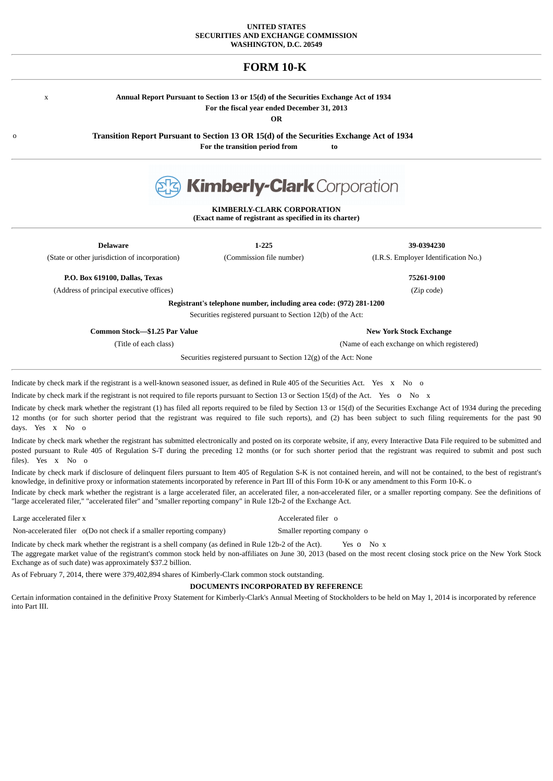#### **UNITED STATES SECURITIES AND EXCHANGE COMMISSION WASHINGTON, D.C. 20549**

# **FORM 10-K**

# x **Annual Report Pursuant to Section 13 or 15(d) of the Securities Exchange Act of 1934 For the fiscal year ended December 31, 2013 OR** o **Transition Report Pursuant to Section 13 OR 15(d) of the Securities Exchange Act of 1934 For the transition period from to Kimberly-Clark** Corporation **KIMBERLY-CLARK CORPORATION (Exact name of registrant as specified in its charter) Delaware 1-225 39-0394230** (State or other jurisdiction of incorporation) (Commission file number) (I.R.S. Employer Identification No.) **P.O. Box 619100, Dallas, Texas 75261-9100** (Address of principal executive offices) (Zip code) **Registrant's telephone number, including area code: (972) 281-1200** Securities registered pursuant to Section 12(b) of the Act: **Common Stock—\$1.25 Par Value New York Stock Exchange** (Title of each class) (Name of each exchange on which registered)

Securities registered pursuant to Section 12(g) of the Act: None

Indicate by check mark if the registrant is a well-known seasoned issuer, as defined in Rule 405 of the Securities Act. Yes x No o

Indicate by check mark if the registrant is not required to file reports pursuant to Section 13 or Section 15(d) of the Act. Yes o No x

Indicate by check mark whether the registrant (1) has filed all reports required to be filed by Section 13 or 15(d) of the Securities Exchange Act of 1934 during the preceding 12 months (or for such shorter period that the registrant was required to file such reports), and (2) has been subject to such filing requirements for the past 90 days. Yes x No o

Indicate by check mark whether the registrant has submitted electronically and posted on its corporate website, if any, every Interactive Data File required to be submitted and posted pursuant to Rule 405 of Regulation S-T during the preceding 12 months (or for such shorter period that the registrant was required to submit and post such files). Yes x No o

Indicate by check mark if disclosure of delinquent filers pursuant to Item 405 of Regulation S-K is not contained herein, and will not be contained, to the best of registrant's knowledge, in definitive proxy or information statements incorporated by reference in Part III of this Form 10-K or any amendment to this Form 10-K. o

Indicate by check mark whether the registrant is a large accelerated filer, an accelerated filer, a non-accelerated filer, or a smaller reporting company. See the definitions of "large accelerated filer," "accelerated filer" and "smaller reporting company" in Rule 12b-2 of the Exchange Act.

Large accelerated filer x Accelerated filer on the Accelerated filer on the Accelerated filer on the Accelerated filer on the Accelerated filer on the Accelerated filer on the Accelerated filer on the Accelerated filer on

Non-accelerated filer o(Do not check if a smaller reporting company) Smaller reporting company o

Indicate by check mark whether the registrant is a shell company (as defined in Rule 12b-2 of the Act). Yes o No x

The aggregate market value of the registrant's common stock held by non-affiliates on June 30, 2013 (based on the most recent closing stock price on the New York Stock Exchange as of such date) was approximately \$37.2 billion.

As of February 7, 2014, there were 379,402,894 shares of Kimberly-Clark common stock outstanding.

#### **DOCUMENTS INCORPORATED BY REFERENCE**

Certain information contained in the definitive Proxy Statement for Kimberly-Clark's Annual Meeting of Stockholders to be held on May 1, 2014 is incorporated by reference into Part III.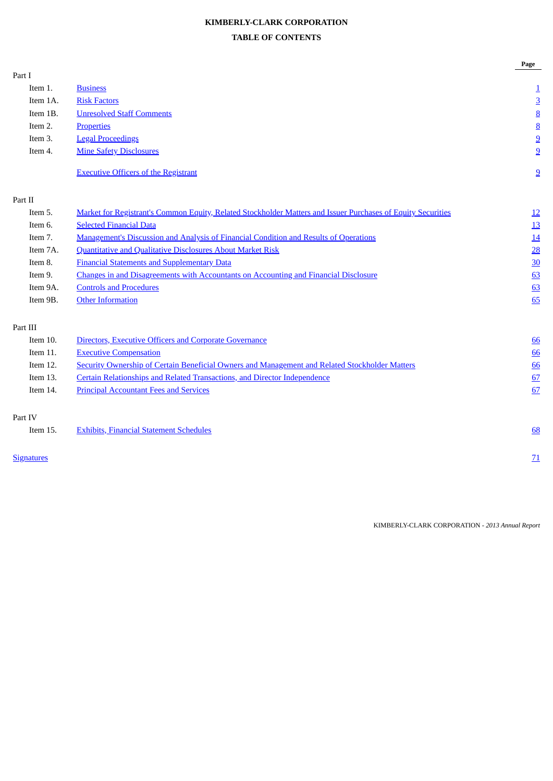# **KIMBERLY-CLARK CORPORATION**

# **TABLE OF CONTENTS**

|                   |                                                                                                              | Page            |
|-------------------|--------------------------------------------------------------------------------------------------------------|-----------------|
| Part I            |                                                                                                              |                 |
| Item 1.           | <b>Business</b>                                                                                              | $\overline{1}$  |
| Item 1A.          | <b>Risk Factors</b>                                                                                          | $\overline{3}$  |
| Item 1B.          | <b>Unresolved Staff Comments</b>                                                                             |                 |
| Item 2.           | <b>Properties</b>                                                                                            | 8<br>8<br>9     |
| Item 3.           | <b>Legal Proceedings</b>                                                                                     |                 |
| Item 4.           | <b>Mine Safety Disclosures</b>                                                                               | $\overline{9}$  |
|                   | <b>Executive Officers of the Registrant</b>                                                                  | $\overline{9}$  |
| Part II           |                                                                                                              |                 |
| Item 5.           | Market for Registrant's Common Equity, Related Stockholder Matters and Issuer Purchases of Equity Securities | 12              |
| Item 6.           | <b>Selected Financial Data</b>                                                                               | <u>13</u>       |
| Item 7.           | Management's Discussion and Analysis of Financial Condition and Results of Operations                        | <u>14</u>       |
| Item 7A.          | <b>Quantitative and Qualitative Disclosures About Market Risk</b>                                            | $\overline{28}$ |
| Item 8.           | <b>Financial Statements and Supplementary Data</b>                                                           | 30              |
| Item 9.           | Changes in and Disagreements with Accountants on Accounting and Financial Disclosure                         | 63              |
| Item 9A.          | <b>Controls and Procedures</b>                                                                               | 63              |
| Item 9B.          | <b>Other Information</b>                                                                                     | 65              |
| Part III          |                                                                                                              |                 |
| Item 10.          | <b>Directors, Executive Officers and Corporate Governance</b>                                                | 66              |
| Item 11.          | <b>Executive Compensation</b>                                                                                | 66              |
| Item 12.          | <b>Security Ownership of Certain Beneficial Owners and Management and Related Stockholder Matters</b>        | 66              |
| Item 13.          | <b>Certain Relationships and Related Transactions, and Director Independence</b>                             | 67              |
| Item 14.          | <b>Principal Accountant Fees and Services</b>                                                                | 67              |
| Part IV           |                                                                                                              |                 |
| Item 15.          | <b>Exhibits, Financial Statement Schedules</b>                                                               | 68              |
| <b>Signatures</b> |                                                                                                              | $\overline{21}$ |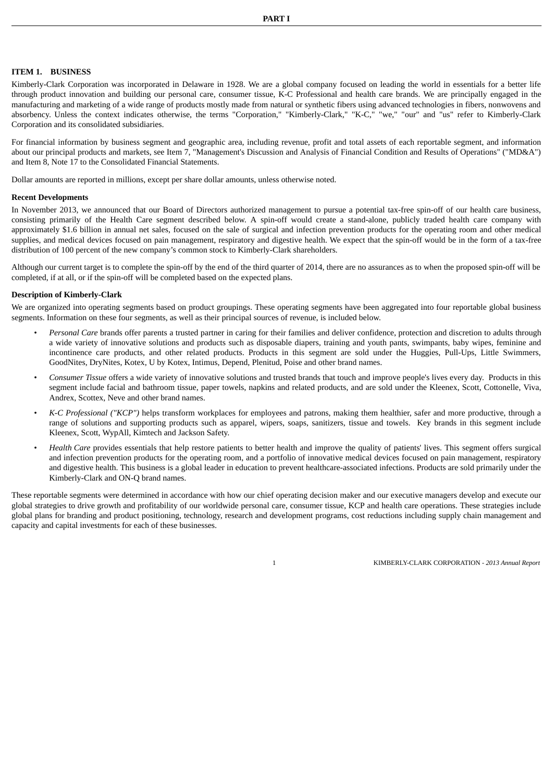#### <span id="page-2-0"></span>**ITEM 1. BUSINESS**

Kimberly-Clark Corporation was incorporated in Delaware in 1928. We are a global company focused on leading the world in essentials for a better life through product innovation and building our personal care, consumer tissue, K-C Professional and health care brands. We are principally engaged in the manufacturing and marketing of a wide range of products mostly made from natural or synthetic fibers using advanced technologies in fibers, nonwovens and absorbency. Unless the context indicates otherwise, the terms "Corporation," "Kimberly-Clark," "K-C," "we," "our" and "us" refer to Kimberly-Clark Corporation and its consolidated subsidiaries.

For financial information by business segment and geographic area, including revenue, profit and total assets of each reportable segment, and information about our principal products and markets, see Item 7, "Management's Discussion and Analysis of Financial Condition and Results of Operations" ("MD&A") and Item 8, Note 17 to the Consolidated Financial Statements.

Dollar amounts are reported in millions, except per share dollar amounts, unless otherwise noted.

#### **Recent Developments**

In November 2013, we announced that our Board of Directors authorized management to pursue a potential tax-free spin-off of our health care business, consisting primarily of the Health Care segment described below. A spin-off would create a stand-alone, publicly traded health care company with approximately \$1.6 billion in annual net sales, focused on the sale of surgical and infection prevention products for the operating room and other medical supplies, and medical devices focused on pain management, respiratory and digestive health. We expect that the spin-off would be in the form of a tax-free distribution of 100 percent of the new company's common stock to Kimberly-Clark shareholders.

Although our current target is to complete the spin-off by the end of the third quarter of 2014, there are no assurances as to when the proposed spin-off will be completed, if at all, or if the spin-off will be completed based on the expected plans.

#### **Description of Kimberly-Clark**

We are organized into operating segments based on product groupings. These operating segments have been aggregated into four reportable global business segments. Information on these four segments, as well as their principal sources of revenue, is included below.

- Personal Care brands offer parents a trusted partner in caring for their families and deliver confidence, protection and discretion to adults through a wide variety of innovative solutions and products such as disposable diapers, training and youth pants, swimpants, baby wipes, feminine and incontinence care products, and other related products. Products in this segment are sold under the Huggies, Pull-Ups, Little Swimmers, GoodNites, DryNites, Kotex, U by Kotex, Intimus, Depend, Plenitud, Poise and other brand names.
- *Consumer Tissue* offers a wide variety of innovative solutions and trusted brands that touch and improve people's lives every day. Products in this segment include facial and bathroom tissue, paper towels, napkins and related products, and are sold under the Kleenex, Scott, Cottonelle, Viva, Andrex, Scottex, Neve and other brand names.
- *K-C Professional ("KCP")* helps transform workplaces for employees and patrons, making them healthier, safer and more productive, through a range of solutions and supporting products such as apparel, wipers, soaps, sanitizers, tissue and towels. Key brands in this segment include Kleenex, Scott, WypAll, Kimtech and Jackson Safety.
- *Health Care* provides essentials that help restore patients to better health and improve the quality of patients' lives. This segment offers surgical and infection prevention products for the operating room, and a portfolio of innovative medical devices focused on pain management, respiratory and digestive health. This business is a global leader in education to prevent healthcare-associated infections. Products are sold primarily under the Kimberly-Clark and ON-Q brand names.

These reportable segments were determined in accordance with how our chief operating decision maker and our executive managers develop and execute our global strategies to drive growth and profitability of our worldwide personal care, consumer tissue, KCP and health care operations. These strategies include global plans for branding and product positioning, technology, research and development programs, cost reductions including supply chain management and capacity and capital investments for each of these businesses.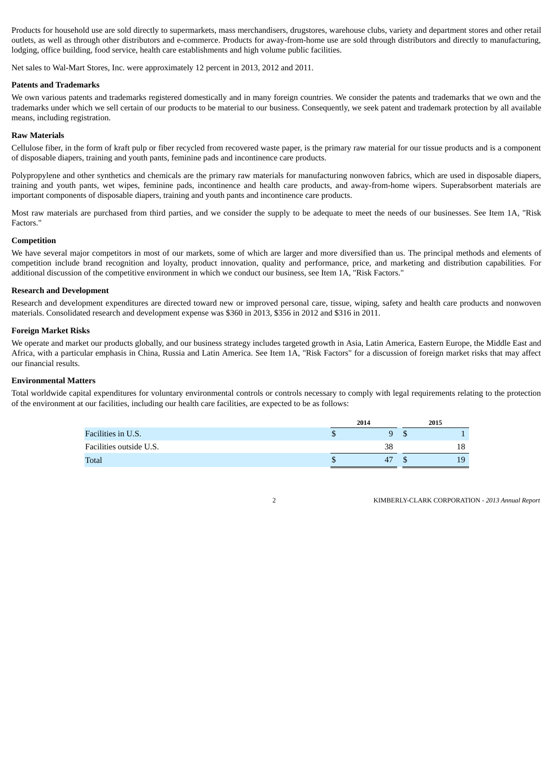Products for household use are sold directly to supermarkets, mass merchandisers, drugstores, warehouse clubs, variety and department stores and other retail outlets, as well as through other distributors and e-commerce. Products for away-from-home use are sold through distributors and directly to manufacturing, lodging, office building, food service, health care establishments and high volume public facilities.

Net sales to Wal-Mart Stores, Inc. were approximately 12 percent in 2013, 2012 and 2011.

#### **Patents and Trademarks**

We own various patents and trademarks registered domestically and in many foreign countries. We consider the patents and trademarks that we own and the trademarks under which we sell certain of our products to be material to our business. Consequently, we seek patent and trademark protection by all available means, including registration.

#### **Raw Materials**

Cellulose fiber, in the form of kraft pulp or fiber recycled from recovered waste paper, is the primary raw material for our tissue products and is a component of disposable diapers, training and youth pants, feminine pads and incontinence care products.

Polypropylene and other synthetics and chemicals are the primary raw materials for manufacturing nonwoven fabrics, which are used in disposable diapers, training and youth pants, wet wipes, feminine pads, incontinence and health care products, and away-from-home wipers. Superabsorbent materials are important components of disposable diapers, training and youth pants and incontinence care products.

Most raw materials are purchased from third parties, and we consider the supply to be adequate to meet the needs of our businesses. See Item 1A, "Risk Factors."

#### **Competition**

We have several major competitors in most of our markets, some of which are larger and more diversified than us. The principal methods and elements of competition include brand recognition and loyalty, product innovation, quality and performance, price, and marketing and distribution capabilities. For additional discussion of the competitive environment in which we conduct our business, see Item 1A, "Risk Factors."

#### **Research and Development**

Research and development expenditures are directed toward new or improved personal care, tissue, wiping, safety and health care products and nonwoven materials. Consolidated research and development expense was \$360 in 2013, \$356 in 2012 and \$316 in 2011.

#### **Foreign Market Risks**

We operate and market our products globally, and our business strategy includes targeted growth in Asia, Latin America, Eastern Europe, the Middle East and Africa, with a particular emphasis in China, Russia and Latin America. See Item 1A, "Risk Factors" for a discussion of foreign market risks that may affect our financial results.

#### **Environmental Matters**

Total worldwide capital expenditures for voluntary environmental controls or controls necessary to comply with legal requirements relating to the protection of the environment at our facilities, including our health care facilities, are expected to be as follows:

|                         |    | 2014 | 2015 |    |  |
|-------------------------|----|------|------|----|--|
| Facilities in U.S.      |    | 9    | Φ    |    |  |
| Facilities outside U.S. |    | 38   |      | 18 |  |
| Total                   | ۰D | 47   |      | 19 |  |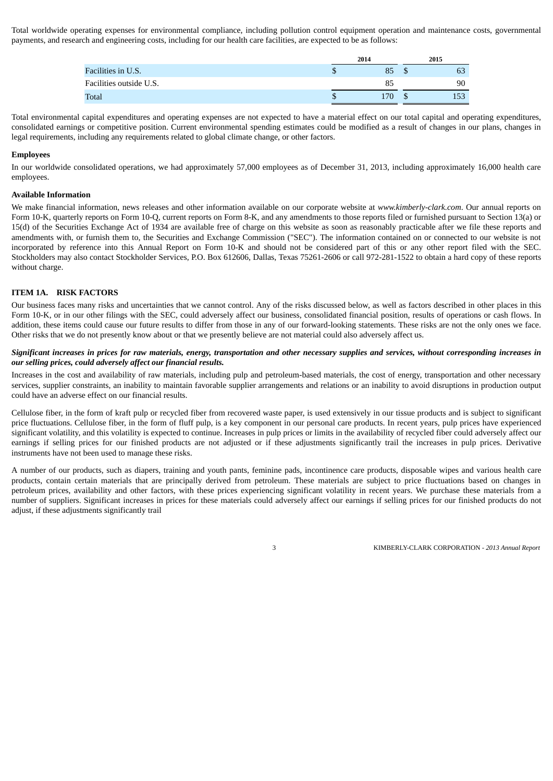Total worldwide operating expenses for environmental compliance, including pollution control equipment operation and maintenance costs, governmental payments, and research and engineering costs, including for our health care facilities, are expected to be as follows:

|                         | 2014 |     | 2015 |     |
|-------------------------|------|-----|------|-----|
| Facilities in U.S.      |      | 85  | ۵D   | 63  |
| Facilities outside U.S. |      | 85  |      | 90  |
| Total                   | Ф    | 170 | ۵D   | 153 |

Total environmental capital expenditures and operating expenses are not expected to have a material effect on our total capital and operating expenditures, consolidated earnings or competitive position. Current environmental spending estimates could be modified as a result of changes in our plans, changes in legal requirements, including any requirements related to global climate change, or other factors.

#### **Employees**

In our worldwide consolidated operations, we had approximately 57,000 employees as of December 31, 2013, including approximately 16,000 health care employees.

#### **Available Information**

We make financial information, news releases and other information available on our corporate website at *www.kimberly-clark.com*. Our annual reports on Form 10-K, quarterly reports on Form 10-Q, current reports on Form 8-K, and any amendments to those reports filed or furnished pursuant to Section 13(a) or 15(d) of the Securities Exchange Act of 1934 are available free of charge on this website as soon as reasonably practicable after we file these reports and amendments with, or furnish them to, the Securities and Exchange Commission ("SEC"). The information contained on or connected to our website is not incorporated by reference into this Annual Report on Form 10-K and should not be considered part of this or any other report filed with the SEC. Stockholders may also contact Stockholder Services, P.O. Box 612606, Dallas, Texas 75261-2606 or call 972-281-1522 to obtain a hard copy of these reports without charge.

#### <span id="page-4-0"></span>**ITEM 1A. RISK FACTORS**

Our business faces many risks and uncertainties that we cannot control. Any of the risks discussed below, as well as factors described in other places in this Form 10-K, or in our other filings with the SEC, could adversely affect our business, consolidated financial position, results of operations or cash flows. In addition, these items could cause our future results to differ from those in any of our forward-looking statements. These risks are not the only ones we face. Other risks that we do not presently know about or that we presently believe are not material could also adversely affect us.

#### Significant increases in prices for raw materials, energy, transportation and other necessary supplies and services, without corresponding increases in *our selling prices, could adversely affect our financial results.*

Increases in the cost and availability of raw materials, including pulp and petroleum-based materials, the cost of energy, transportation and other necessary services, supplier constraints, an inability to maintain favorable supplier arrangements and relations or an inability to avoid disruptions in production output could have an adverse effect on our financial results.

Cellulose fiber, in the form of kraft pulp or recycled fiber from recovered waste paper, is used extensively in our tissue products and is subject to significant price fluctuations. Cellulose fiber, in the form of fluff pulp, is a key component in our personal care products. In recent years, pulp prices have experienced significant volatility, and this volatility is expected to continue. Increases in pulp prices or limits in the availability of recycled fiber could adversely affect our earnings if selling prices for our finished products are not adjusted or if these adjustments significantly trail the increases in pulp prices. Derivative instruments have not been used to manage these risks.

A number of our products, such as diapers, training and youth pants, feminine pads, incontinence care products, disposable wipes and various health care products, contain certain materials that are principally derived from petroleum. These materials are subject to price fluctuations based on changes in petroleum prices, availability and other factors, with these prices experiencing significant volatility in recent years. We purchase these materials from a number of suppliers. Significant increases in prices for these materials could adversely affect our earnings if selling prices for our finished products do not adjust, if these adjustments significantly trail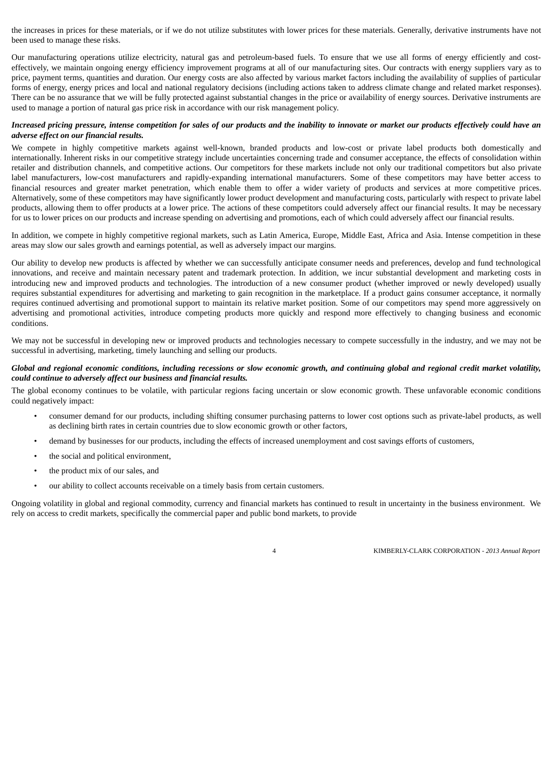the increases in prices for these materials, or if we do not utilize substitutes with lower prices for these materials. Generally, derivative instruments have not been used to manage these risks.

Our manufacturing operations utilize electricity, natural gas and petroleum-based fuels. To ensure that we use all forms of energy efficiently and costeffectively, we maintain ongoing energy efficiency improvement programs at all of our manufacturing sites. Our contracts with energy suppliers vary as to price, payment terms, quantities and duration. Our energy costs are also affected by various market factors including the availability of supplies of particular forms of energy, energy prices and local and national regulatory decisions (including actions taken to address climate change and related market responses). There can be no assurance that we will be fully protected against substantial changes in the price or availability of energy sources. Derivative instruments are used to manage a portion of natural gas price risk in accordance with our risk management policy.

#### Increased pricing pressure, intense competition for sales of our products and the inability to innovate or market our products effectively could have an *adverse effect on our financial results.*

We compete in highly competitive markets against well-known, branded products and low-cost or private label products both domestically and internationally. Inherent risks in our competitive strategy include uncertainties concerning trade and consumer acceptance, the effects of consolidation within retailer and distribution channels, and competitive actions. Our competitors for these markets include not only our traditional competitors but also private label manufacturers, low-cost manufacturers and rapidly-expanding international manufacturers. Some of these competitors may have better access to financial resources and greater market penetration, which enable them to offer a wider variety of products and services at more competitive prices. Alternatively, some of these competitors may have significantly lower product development and manufacturing costs, particularly with respect to private label products, allowing them to offer products at a lower price. The actions of these competitors could adversely affect our financial results. It may be necessary for us to lower prices on our products and increase spending on advertising and promotions, each of which could adversely affect our financial results.

In addition, we compete in highly competitive regional markets, such as Latin America, Europe, Middle East, Africa and Asia. Intense competition in these areas may slow our sales growth and earnings potential, as well as adversely impact our margins.

Our ability to develop new products is affected by whether we can successfully anticipate consumer needs and preferences, develop and fund technological innovations, and receive and maintain necessary patent and trademark protection. In addition, we incur substantial development and marketing costs in introducing new and improved products and technologies. The introduction of a new consumer product (whether improved or newly developed) usually requires substantial expenditures for advertising and marketing to gain recognition in the marketplace. If a product gains consumer acceptance, it normally requires continued advertising and promotional support to maintain its relative market position. Some of our competitors may spend more aggressively on advertising and promotional activities, introduce competing products more quickly and respond more effectively to changing business and economic conditions.

We may not be successful in developing new or improved products and technologies necessary to compete successfully in the industry, and we may not be successful in advertising, marketing, timely launching and selling our products.

#### Global and regional economic conditions, including recessions or slow economic growth, and continuing global and regional credit market volatility, *could continue to adversely affect our business and financial results.*

The global economy continues to be volatile, with particular regions facing uncertain or slow economic growth. These unfavorable economic conditions could negatively impact:

- consumer demand for our products, including shifting consumer purchasing patterns to lower cost options such as private-label products, as well as declining birth rates in certain countries due to slow economic growth or other factors,
- demand by businesses for our products, including the effects of increased unemployment and cost savings efforts of customers,
- the social and political environment,
- the product mix of our sales, and
- our ability to collect accounts receivable on a timely basis from certain customers.

Ongoing volatility in global and regional commodity, currency and financial markets has continued to result in uncertainty in the business environment. We rely on access to credit markets, specifically the commercial paper and public bond markets, to provide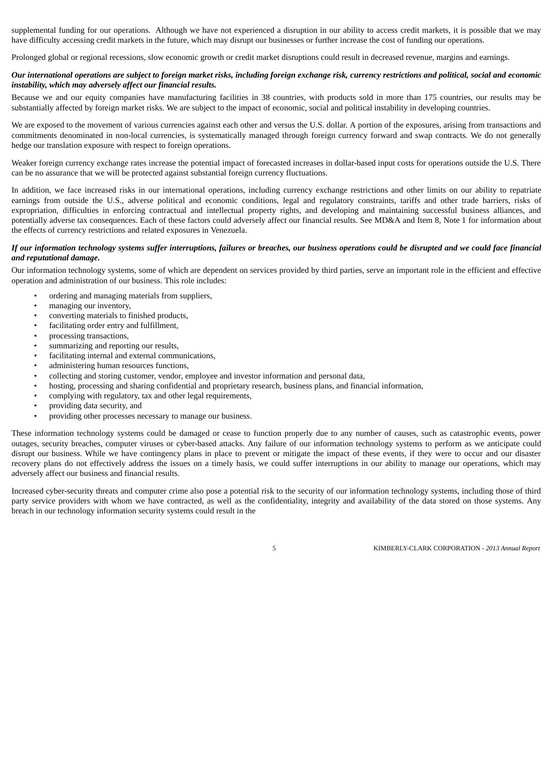supplemental funding for our operations. Although we have not experienced a disruption in our ability to access credit markets, it is possible that we may have difficulty accessing credit markets in the future, which may disrupt our businesses or further increase the cost of funding our operations.

Prolonged global or regional recessions, slow economic growth or credit market disruptions could result in decreased revenue, margins and earnings.

#### Our international operations are subject to foreign market risks, including foreign exchange risk, currency restrictions and political, social and economic *instability, which may adversely affect our financial results.*

Because we and our equity companies have manufacturing facilities in 38 countries, with products sold in more than 175 countries, our results may be substantially affected by foreign market risks. We are subject to the impact of economic, social and political instability in developing countries.

We are exposed to the movement of various currencies against each other and versus the U.S. dollar. A portion of the exposures, arising from transactions and commitments denominated in non-local currencies, is systematically managed through foreign currency forward and swap contracts. We do not generally hedge our translation exposure with respect to foreign operations.

Weaker foreign currency exchange rates increase the potential impact of forecasted increases in dollar-based input costs for operations outside the U.S. There can be no assurance that we will be protected against substantial foreign currency fluctuations.

In addition, we face increased risks in our international operations, including currency exchange restrictions and other limits on our ability to repatriate earnings from outside the U.S., adverse political and economic conditions, legal and regulatory constraints, tariffs and other trade barriers, risks of expropriation, difficulties in enforcing contractual and intellectual property rights, and developing and maintaining successful business alliances, and potentially adverse tax consequences. Each of these factors could adversely affect our financial results. See MD&A and Item 8, Note 1 for information about the effects of currency restrictions and related exposures in Venezuela.

#### If our information technology systems suffer interruptions, failures or breaches, our business operations could be disrupted and we could face financial *and reputational damage.*

Our information technology systems, some of which are dependent on services provided by third parties, serve an important role in the efficient and effective operation and administration of our business. This role includes:

- ordering and managing materials from suppliers,
- managing our inventory,
- converting materials to finished products,
- facilitating order entry and fulfillment,
- processing transactions,
- summarizing and reporting our results,
- facilitating internal and external communications,
- administering human resources functions,
- collecting and storing customer, vendor, employee and investor information and personal data,
- hosting, processing and sharing confidential and proprietary research, business plans, and financial information,
- complying with regulatory, tax and other legal requirements,
- providing data security, and
- providing other processes necessary to manage our business.

These information technology systems could be damaged or cease to function properly due to any number of causes, such as catastrophic events, power outages, security breaches, computer viruses or cyber-based attacks. Any failure of our information technology systems to perform as we anticipate could disrupt our business. While we have contingency plans in place to prevent or mitigate the impact of these events, if they were to occur and our disaster recovery plans do not effectively address the issues on a timely basis, we could suffer interruptions in our ability to manage our operations, which may adversely affect our business and financial results.

Increased cyber-security threats and computer crime also pose a potential risk to the security of our information technology systems, including those of third party service providers with whom we have contracted, as well as the confidentiality, integrity and availability of the data stored on those systems. Any breach in our technology information security systems could result in the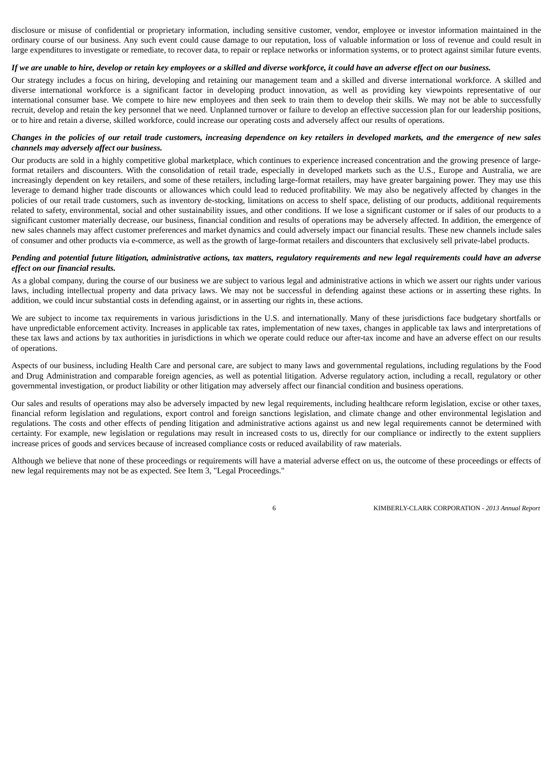disclosure or misuse of confidential or proprietary information, including sensitive customer, vendor, employee or investor information maintained in the ordinary course of our business. Any such event could cause damage to our reputation, loss of valuable information or loss of revenue and could result in large expenditures to investigate or remediate, to recover data, to repair or replace networks or information systems, or to protect against similar future events.

#### If we are unable to hire, develop or retain key employees or a skilled and diverse workforce, it could have an adverse effect on our business.

Our strategy includes a focus on hiring, developing and retaining our management team and a skilled and diverse international workforce. A skilled and diverse international workforce is a significant factor in developing product innovation, as well as providing key viewpoints representative of our international consumer base. We compete to hire new employees and then seek to train them to develop their skills. We may not be able to successfully recruit, develop and retain the key personnel that we need. Unplanned turnover or failure to develop an effective succession plan for our leadership positions, or to hire and retain a diverse, skilled workforce, could increase our operating costs and adversely affect our results of operations.

#### Changes in the policies of our retail trade customers, increasing dependence on key retailers in developed markets, and the emergence of new sales *channels may adversely affect our business.*

Our products are sold in a highly competitive global marketplace, which continues to experience increased concentration and the growing presence of largeformat retailers and discounters. With the consolidation of retail trade, especially in developed markets such as the U.S., Europe and Australia, we are increasingly dependent on key retailers, and some of these retailers, including large-format retailers, may have greater bargaining power. They may use this leverage to demand higher trade discounts or allowances which could lead to reduced profitability. We may also be negatively affected by changes in the policies of our retail trade customers, such as inventory de-stocking, limitations on access to shelf space, delisting of our products, additional requirements related to safety, environmental, social and other sustainability issues, and other conditions. If we lose a significant customer or if sales of our products to a significant customer materially decrease, our business, financial condition and results of operations may be adversely affected. In addition, the emergence of new sales channels may affect customer preferences and market dynamics and could adversely impact our financial results. These new channels include sales of consumer and other products via e-commerce, as well as the growth of large-format retailers and discounters that exclusively sell private-label products.

#### Pending and potential future litigation, administrative actions, tax matters, regulatory requirements and new legal requirements could have an adverse *effect on our financial results.*

As a global company, during the course of our business we are subject to various legal and administrative actions in which we assert our rights under various laws, including intellectual property and data privacy laws. We may not be successful in defending against these actions or in asserting these rights. In addition, we could incur substantial costs in defending against, or in asserting our rights in, these actions.

We are subject to income tax requirements in various jurisdictions in the U.S. and internationally. Many of these jurisdictions face budgetary shortfalls or have unpredictable enforcement activity. Increases in applicable tax rates, implementation of new taxes, changes in applicable tax laws and interpretations of these tax laws and actions by tax authorities in jurisdictions in which we operate could reduce our after-tax income and have an adverse effect on our results of operations.

Aspects of our business, including Health Care and personal care, are subject to many laws and governmental regulations, including regulations by the Food and Drug Administration and comparable foreign agencies, as well as potential litigation. Adverse regulatory action, including a recall, regulatory or other governmental investigation, or product liability or other litigation may adversely affect our financial condition and business operations.

Our sales and results of operations may also be adversely impacted by new legal requirements, including healthcare reform legislation, excise or other taxes, financial reform legislation and regulations, export control and foreign sanctions legislation, and climate change and other environmental legislation and regulations. The costs and other effects of pending litigation and administrative actions against us and new legal requirements cannot be determined with certainty. For example, new legislation or regulations may result in increased costs to us, directly for our compliance or indirectly to the extent suppliers increase prices of goods and services because of increased compliance costs or reduced availability of raw materials.

Although we believe that none of these proceedings or requirements will have a material adverse effect on us, the outcome of these proceedings or effects of new legal requirements may not be as expected. See Item 3, "Legal Proceedings."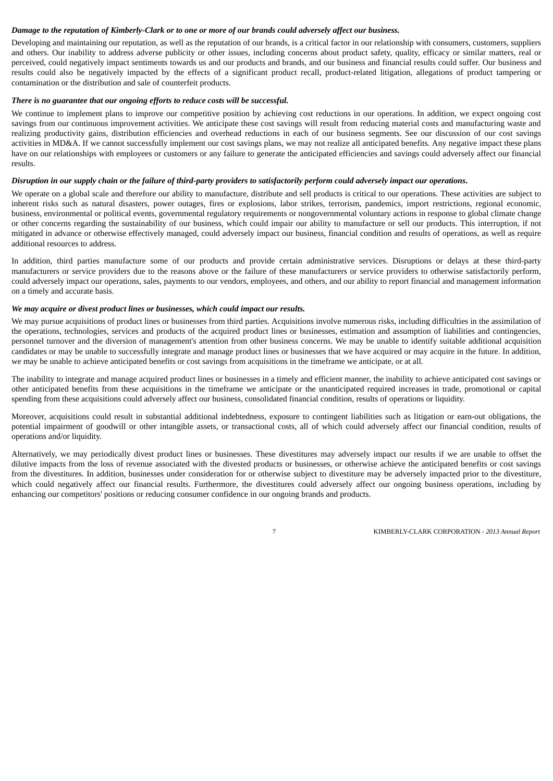#### Damage to the reputation of Kimberly-Clark or to one or more of our brands could adversely affect our business.

Developing and maintaining our reputation, as well as the reputation of our brands, is a critical factor in our relationship with consumers, customers, suppliers and others. Our inability to address adverse publicity or other issues, including concerns about product safety, quality, efficacy or similar matters, real or perceived, could negatively impact sentiments towards us and our products and brands, and our business and financial results could suffer. Our business and results could also be negatively impacted by the effects of a significant product recall, product-related litigation, allegations of product tampering or contamination or the distribution and sale of counterfeit products.

#### *There is no guarantee that our ongoing efforts to reduce costs will be successful.*

We continue to implement plans to improve our competitive position by achieving cost reductions in our operations. In addition, we expect ongoing cost savings from our continuous improvement activities. We anticipate these cost savings will result from reducing material costs and manufacturing waste and realizing productivity gains, distribution efficiencies and overhead reductions in each of our business segments. See our discussion of our cost savings activities in MD&A. If we cannot successfully implement our cost savings plans, we may not realize all anticipated benefits. Any negative impact these plans have on our relationships with employees or customers or any failure to generate the anticipated efficiencies and savings could adversely affect our financial results.

#### Disruption in our supply chain or the failure of third-party providers to satisfactorily perform could adversely impact our operations.

We operate on a global scale and therefore our ability to manufacture, distribute and sell products is critical to our operations. These activities are subject to inherent risks such as natural disasters, power outages, fires or explosions, labor strikes, terrorism, pandemics, import restrictions, regional economic, business, environmental or political events, governmental regulatory requirements or nongovernmental voluntary actions in response to global climate change or other concerns regarding the sustainability of our business, which could impair our ability to manufacture or sell our products. This interruption, if not mitigated in advance or otherwise effectively managed, could adversely impact our business, financial condition and results of operations, as well as require additional resources to address.

In addition, third parties manufacture some of our products and provide certain administrative services. Disruptions or delays at these third-party manufacturers or service providers due to the reasons above or the failure of these manufacturers or service providers to otherwise satisfactorily perform, could adversely impact our operations, sales, payments to our vendors, employees, and others, and our ability to report financial and management information on a timely and accurate basis.

#### *We may acquire or divest product lines or businesses, which could impact our results.*

We may pursue acquisitions of product lines or businesses from third parties. Acquisitions involve numerous risks, including difficulties in the assimilation of the operations, technologies, services and products of the acquired product lines or businesses, estimation and assumption of liabilities and contingencies, personnel turnover and the diversion of management's attention from other business concerns. We may be unable to identify suitable additional acquisition candidates or may be unable to successfully integrate and manage product lines or businesses that we have acquired or may acquire in the future. In addition, we may be unable to achieve anticipated benefits or cost savings from acquisitions in the timeframe we anticipate, or at all.

The inability to integrate and manage acquired product lines or businesses in a timely and efficient manner, the inability to achieve anticipated cost savings or other anticipated benefits from these acquisitions in the timeframe we anticipate or the unanticipated required increases in trade, promotional or capital spending from these acquisitions could adversely affect our business, consolidated financial condition, results of operations or liquidity.

Moreover, acquisitions could result in substantial additional indebtedness, exposure to contingent liabilities such as litigation or earn-out obligations, the potential impairment of goodwill or other intangible assets, or transactional costs, all of which could adversely affect our financial condition, results of operations and/or liquidity.

Alternatively, we may periodically divest product lines or businesses. These divestitures may adversely impact our results if we are unable to offset the dilutive impacts from the loss of revenue associated with the divested products or businesses, or otherwise achieve the anticipated benefits or cost savings from the divestitures. In addition, businesses under consideration for or otherwise subject to divestiture may be adversely impacted prior to the divestiture, which could negatively affect our financial results. Furthermore, the divestitures could adversely affect our ongoing business operations, including by enhancing our competitors' positions or reducing consumer confidence in our ongoing brands and products.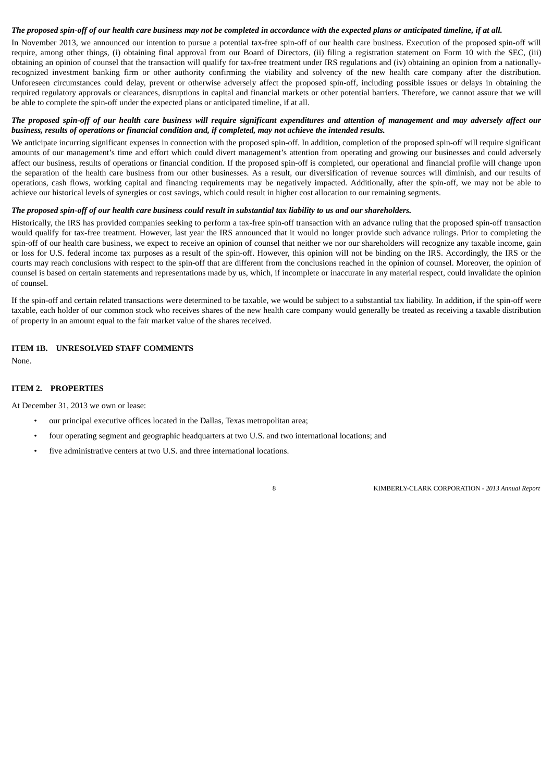#### The proposed spin-off of our health care business may not be completed in accordance with the expected plans or anticipated timeline, if at all.

In November 2013, we announced our intention to pursue a potential tax-free spin-off of our health care business. Execution of the proposed spin-off will require, among other things, (i) obtaining final approval from our Board of Directors, (ii) filing a registration statement on Form 10 with the SEC, (iii) obtaining an opinion of counsel that the transaction will qualify for tax-free treatment under IRS regulations and (iv) obtaining an opinion from a nationallyrecognized investment banking firm or other authority confirming the viability and solvency of the new health care company after the distribution. Unforeseen circumstances could delay, prevent or otherwise adversely affect the proposed spin-off, including possible issues or delays in obtaining the required regulatory approvals or clearances, disruptions in capital and financial markets or other potential barriers. Therefore, we cannot assure that we will be able to complete the spin-off under the expected plans or anticipated timeline, if at all.

#### The proposed spin-off of our health care business will require significant expenditures and attention of management and may adversely affect our *business, results of operations or financial condition and, if completed, may not achieve the intended results.*

We anticipate incurring significant expenses in connection with the proposed spin-off. In addition, completion of the proposed spin-off will require significant amounts of our management's time and effort which could divert management's attention from operating and growing our businesses and could adversely affect our business, results of operations or financial condition. If the proposed spin-off is completed, our operational and financial profile will change upon the separation of the health care business from our other businesses. As a result, our diversification of revenue sources will diminish, and our results of operations, cash flows, working capital and financing requirements may be negatively impacted. Additionally, after the spin-off, we may not be able to achieve our historical levels of synergies or cost savings, which could result in higher cost allocation to our remaining segments.

#### The proposed spin-off of our health care business could result in substantial tax liability to us and our shareholders.

Historically, the IRS has provided companies seeking to perform a tax-free spin-off transaction with an advance ruling that the proposed spin-off transaction would qualify for tax-free treatment. However, last year the IRS announced that it would no longer provide such advance rulings. Prior to completing the spin-off of our health care business, we expect to receive an opinion of counsel that neither we nor our shareholders will recognize any taxable income, gain or loss for U.S. federal income tax purposes as a result of the spin-off. However, this opinion will not be binding on the IRS. Accordingly, the IRS or the courts may reach conclusions with respect to the spin-off that are different from the conclusions reached in the opinion of counsel. Moreover, the opinion of counsel is based on certain statements and representations made by us, which, if incomplete or inaccurate in any material respect, could invalidate the opinion of counsel.

If the spin-off and certain related transactions were determined to be taxable, we would be subject to a substantial tax liability. In addition, if the spin-off were taxable, each holder of our common stock who receives shares of the new health care company would generally be treated as receiving a taxable distribution of property in an amount equal to the fair market value of the shares received.

#### <span id="page-9-0"></span>**ITEM 1B. UNRESOLVED STAFF COMMENTS**

None.

### <span id="page-9-1"></span>**ITEM 2. PROPERTIES**

At December 31, 2013 we own or lease:

- our principal executive offices located in the Dallas, Texas metropolitan area;
- four operating segment and geographic headquarters at two U.S. and two international locations; and
- five administrative centers at two U.S. and three international locations.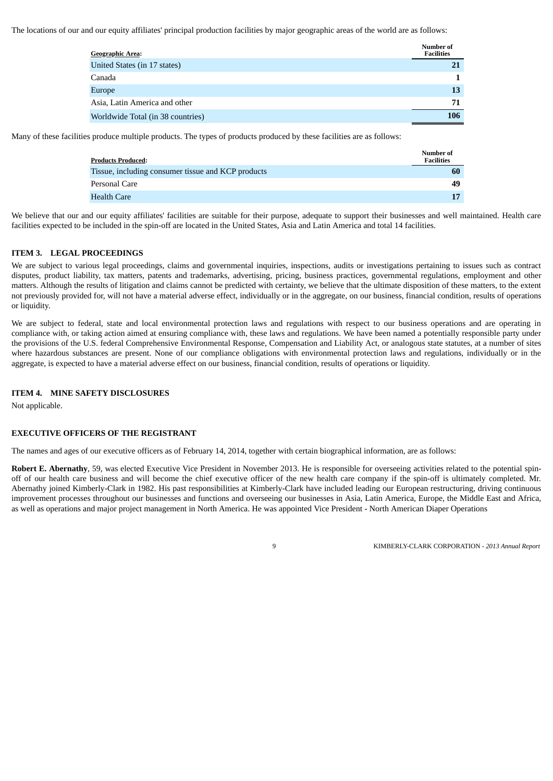The locations of our and our equity affiliates' principal production facilities by major geographic areas of the world are as follows:

| <b>Geographic Area:</b>           | Number of<br><b>Facilities</b> |
|-----------------------------------|--------------------------------|
| United States (in 17 states)      | 21                             |
| Canada                            |                                |
| <b>Europe</b>                     | 13                             |
| Asia, Latin America and other     | 71                             |
| Worldwide Total (in 38 countries) | 106                            |

Many of these facilities produce multiple products. The types of products produced by these facilities are as follows:

| <b>Products Produced:</b>                          | <b>Number of</b><br><b>Facilities</b> |
|----------------------------------------------------|---------------------------------------|
| Tissue, including consumer tissue and KCP products | 60                                    |
| Personal Care                                      | 49                                    |
| <b>Health Care</b>                                 |                                       |

We believe that our and our equity affiliates' facilities are suitable for their purpose, adequate to support their businesses and well maintained. Health care facilities expected to be included in the spin-off are located in the United States, Asia and Latin America and total 14 facilities.

#### <span id="page-10-0"></span>**ITEM 3. LEGAL PROCEEDINGS**

We are subject to various legal proceedings, claims and governmental inquiries, inspections, audits or investigations pertaining to issues such as contract disputes, product liability, tax matters, patents and trademarks, advertising, pricing, business practices, governmental regulations, employment and other matters. Although the results of litigation and claims cannot be predicted with certainty, we believe that the ultimate disposition of these matters, to the extent not previously provided for, will not have a material adverse effect, individually or in the aggregate, on our business, financial condition, results of operations or liquidity.

We are subject to federal, state and local environmental protection laws and regulations with respect to our business operations and are operating in compliance with, or taking action aimed at ensuring compliance with, these laws and regulations. We have been named a potentially responsible party under the provisions of the U.S. federal Comprehensive Environmental Response, Compensation and Liability Act, or analogous state statutes, at a number of sites where hazardous substances are present. None of our compliance obligations with environmental protection laws and regulations, individually or in the aggregate, is expected to have a material adverse effect on our business, financial condition, results of operations or liquidity.

#### <span id="page-10-1"></span>**ITEM 4. MINE SAFETY DISCLOSURES**

Not applicable.

#### <span id="page-10-2"></span>**EXECUTIVE OFFICERS OF THE REGISTRANT**

The names and ages of our executive officers as of February 14, 2014, together with certain biographical information, are as follows:

**Robert E. Abernathy**, 59, was elected Executive Vice President in November 2013. He is responsible for overseeing activities related to the potential spinoff of our health care business and will become the chief executive officer of the new health care company if the spin-off is ultimately completed. Mr. Abernathy joined Kimberly-Clark in 1982. His past responsibilities at Kimberly-Clark have included leading our European restructuring, driving continuous improvement processes throughout our businesses and functions and overseeing our businesses in Asia, Latin America, Europe, the Middle East and Africa, as well as operations and major project management in North America. He was appointed Vice President - North American Diaper Operations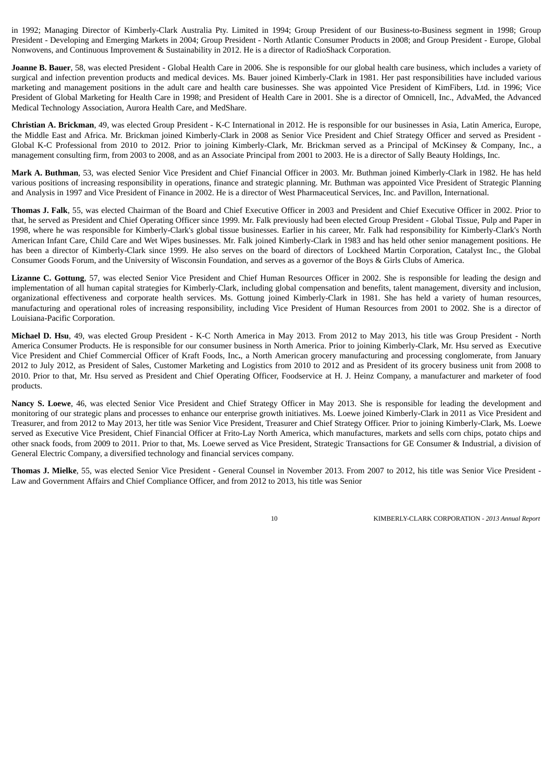in 1992; Managing Director of Kimberly-Clark Australia Pty. Limited in 1994; Group President of our Business-to-Business segment in 1998; Group President - Developing and Emerging Markets in 2004; Group President - North Atlantic Consumer Products in 2008; and Group President - Europe, Global Nonwovens, and Continuous Improvement & Sustainability in 2012. He is a director of RadioShack Corporation.

**Joanne B. Bauer**, 58, was elected President - Global Health Care in 2006. She is responsible for our global health care business, which includes a variety of surgical and infection prevention products and medical devices. Ms. Bauer joined Kimberly-Clark in 1981. Her past responsibilities have included various marketing and management positions in the adult care and health care businesses. She was appointed Vice President of KimFibers, Ltd. in 1996; Vice President of Global Marketing for Health Care in 1998; and President of Health Care in 2001. She is a director of Omnicell, Inc., AdvaMed, the Advanced Medical Technology Association, Aurora Health Care, and MedShare.

**Christian A. Brickman**, 49, was elected Group President - K*-*C International in 2012. He is responsible for our businesses in Asia, Latin America, Europe, the Middle East and Africa. Mr. Brickman joined Kimberly-Clark in 2008 as Senior Vice President and Chief Strategy Officer and served as President - Global K*-*C Professional from 2010 to 2012. Prior to joining Kimberly-Clark, Mr. Brickman served as a Principal of McKinsey & Company, Inc., a management consulting firm, from 2003 to 2008, and as an Associate Principal from 2001 to 2003. He is a director of Sally Beauty Holdings, Inc.

**Mark A. Buthman**, 53, was elected Senior Vice President and Chief Financial Officer in 2003. Mr. Buthman joined Kimberly-Clark in 1982. He has held various positions of increasing responsibility in operations, finance and strategic planning. Mr. Buthman was appointed Vice President of Strategic Planning and Analysis in 1997 and Vice President of Finance in 2002. He is a director of West Pharmaceutical Services, Inc. and Pavillon, International.

**Thomas J. Falk**, 55, was elected Chairman of the Board and Chief Executive Officer in 2003 and President and Chief Executive Officer in 2002. Prior to that, he served as President and Chief Operating Officer since 1999. Mr. Falk previously had been elected Group President - Global Tissue, Pulp and Paper in 1998, where he was responsible for Kimberly-Clark's global tissue businesses. Earlier in his career, Mr. Falk had responsibility for Kimberly-Clark's North American Infant Care, Child Care and Wet Wipes businesses. Mr. Falk joined Kimberly-Clark in 1983 and has held other senior management positions. He has been a director of Kimberly-Clark since 1999. He also serves on the board of directors of Lockheed Martin Corporation, Catalyst Inc., the Global Consumer Goods Forum, and the University of Wisconsin Foundation, and serves as a governor of the Boys & Girls Clubs of America.

**Lizanne C. Gottung**, 57, was elected Senior Vice President and Chief Human Resources Officer in 2002. She is responsible for leading the design and implementation of all human capital strategies for Kimberly-Clark, including global compensation and benefits, talent management, diversity and inclusion, organizational effectiveness and corporate health services. Ms. Gottung joined Kimberly-Clark in 1981. She has held a variety of human resources, manufacturing and operational roles of increasing responsibility, including Vice President of Human Resources from 2001 to 2002. She is a director of Louisiana-Pacific Corporation.

**Michael D. Hsu**, 49, was elected Group President - K-C North America in May 2013. From 2012 to May 2013, his title was Group President - North America Consumer Products. He is responsible for our consumer business in North America. Prior to joining Kimberly-Clark, Mr. Hsu served as Executive Vice President and Chief Commercial Officer of Kraft Foods, Inc**.**, a North American grocery manufacturing and processing conglomerate, from January 2012 to July 2012, as President of Sales, Customer Marketing and Logistics from 2010 to 2012 and as President of its grocery business unit from 2008 to 2010. Prior to that, Mr. Hsu served as President and Chief Operating Officer, Foodservice at H. J. Heinz Company, a manufacturer and marketer of food products.

**Nancy S. Loewe**, 46, was elected Senior Vice President and Chief Strategy Officer in May 2013. She is responsible for leading the development and monitoring of our strategic plans and processes to enhance our enterprise growth initiatives. Ms. Loewe joined Kimberly-Clark in 2011 as Vice President and Treasurer, and from 2012 to May 2013, her title was Senior Vice President, Treasurer and Chief Strategy Officer. Prior to joining Kimberly-Clark, Ms. Loewe served as Executive Vice President, Chief Financial Officer at Frito-Lay North America, which manufactures, markets and sells corn chips, potato chips and other snack foods, from 2009 to 2011. Prior to that, Ms. Loewe served as Vice President, Strategic Transactions for GE Consumer & Industrial, a division of General Electric Company, a diversified technology and financial services company.

**Thomas J. Mielke**, 55, was elected Senior Vice President - General Counsel in November 2013. From 2007 to 2012, his title was Senior Vice President - Law and Government Affairs and Chief Compliance Officer, and from 2012 to 2013, his title was Senior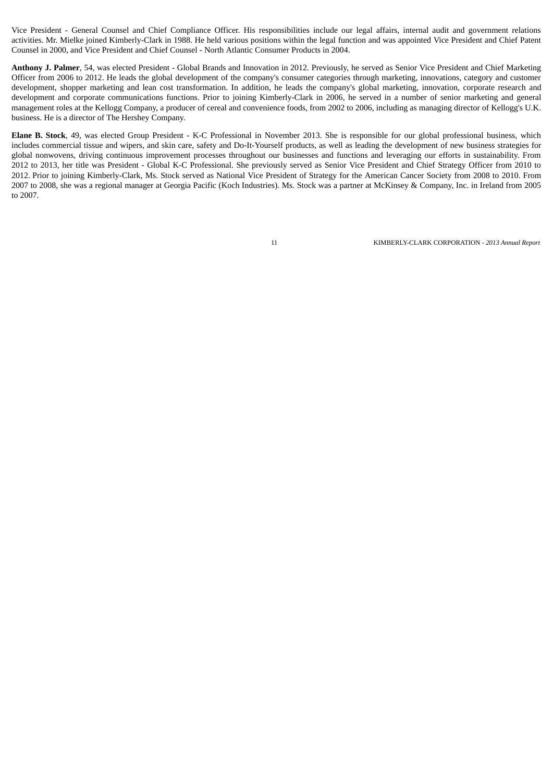Vice President - General Counsel and Chief Compliance Officer. His responsibilities include our legal affairs, internal audit and government relations activities. Mr. Mielke joined Kimberly-Clark in 1988. He held various positions within the legal function and was appointed Vice President and Chief Patent Counsel in 2000, and Vice President and Chief Counsel - North Atlantic Consumer Products in 2004.

**Anthony J. Palmer**, 54, was elected President - Global Brands and Innovation in 2012. Previously, he served as Senior Vice President and Chief Marketing Officer from 2006 to 2012. He leads the global development of the company's consumer categories through marketing, innovations, category and customer development, shopper marketing and lean cost transformation. In addition, he leads the company's global marketing, innovation, corporate research and development and corporate communications functions. Prior to joining Kimberly-Clark in 2006, he served in a number of senior marketing and general management roles at the Kellogg Company, a producer of cereal and convenience foods, from 2002 to 2006, including as managing director of Kellogg's U.K. business. He is a director of The Hershey Company.

**Elane B. Stock**, 49, was elected Group President - K-C Professional in November 2013. She is responsible for our global professional business, which includes commercial tissue and wipers, and skin care, safety and Do-It-Yourself products, as well as leading the development of new business strategies for global nonwovens, driving continuous improvement processes throughout our businesses and functions and leveraging our efforts in sustainability. From 2012 to 2013, her title was President - Global K-C Professional. She previously served as Senior Vice President and Chief Strategy Officer from 2010 to 2012. Prior to joining Kimberly-Clark, Ms. Stock served as National Vice President of Strategy for the American Cancer Society from 2008 to 2010. From 2007 to 2008, she was a regional manager at Georgia Pacific (Koch Industries). Ms. Stock was a partner at McKinsey & Company, Inc. in Ireland from 2005 to 2007.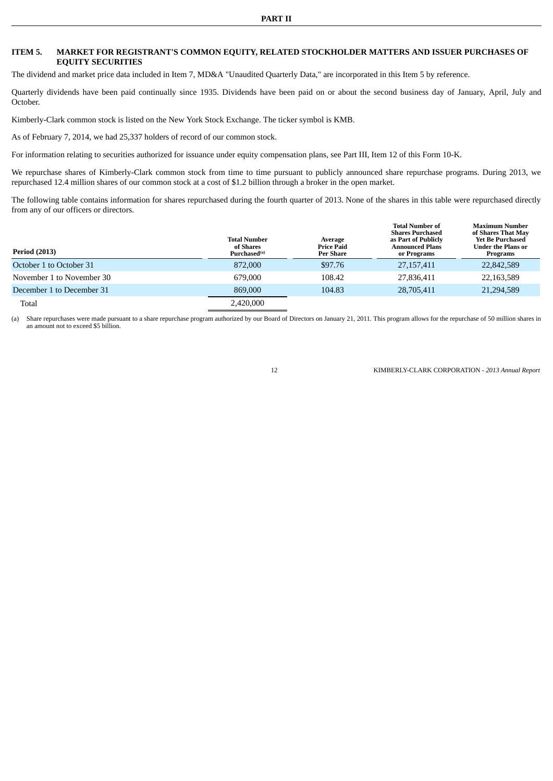#### <span id="page-13-0"></span>**ITEM 5. MARKET FOR REGISTRANT'S COMMON EQUITY, RELATED STOCKHOLDER MATTERS AND ISSUER PURCHASES OF EQUITY SECURITIES**

The dividend and market price data included in Item 7, MD&A "Unaudited Quarterly Data," are incorporated in this Item 5 by reference.

Quarterly dividends have been paid continually since 1935. Dividends have been paid on or about the second business day of January, April, July and October.

Kimberly-Clark common stock is listed on the New York Stock Exchange. The ticker symbol is KMB.

As of February 7, 2014, we had 25,337 holders of record of our common stock.

For information relating to securities authorized for issuance under equity compensation plans, see Part III, Item 12 of this Form 10-K.

We repurchase shares of Kimberly-Clark common stock from time to time pursuant to publicly announced share repurchase programs. During 2013, we repurchased 12.4 million shares of our common stock at a cost of \$1.2 billion through a broker in the open market.

The following table contains information for shares repurchased during the fourth quarter of 2013. None of the shares in this table were repurchased directly from any of our officers or directors.

| <b>Period (2013)</b>      | <b>Total Number</b><br>of Shares<br>Purchased <sup>(a)</sup> | Average<br><b>Price Paid</b><br>Per Share | <b>Total Number of</b><br><b>Shares Purchased</b><br>as Part of Publicly<br><b>Announced Plans</b><br>or Programs | <b>Maximum Number</b><br>of Shares That May<br><b>Yet Be Purchased</b><br>Under the Plans or<br>Programs |
|---------------------------|--------------------------------------------------------------|-------------------------------------------|-------------------------------------------------------------------------------------------------------------------|----------------------------------------------------------------------------------------------------------|
| October 1 to October 31   | 872,000                                                      | \$97.76                                   | 27, 157, 411                                                                                                      | 22,842,589                                                                                               |
| November 1 to November 30 | 679.000                                                      | 108.42                                    | 27.836.411                                                                                                        | 22,163,589                                                                                               |
| December 1 to December 31 | 869,000                                                      | 104.83                                    | 28,705,411                                                                                                        | 21,294,589                                                                                               |
| Total                     | 2,420,000                                                    |                                           |                                                                                                                   |                                                                                                          |

<span id="page-13-1"></span>(a) Share repurchases were made pursuant to a share repurchase program authorized by our Board of Directors on January 21, 2011. This program allows for the repurchase of 50 million shares in an amount not to exceed \$5 billion.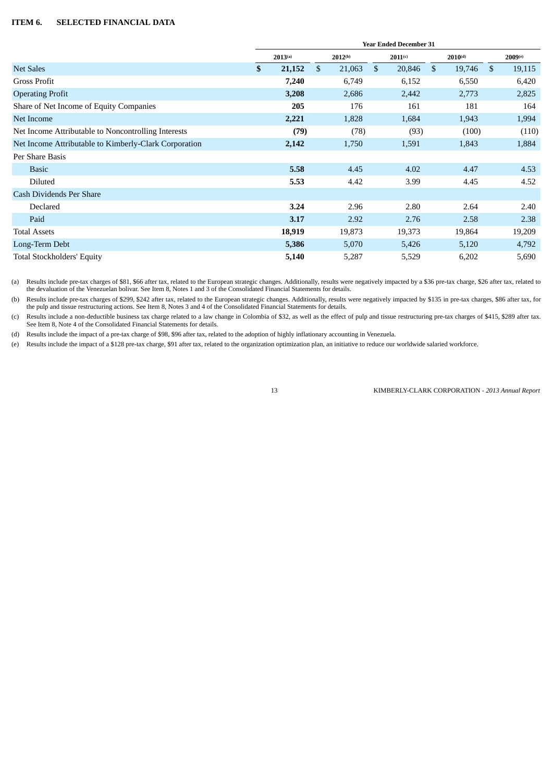#### **ITEM 6. SELECTED FINANCIAL DATA**

|                                                       | <b>Year Ended December 31</b> |    |              |              |              |              |              |              |              |
|-------------------------------------------------------|-------------------------------|----|--------------|--------------|--------------|--------------|--------------|--------------|--------------|
|                                                       | $2013^{(a)}$                  |    | $2012^{(b)}$ |              | $2011^{(c)}$ |              | $2010^{(d)}$ |              | $2009^{(e)}$ |
| \$<br><b>Net Sales</b>                                | 21,152                        | \$ | 21,063       | $\mathbb{S}$ | 20,846       | $\mathbb{S}$ | 19,746       | $\mathbb{S}$ | 19,115       |
| Gross Profit                                          | 7,240                         |    | 6,749        |              | 6,152        |              | 6,550        |              | 6,420        |
| <b>Operating Profit</b>                               | 3,208                         |    | 2,686        |              | 2,442        |              | 2,773        |              | 2,825        |
| Share of Net Income of Equity Companies               | 205                           |    | 176          |              | 161          |              | 181          |              | 164          |
| Net Income                                            | 2,221                         |    | 1,828        |              | 1,684        |              | 1,943        |              | 1,994        |
| Net Income Attributable to Noncontrolling Interests   | (79)                          |    | (78)         |              | (93)         |              | (100)        |              | (110)        |
| Net Income Attributable to Kimberly-Clark Corporation | 2,142                         |    | 1,750        |              | 1,591        |              | 1,843        |              | 1,884        |
| Per Share Basis                                       |                               |    |              |              |              |              |              |              |              |
| <b>Basic</b>                                          | 5.58                          |    | 4.45         |              | 4.02         |              | 4.47         |              | 4.53         |
| Diluted                                               | 5.53                          |    | 4.42         |              | 3.99         |              | 4.45         |              | 4.52         |
| Cash Dividends Per Share                              |                               |    |              |              |              |              |              |              |              |
| Declared                                              | 3.24                          |    | 2.96         |              | 2.80         |              | 2.64         |              | 2.40         |
| Paid                                                  | 3.17                          |    | 2.92         |              | 2.76         |              | 2.58         |              | 2.38         |
| <b>Total Assets</b>                                   | 18,919                        |    | 19,873       |              | 19,373       |              | 19,864       |              | 19,209       |
| Long-Term Debt                                        | 5,386                         |    | 5,070        |              | 5,426        |              | 5,120        |              | 4,792        |
| <b>Total Stockholders' Equity</b>                     | 5,140                         |    | 5,287        |              | 5,529        |              | 6,202        |              | 5,690        |

(a) Results include pre-tax charges of \$81, \$66 after tax, related to the European strategic changes. Additionally, results were negatively impacted by a \$36 pre-tax charge, \$26 after tax, related to the devaluation of the Venezuelan bolivar. See Item 8, Notes 1 and 3 of the Consolidated Financial Statements for details.

(b) Results include pre-tax charges of \$299, \$242 after tax, related to the European strategic changes. Additionally, results were negatively impacted by \$135 in pre-tax charges, \$86 after tax, for the pulp and tissue restructuring actions. See Item 8, Notes 3 and 4 of the Consolidated Financial Statements for details.

(c) Results include a non-deductible business tax charge related to a law change in Colombia of \$32, as well as the effect of pulp and tissue restructuring pre-tax charges of \$415, \$289 after tax. See Item 8, Note 4 of the Consolidated Financial Statements for details.

(d) Results include the impact of a pre-tax charge of \$98, \$96 after tax, related to the adoption of highly inflationary accounting in Venezuela.

<span id="page-14-0"></span>(e) Results include the impact of a \$128 pre-tax charge, \$91 after tax, related to the organization optimization plan, an initiative to reduce our worldwide salaried workforce.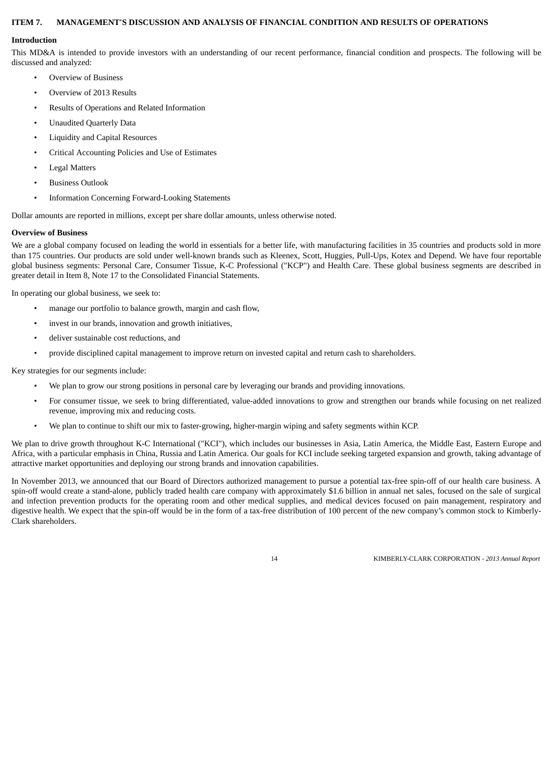#### **ITEM 7. MANAGEMENT'S DISCUSSION AND ANALYSIS OF FINANCIAL CONDITION AND RESULTS OF OPERATIONS**

#### **Introduction**

This MD&A is intended to provide investors with an understanding of our recent performance, financial condition and prospects. The following will be discussed and analyzed:

- Overview of Business
- Overview of 2013 Results
- Results of Operations and Related Information
- Unaudited Quarterly Data
- Liquidity and Capital Resources
- Critical Accounting Policies and Use of Estimates
- Legal Matters
- Business Outlook
- Information Concerning Forward-Looking Statements

Dollar amounts are reported in millions, except per share dollar amounts, unless otherwise noted.

#### **Overview of Business**

We are a global company focused on leading the world in essentials for a better life, with manufacturing facilities in 35 countries and products sold in more than 175 countries. Our products are sold under well-known brands such as Kleenex, Scott, Huggies, Pull-Ups, Kotex and Depend. We have four reportable global business segments: Personal Care, Consumer Tissue, K-C Professional ("KCP") and Health Care. These global business segments are described in greater detail in Item 8, Note 17 to the Consolidated Financial Statements.

In operating our global business, we seek to:

- manage our portfolio to balance growth, margin and cash flow,
- invest in our brands, innovation and growth initiatives,
- deliver sustainable cost reductions, and
- provide disciplined capital management to improve return on invested capital and return cash to shareholders.

Key strategies for our segments include:

- We plan to grow our strong positions in personal care by leveraging our brands and providing innovations.
- For consumer tissue, we seek to bring differentiated, value-added innovations to grow and strengthen our brands while focusing on net realized revenue, improving mix and reducing costs.
- We plan to continue to shift our mix to faster-growing, higher-margin wiping and safety segments within KCP.

We plan to drive growth throughout K-C International ("KCI"), which includes our businesses in Asia, Latin America, the Middle East, Eastern Europe and Africa, with a particular emphasis in China, Russia and Latin America. Our goals for KCI include seeking targeted expansion and growth, taking advantage of attractive market opportunities and deploying our strong brands and innovation capabilities.

In November 2013, we announced that our Board of Directors authorized management to pursue a potential tax-free spin-off of our health care business. A spin-off would create a stand-alone, publicly traded health care company with approximately \$1.6 billion in annual net sales, focused on the sale of surgical and infection prevention products for the operating room and other medical supplies, and medical devices focused on pain management, respiratory and digestive health. We expect that the spin-off would be in the form of a tax-free distribution of 100 percent of the new company's common stock to Kimberly-Clark shareholders.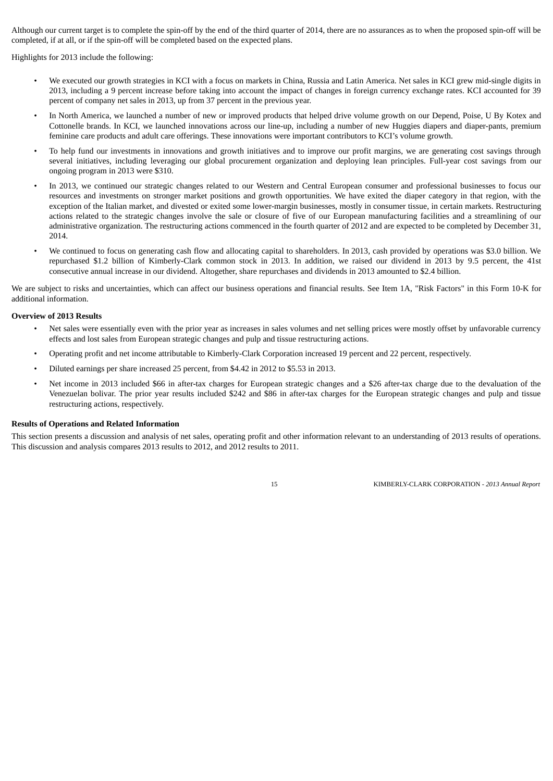Although our current target is to complete the spin-off by the end of the third quarter of 2014, there are no assurances as to when the proposed spin-off will be completed, if at all, or if the spin-off will be completed based on the expected plans.

Highlights for 2013 include the following:

- We executed our growth strategies in KCI with a focus on markets in China, Russia and Latin America. Net sales in KCI grew mid-single digits in 2013, including a 9 percent increase before taking into account the impact of changes in foreign currency exchange rates. KCI accounted for 39 percent of company net sales in 2013, up from 37 percent in the previous year.
- In North America, we launched a number of new or improved products that helped drive volume growth on our Depend, Poise, U By Kotex and Cottonelle brands. In KCI, we launched innovations across our line-up, including a number of new Huggies diapers and diaper-pants, premium feminine care products and adult care offerings. These innovations were important contributors to KCI's volume growth.
- To help fund our investments in innovations and growth initiatives and to improve our profit margins, we are generating cost savings through several initiatives, including leveraging our global procurement organization and deploying lean principles. Full-year cost savings from our ongoing program in 2013 were \$310.
- In 2013, we continued our strategic changes related to our Western and Central European consumer and professional businesses to focus our resources and investments on stronger market positions and growth opportunities. We have exited the diaper category in that region, with the exception of the Italian market, and divested or exited some lower-margin businesses, mostly in consumer tissue, in certain markets. Restructuring actions related to the strategic changes involve the sale or closure of five of our European manufacturing facilities and a streamlining of our administrative organization. The restructuring actions commenced in the fourth quarter of 2012 and are expected to be completed by December 31, 2014.
- We continued to focus on generating cash flow and allocating capital to shareholders. In 2013, cash provided by operations was \$3.0 billion. We repurchased \$1.2 billion of Kimberly-Clark common stock in 2013. In addition, we raised our dividend in 2013 by 9.5 percent, the 41st consecutive annual increase in our dividend. Altogether, share repurchases and dividends in 2013 amounted to \$2.4 billion.

We are subject to risks and uncertainties, which can affect our business operations and financial results. See Item 1A, "Risk Factors" in this Form 10-K for additional information.

#### **Overview of 2013 Results**

- Net sales were essentially even with the prior year as increases in sales volumes and net selling prices were mostly offset by unfavorable currency effects and lost sales from European strategic changes and pulp and tissue restructuring actions.
- Operating profit and net income attributable to Kimberly-Clark Corporation increased 19 percent and 22 percent, respectively.
- Diluted earnings per share increased 25 percent, from \$4.42 in 2012 to \$5.53 in 2013.
- Net income in 2013 included \$66 in after-tax charges for European strategic changes and a \$26 after-tax charge due to the devaluation of the Venezuelan bolivar. The prior year results included \$242 and \$86 in after-tax charges for the European strategic changes and pulp and tissue restructuring actions, respectively.

#### **Results of Operations and Related Information**

This section presents a discussion and analysis of net sales, operating profit and other information relevant to an understanding of 2013 results of operations. This discussion and analysis compares 2013 results to 2012, and 2012 results to 2011.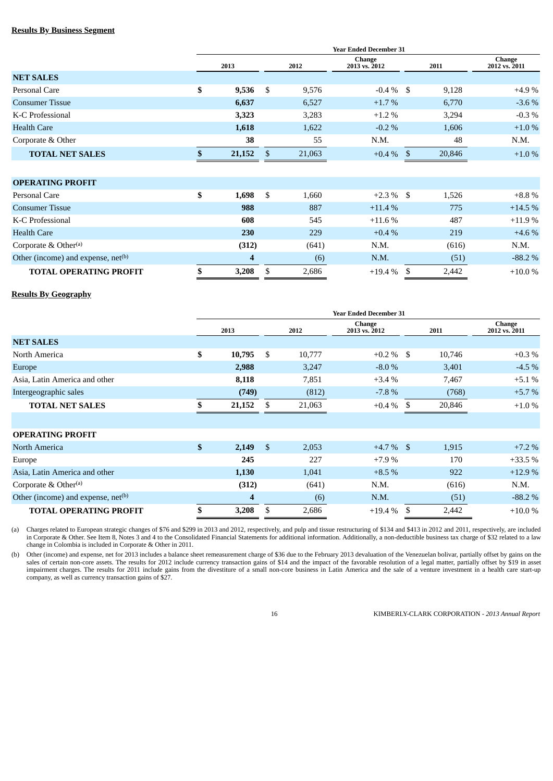#### **Results By Business Segment**

| <b>Year Ended December 31</b> |        |      |        |                         |  |                            |                                |  |  |
|-------------------------------|--------|------|--------|-------------------------|--|----------------------------|--------------------------------|--|--|
| 2013                          |        | 2012 |        | Change<br>2013 vs. 2012 |  |                            | <b>Change</b><br>2012 vs. 2011 |  |  |
|                               |        |      |        |                         |  |                            |                                |  |  |
| \$                            | 9,536  | -\$  | 9,576  |                         |  | 9,128                      | $+4.9%$                        |  |  |
|                               | 6,637  |      | 6,527  | $+1.7%$                 |  | 6,770                      | $-3.6%$                        |  |  |
|                               | 3,323  |      | 3,283  | $+1.2\%$                |  | 3,294                      | $-0.3\%$                       |  |  |
|                               | 1,618  |      | 1,622  | $-0.2\%$                |  | 1,606                      | $+1.0%$                        |  |  |
|                               | 38     |      | 55     | N.M.                    |  | 48                         | N.M.                           |  |  |
| S                             | 21,152 | \$   | 21,063 |                         |  | 20,846                     | $+1.0%$                        |  |  |
|                               |        |      |        |                         |  | $-0.4\%$ \$<br>$+0.4\%$ \$ | 2011                           |  |  |

### **OPERATING PROFIT**

| Personal Care                           | \$<br>1,698 | 1,660 | $+2.3\%$ \$  | 1.526 | $+8.8%$   |
|-----------------------------------------|-------------|-------|--------------|-------|-----------|
| <b>Consumer Tissue</b>                  | 988         | 887   | $+11.4%$     | 775   | $+14.5%$  |
| K-C Professional                        | 608         | 545   | $+11.6%$     | 487   | $+11.9%$  |
| <b>Health Care</b>                      | 230         | 229   | $+0.4\%$     | 219   | $+4.6%$   |
| Corporate & Other $(a)$                 | (312)       | (641) | N.M.         | (616) | N.M.      |
| Other (income) and expense, $net^{(b)}$ | 4           | (6)   | N.M.         | (51)  | $-88.2%$  |
| <b>TOTAL OPERATING PROFIT</b>           | \$<br>3.208 | 2,686 | $+19.4\%$ \$ | 2,442 | $+10.0\%$ |

#### **Results By Geography**

|                                                | <b>Year Ended December 31</b> |                  |     |        |                         |     |        |                         |  |
|------------------------------------------------|-------------------------------|------------------|-----|--------|-------------------------|-----|--------|-------------------------|--|
|                                                |                               | 2013             |     | 2012   | Change<br>2013 vs. 2012 |     | 2011   | Change<br>2012 vs. 2011 |  |
| <b>NET SALES</b>                               |                               |                  |     |        |                         |     |        |                         |  |
| North America                                  | \$                            | 10,795           | \$  | 10,777 | $+0.2\%$ \$             |     | 10,746 | $+0.3\%$                |  |
| Europe                                         |                               | 2,988            |     | 3,247  | $-8.0%$                 |     | 3,401  | $-4.5%$                 |  |
| Asia, Latin America and other                  |                               | 8,118            |     | 7,851  | $+3.4%$                 |     | 7,467  | $+5.1%$                 |  |
| Intergeographic sales                          |                               | (749)            |     | (812)  | $-7.8%$                 |     | (768)  | $+5.7%$                 |  |
| <b>TOTAL NET SALES</b>                         | \$                            | 21,152           | \$. | 21,063 | $+0.4\%$                | \$  | 20,846 | $+1.0%$                 |  |
|                                                |                               |                  |     |        |                         |     |        |                         |  |
| <b>OPERATING PROFIT</b>                        |                               |                  |     |        |                         |     |        |                         |  |
| North America                                  | \$                            | 2,149            | \$  | 2,053  | $+4.7\%$ \$             |     | 1,915  | $+7.2%$                 |  |
| Europe                                         |                               | 245              |     | 227    | $+7.9%$                 |     | 170    | $+33.5%$                |  |
| Asia, Latin America and other                  |                               | 1,130            |     | 1,041  | $+8.5%$                 |     | 922    | $+12.9%$                |  |
| Corporate & Other <sup>(a)</sup>               |                               | (312)            |     | (641)  | N.M.                    |     | (616)  | N.M.                    |  |
| Other (income) and expense, net <sup>(b)</sup> |                               | $\boldsymbol{A}$ |     | (6)    | N.M.                    |     | (51)   | $-88.2%$                |  |
| <b>TOTAL OPERATING PROFIT</b>                  | \$                            | 3,208            | \$  | 2,686  | $+19.4%$                | -\$ | 2,442  | $+10.0%$                |  |

(a) Charges related to European strategic changes of \$76 and \$299 in 2013 and 2012, respectively, and pulp and tissue restructuring of \$134 and \$413 in 2012 and 2011, respectively, are included in Corporate & Other. See Item 8, Notes 3 and 4 to the Consolidated Financial Statements for additional information. Additionally, a non-deductible business tax charge of \$32 related to a law change in Colombia is included in Corporate & Other in 2011.

(b) Other (income) and expense, net for 2013 includes a balance sheet remeasurement charge of \$36 due to the February 2013 devaluation of the Venezuelan bolivar, partially offset by gains on the sales of certain non-core assets. The results for 2012 include currency transaction gains of \$14 and the impact of the favorable resolution of a legal matter, partially offset by \$19 in asset impairment charges. The results for 2011 include gains from the divestiture of a small non-core business in Latin America and the sale of a venture investment in a health care start-up company, as well as currency transaction gains of \$27.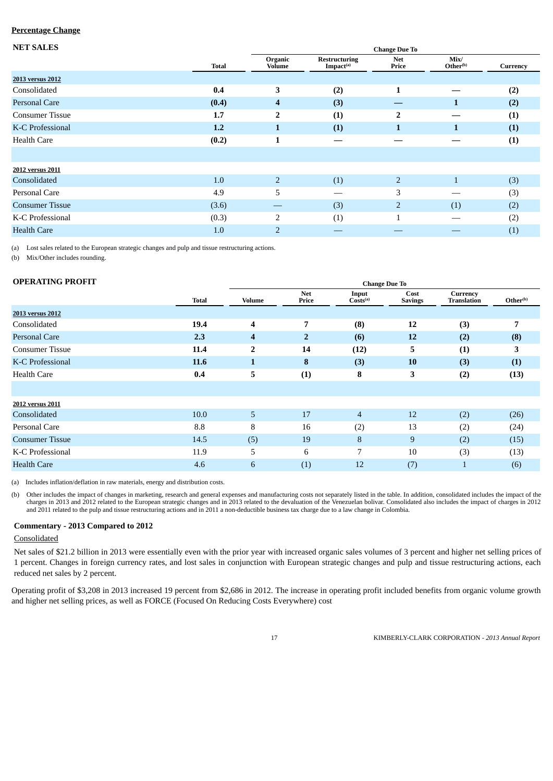#### **Percentage Change**

| <b>NET SALES</b>        |              | <b>Change Due To</b> |                                               |                     |                              |          |  |  |  |
|-------------------------|--------------|----------------------|-----------------------------------------------|---------------------|------------------------------|----------|--|--|--|
|                         | <b>Total</b> | Organic<br>Volume    | <b>Restructuring</b><br>Impact <sup>(a)</sup> | <b>Net</b><br>Price | Mix/<br>Other <sup>(b)</sup> | Currency |  |  |  |
| 2013 versus 2012        |              |                      |                                               |                     |                              |          |  |  |  |
| Consolidated            | 0.4          | 3                    | (2)                                           | $\mathbf{1}$        |                              | (2)      |  |  |  |
| Personal Care           | (0.4)        | $\boldsymbol{4}$     | (3)                                           |                     | 1                            | (2)      |  |  |  |
| <b>Consumer Tissue</b>  | 1.7          | $\overline{2}$       | (1)                                           | $\overline{2}$      |                              | (1)      |  |  |  |
| <b>K-C Professional</b> | 1.2          | $\mathbf{1}$         | (1)                                           | $\mathbf{1}$        | $\mathbf{1}$                 | (1)      |  |  |  |
| <b>Health Care</b>      | (0.2)        | 1                    |                                               |                     |                              | (1)      |  |  |  |
|                         |              |                      |                                               |                     |                              |          |  |  |  |
| 2012 versus 2011        |              |                      |                                               |                     |                              |          |  |  |  |
| Consolidated            | 1.0          | $\overline{2}$       | (1)                                           | $\overline{2}$      | $\mathbf{1}$                 | (3)      |  |  |  |
| Personal Care           | 4.9          | 5                    |                                               | 3                   |                              | (3)      |  |  |  |
| <b>Consumer Tissue</b>  | (3.6)        |                      | (3)                                           | $\overline{2}$      | (1)                          | (2)      |  |  |  |
| K-C Professional        | (0.3)        | 2                    | (1)                                           | $\mathbf{1}$        |                              | (2)      |  |  |  |
| <b>Health Care</b>      | 1.0          | $\overline{2}$       |                                               |                     |                              | (1)      |  |  |  |

(a) Lost sales related to the European strategic changes and pulp and tissue restructuring actions.

(b) Mix/Other includes rounding.

| <b>OPERATING PROFIT</b> |              | <b>Change Due To</b>    |                |                               |                        |                                |                      |  |  |  |
|-------------------------|--------------|-------------------------|----------------|-------------------------------|------------------------|--------------------------------|----------------------|--|--|--|
|                         | <b>Total</b> | Volume                  | Net<br>Price   | Input<br>Costs <sup>(a)</sup> | Cost<br><b>Savings</b> | Currency<br><b>Translation</b> | Other <sup>(b)</sup> |  |  |  |
| <b>2013 versus 2012</b> |              |                         |                |                               |                        |                                |                      |  |  |  |
| Consolidated            | 19.4         | 4                       | 7              | (8)                           | 12                     | (3)                            | 7                    |  |  |  |
| Personal Care           | 2.3          | $\overline{\mathbf{4}}$ | $\overline{2}$ | (6)                           | 12                     | (2)                            | (8)                  |  |  |  |
| <b>Consumer Tissue</b>  | 11.4         | $\overline{2}$          | 14             | (12)                          | 5.                     | (1)                            | 3                    |  |  |  |
| K-C Professional        | 11.6         | $\mathbf{1}$            | 8              | (3)                           | <b>10</b>              | (3)                            | (1)                  |  |  |  |
| <b>Health Care</b>      | 0.4          | 5                       | (1)            | 8                             | 3                      | (2)                            | (13)                 |  |  |  |
|                         |              |                         |                |                               |                        |                                |                      |  |  |  |
| 2012 versus 2011        |              |                         |                |                               |                        |                                |                      |  |  |  |
| Consolidated            | 10.0         | 5                       | 17             | $\overline{4}$                | 12                     | (2)                            | (26)                 |  |  |  |
| Personal Care           | 8.8          | 8                       | 16             | (2)                           | 13                     | (2)                            | (24)                 |  |  |  |
| <b>Consumer Tissue</b>  | 14.5         | (5)                     | 19             | 8                             | 9                      | (2)                            | (15)                 |  |  |  |
| K-C Professional        | 11.9         | 5                       | 6              | 7                             | 10                     | (3)                            | (13)                 |  |  |  |
| <b>Health Care</b>      | 4.6          | 6                       | (1)            | 12                            | (7)                    | 1                              | (6)                  |  |  |  |

(a) Includes inflation/deflation in raw materials, energy and distribution costs.

(b) Other includes the impact of changes in marketing, research and general expenses and manufacturing costs not separately listed in the table. In addition, consolidated includes the impact of the charges in 2013 and 2012 related to the European strategic changes and in 2013 related to the devaluation of the Venezuelan bolivar. Consolidated also includes the impact of charges in 2012 and 2011 related to the pulp and tissue restructuring actions and in 2011 a non-deductible business tax charge due to a law change in Colombia.

#### **Commentary - 2013 Compared to 2012**

#### **Consolidated**

Net sales of \$21.2 billion in 2013 were essentially even with the prior year with increased organic sales volumes of 3 percent and higher net selling prices of 1 percent. Changes in foreign currency rates, and lost sales in conjunction with European strategic changes and pulp and tissue restructuring actions, each reduced net sales by 2 percent.

Operating profit of \$3,208 in 2013 increased 19 percent from \$2,686 in 2012. The increase in operating profit included benefits from organic volume growth and higher net selling prices, as well as FORCE (Focused On Reducing Costs Everywhere) cost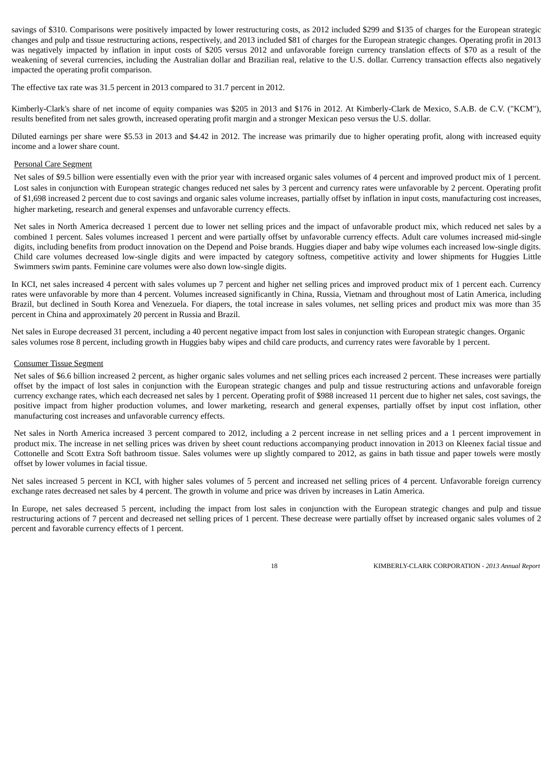savings of \$310. Comparisons were positively impacted by lower restructuring costs, as 2012 included \$299 and \$135 of charges for the European strategic changes and pulp and tissue restructuring actions, respectively, and 2013 included \$81 of charges for the European strategic changes. Operating profit in 2013 was negatively impacted by inflation in input costs of \$205 versus 2012 and unfavorable foreign currency translation effects of \$70 as a result of the weakening of several currencies, including the Australian dollar and Brazilian real, relative to the U.S. dollar. Currency transaction effects also negatively impacted the operating profit comparison.

The effective tax rate was 31.5 percent in 2013 compared to 31.7 percent in 2012.

Kimberly-Clark's share of net income of equity companies was \$205 in 2013 and \$176 in 2012. At Kimberly-Clark de Mexico, S.A.B. de C.V. ("KCM"), results benefited from net sales growth, increased operating profit margin and a stronger Mexican peso versus the U.S. dollar.

Diluted earnings per share were \$5.53 in 2013 and \$4.42 in 2012. The increase was primarily due to higher operating profit, along with increased equity income and a lower share count.

#### Personal Care Segment

Net sales of \$9.5 billion were essentially even with the prior year with increased organic sales volumes of 4 percent and improved product mix of 1 percent. Lost sales in conjunction with European strategic changes reduced net sales by 3 percent and currency rates were unfavorable by 2 percent. Operating profit of \$1,698 increased 2 percent due to cost savings and organic sales volume increases, partially offset by inflation in input costs, manufacturing cost increases, higher marketing, research and general expenses and unfavorable currency effects.

Net sales in North America decreased 1 percent due to lower net selling prices and the impact of unfavorable product mix, which reduced net sales by a combined 1 percent. Sales volumes increased 1 percent and were partially offset by unfavorable currency effects. Adult care volumes increased mid-single digits, including benefits from product innovation on the Depend and Poise brands. Huggies diaper and baby wipe volumes each increased low-single digits. Child care volumes decreased low-single digits and were impacted by category softness, competitive activity and lower shipments for Huggies Little Swimmers swim pants. Feminine care volumes were also down low-single digits.

In KCI, net sales increased 4 percent with sales volumes up 7 percent and higher net selling prices and improved product mix of 1 percent each. Currency rates were unfavorable by more than 4 percent. Volumes increased significantly in China, Russia, Vietnam and throughout most of Latin America, including Brazil, but declined in South Korea and Venezuela. For diapers, the total increase in sales volumes, net selling prices and product mix was more than 35 percent in China and approximately 20 percent in Russia and Brazil.

Net sales in Europe decreased 31 percent, including a 40 percent negative impact from lost sales in conjunction with European strategic changes. Organic sales volumes rose 8 percent, including growth in Huggies baby wipes and child care products, and currency rates were favorable by 1 percent.

#### Consumer Tissue Segment

Net sales of \$6.6 billion increased 2 percent, as higher organic sales volumes and net selling prices each increased 2 percent. These increases were partially offset by the impact of lost sales in conjunction with the European strategic changes and pulp and tissue restructuring actions and unfavorable foreign currency exchange rates, which each decreased net sales by 1 percent. Operating profit of \$988 increased 11 percent due to higher net sales, cost savings, the positive impact from higher production volumes, and lower marketing, research and general expenses, partially offset by input cost inflation, other manufacturing cost increases and unfavorable currency effects.

Net sales in North America increased 3 percent compared to 2012, including a 2 percent increase in net selling prices and a 1 percent improvement in product mix. The increase in net selling prices was driven by sheet count reductions accompanying product innovation in 2013 on Kleenex facial tissue and Cottonelle and Scott Extra Soft bathroom tissue. Sales volumes were up slightly compared to 2012, as gains in bath tissue and paper towels were mostly offset by lower volumes in facial tissue.

Net sales increased 5 percent in KCI, with higher sales volumes of 5 percent and increased net selling prices of 4 percent. Unfavorable foreign currency exchange rates decreased net sales by 4 percent. The growth in volume and price was driven by increases in Latin America.

In Europe, net sales decreased 5 percent, including the impact from lost sales in conjunction with the European strategic changes and pulp and tissue restructuring actions of 7 percent and decreased net selling prices of 1 percent. These decrease were partially offset by increased organic sales volumes of 2 percent and favorable currency effects of 1 percent.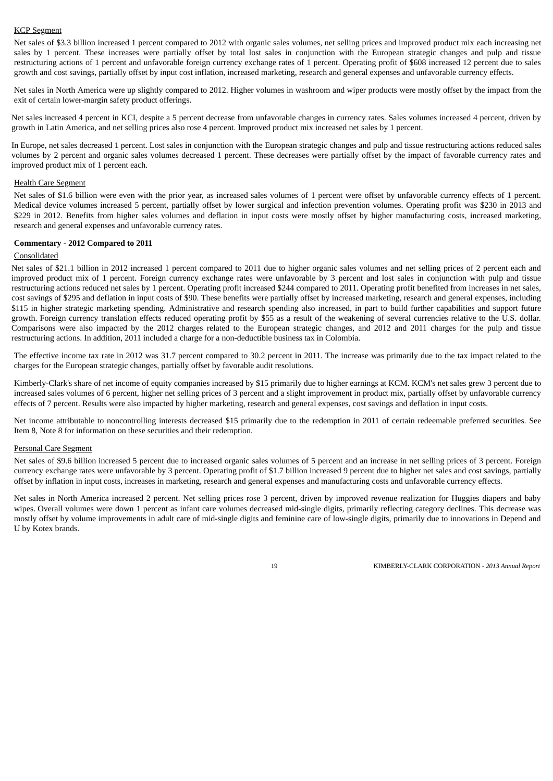#### KCP Segment

Net sales of \$3.3 billion increased 1 percent compared to 2012 with organic sales volumes, net selling prices and improved product mix each increasing net sales by 1 percent. These increases were partially offset by total lost sales in conjunction with the European strategic changes and pulp and tissue restructuring actions of 1 percent and unfavorable foreign currency exchange rates of 1 percent. Operating profit of \$608 increased 12 percent due to sales growth and cost savings, partially offset by input cost inflation, increased marketing, research and general expenses and unfavorable currency effects.

Net sales in North America were up slightly compared to 2012. Higher volumes in washroom and wiper products were mostly offset by the impact from the exit of certain lower-margin safety product offerings.

Net sales increased 4 percent in KCI, despite a 5 percent decrease from unfavorable changes in currency rates. Sales volumes increased 4 percent, driven by growth in Latin America, and net selling prices also rose 4 percent. Improved product mix increased net sales by 1 percent.

In Europe, net sales decreased 1 percent. Lost sales in conjunction with the European strategic changes and pulp and tissue restructuring actions reduced sales volumes by 2 percent and organic sales volumes decreased 1 percent. These decreases were partially offset by the impact of favorable currency rates and improved product mix of 1 percent each.

#### Health Care Segment

Net sales of \$1.6 billion were even with the prior year, as increased sales volumes of 1 percent were offset by unfavorable currency effects of 1 percent. Medical device volumes increased 5 percent, partially offset by lower surgical and infection prevention volumes. Operating profit was \$230 in 2013 and \$229 in 2012. Benefits from higher sales volumes and deflation in input costs were mostly offset by higher manufacturing costs, increased marketing, research and general expenses and unfavorable currency rates.

#### **Commentary - 2012 Compared to 2011**

#### Consolidated

Net sales of \$21.1 billion in 2012 increased 1 percent compared to 2011 due to higher organic sales volumes and net selling prices of 2 percent each and improved product mix of 1 percent. Foreign currency exchange rates were unfavorable by 3 percent and lost sales in conjunction with pulp and tissue restructuring actions reduced net sales by 1 percent. Operating profit increased \$244 compared to 2011. Operating profit benefited from increases in net sales, cost savings of \$295 and deflation in input costs of \$90. These benefits were partially offset by increased marketing, research and general expenses, including \$115 in higher strategic marketing spending. Administrative and research spending also increased, in part to build further capabilities and support future growth. Foreign currency translation effects reduced operating profit by \$55 as a result of the weakening of several currencies relative to the U.S. dollar. Comparisons were also impacted by the 2012 charges related to the European strategic changes, and 2012 and 2011 charges for the pulp and tissue restructuring actions. In addition, 2011 included a charge for a non-deductible business tax in Colombia.

The effective income tax rate in 2012 was 31.7 percent compared to 30.2 percent in 2011. The increase was primarily due to the tax impact related to the charges for the European strategic changes, partially offset by favorable audit resolutions.

Kimberly-Clark's share of net income of equity companies increased by \$15 primarily due to higher earnings at KCM. KCM's net sales grew 3 percent due to increased sales volumes of 6 percent, higher net selling prices of 3 percent and a slight improvement in product mix, partially offset by unfavorable currency effects of 7 percent. Results were also impacted by higher marketing, research and general expenses, cost savings and deflation in input costs.

Net income attributable to noncontrolling interests decreased \$15 primarily due to the redemption in 2011 of certain redeemable preferred securities. See Item 8, Note 8 for information on these securities and their redemption.

#### Personal Care Segment

Net sales of \$9.6 billion increased 5 percent due to increased organic sales volumes of 5 percent and an increase in net selling prices of 3 percent. Foreign currency exchange rates were unfavorable by 3 percent. Operating profit of \$1.7 billion increased 9 percent due to higher net sales and cost savings, partially offset by inflation in input costs, increases in marketing, research and general expenses and manufacturing costs and unfavorable currency effects.

Net sales in North America increased 2 percent. Net selling prices rose 3 percent, driven by improved revenue realization for Huggies diapers and baby wipes. Overall volumes were down 1 percent as infant care volumes decreased mid-single digits, primarily reflecting category declines. This decrease was mostly offset by volume improvements in adult care of mid-single digits and feminine care of low-single digits, primarily due to innovations in Depend and U by Kotex brands.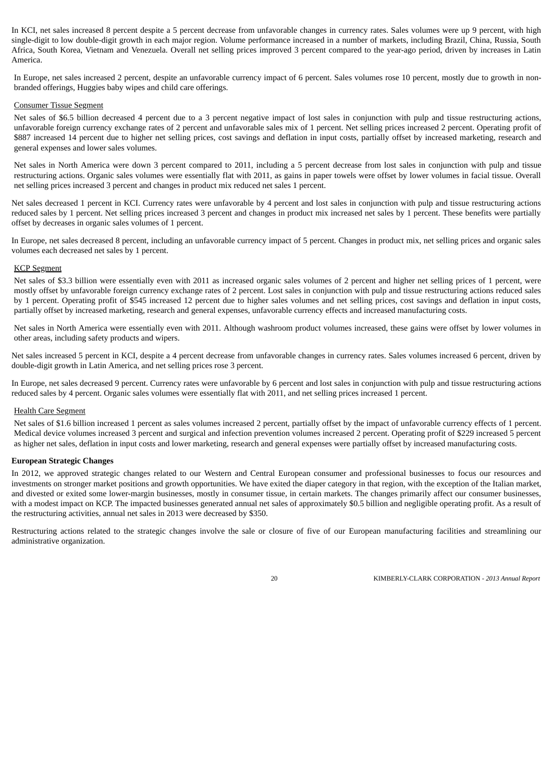In KCI, net sales increased 8 percent despite a 5 percent decrease from unfavorable changes in currency rates. Sales volumes were up 9 percent, with high single-digit to low double-digit growth in each major region. Volume performance increased in a number of markets, including Brazil, China, Russia, South Africa, South Korea, Vietnam and Venezuela. Overall net selling prices improved 3 percent compared to the year-ago period, driven by increases in Latin America.

In Europe, net sales increased 2 percent, despite an unfavorable currency impact of 6 percent. Sales volumes rose 10 percent, mostly due to growth in nonbranded offerings, Huggies baby wipes and child care offerings.

#### Consumer Tissue Segment

Net sales of \$6.5 billion decreased 4 percent due to a 3 percent negative impact of lost sales in conjunction with pulp and tissue restructuring actions, unfavorable foreign currency exchange rates of 2 percent and unfavorable sales mix of 1 percent. Net selling prices increased 2 percent. Operating profit of \$887 increased 14 percent due to higher net selling prices, cost savings and deflation in input costs, partially offset by increased marketing, research and general expenses and lower sales volumes.

Net sales in North America were down 3 percent compared to 2011, including a 5 percent decrease from lost sales in conjunction with pulp and tissue restructuring actions. Organic sales volumes were essentially flat with 2011, as gains in paper towels were offset by lower volumes in facial tissue. Overall net selling prices increased 3 percent and changes in product mix reduced net sales 1 percent.

Net sales decreased 1 percent in KCI. Currency rates were unfavorable by 4 percent and lost sales in conjunction with pulp and tissue restructuring actions reduced sales by 1 percent. Net selling prices increased 3 percent and changes in product mix increased net sales by 1 percent. These benefits were partially offset by decreases in organic sales volumes of 1 percent.

In Europe, net sales decreased 8 percent, including an unfavorable currency impact of 5 percent. Changes in product mix, net selling prices and organic sales volumes each decreased net sales by 1 percent.

#### KCP Segment

Net sales of \$3.3 billion were essentially even with 2011 as increased organic sales volumes of 2 percent and higher net selling prices of 1 percent, were mostly offset by unfavorable foreign currency exchange rates of 2 percent. Lost sales in conjunction with pulp and tissue restructuring actions reduced sales by 1 percent. Operating profit of \$545 increased 12 percent due to higher sales volumes and net selling prices, cost savings and deflation in input costs, partially offset by increased marketing, research and general expenses, unfavorable currency effects and increased manufacturing costs.

Net sales in North America were essentially even with 2011. Although washroom product volumes increased, these gains were offset by lower volumes in other areas, including safety products and wipers.

Net sales increased 5 percent in KCI, despite a 4 percent decrease from unfavorable changes in currency rates. Sales volumes increased 6 percent, driven by double-digit growth in Latin America, and net selling prices rose 3 percent.

In Europe, net sales decreased 9 percent. Currency rates were unfavorable by 6 percent and lost sales in conjunction with pulp and tissue restructuring actions reduced sales by 4 percent. Organic sales volumes were essentially flat with 2011, and net selling prices increased 1 percent.

#### Health Care Segment

Net sales of \$1.6 billion increased 1 percent as sales volumes increased 2 percent, partially offset by the impact of unfavorable currency effects of 1 percent. Medical device volumes increased 3 percent and surgical and infection prevention volumes increased 2 percent. Operating profit of \$229 increased 5 percent as higher net sales, deflation in input costs and lower marketing, research and general expenses were partially offset by increased manufacturing costs.

#### **European Strategic Changes**

In 2012, we approved strategic changes related to our Western and Central European consumer and professional businesses to focus our resources and investments on stronger market positions and growth opportunities. We have exited the diaper category in that region, with the exception of the Italian market, and divested or exited some lower-margin businesses, mostly in consumer tissue, in certain markets. The changes primarily affect our consumer businesses, with a modest impact on KCP. The impacted businesses generated annual net sales of approximately \$0.5 billion and negligible operating profit. As a result of the restructuring activities, annual net sales in 2013 were decreased by \$350.

Restructuring actions related to the strategic changes involve the sale or closure of five of our European manufacturing facilities and streamlining our administrative organization.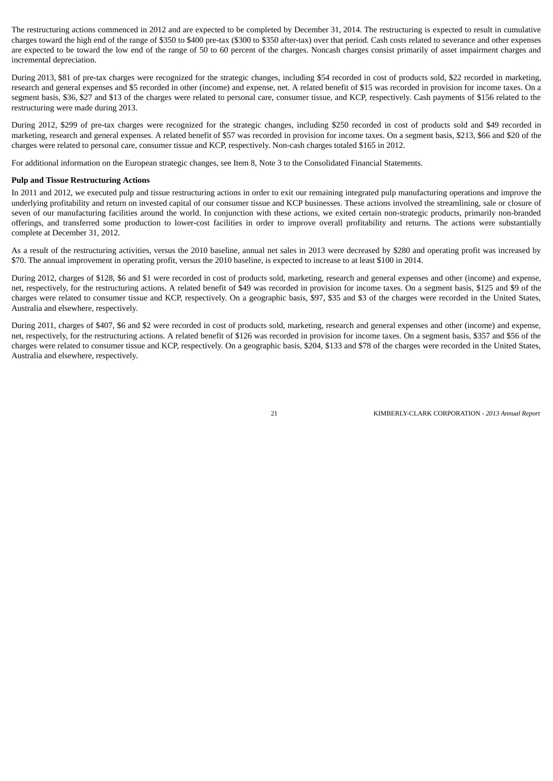The restructuring actions commenced in 2012 and are expected to be completed by December 31, 2014. The restructuring is expected to result in cumulative charges toward the high end of the range of \$350 to \$400 pre-tax (\$300 to \$350 after-tax) over that period. Cash costs related to severance and other expenses are expected to be toward the low end of the range of 50 to 60 percent of the charges. Noncash charges consist primarily of asset impairment charges and incremental depreciation.

During 2013, \$81 of pre-tax charges were recognized for the strategic changes, including \$54 recorded in cost of products sold, \$22 recorded in marketing, research and general expenses and \$5 recorded in other (income) and expense, net. A related benefit of \$15 was recorded in provision for income taxes. On a segment basis, \$36, \$27 and \$13 of the charges were related to personal care, consumer tissue, and KCP, respectively. Cash payments of \$156 related to the restructuring were made during 2013.

During 2012, \$299 of pre-tax charges were recognized for the strategic changes, including \$250 recorded in cost of products sold and \$49 recorded in marketing, research and general expenses. A related benefit of \$57 was recorded in provision for income taxes. On a segment basis, \$213, \$66 and \$20 of the charges were related to personal care, consumer tissue and KCP, respectively. Non-cash charges totaled \$165 in 2012.

For additional information on the European strategic changes, see Item 8, Note 3 to the Consolidated Financial Statements.

#### **Pulp and Tissue Restructuring Actions**

In 2011 and 2012, we executed pulp and tissue restructuring actions in order to exit our remaining integrated pulp manufacturing operations and improve the underlying profitability and return on invested capital of our consumer tissue and KCP businesses. These actions involved the streamlining, sale or closure of seven of our manufacturing facilities around the world. In conjunction with these actions, we exited certain non-strategic products, primarily non-branded offerings, and transferred some production to lower-cost facilities in order to improve overall profitability and returns. The actions were substantially complete at December 31, 2012.

As a result of the restructuring activities, versus the 2010 baseline, annual net sales in 2013 were decreased by \$280 and operating profit was increased by \$70. The annual improvement in operating profit, versus the 2010 baseline, is expected to increase to at least \$100 in 2014.

During 2012, charges of \$128, \$6 and \$1 were recorded in cost of products sold, marketing, research and general expenses and other (income) and expense, net, respectively, for the restructuring actions. A related benefit of \$49 was recorded in provision for income taxes. On a segment basis, \$125 and \$9 of the charges were related to consumer tissue and KCP, respectively. On a geographic basis, \$97, \$35 and \$3 of the charges were recorded in the United States, Australia and elsewhere, respectively.

During 2011, charges of \$407, \$6 and \$2 were recorded in cost of products sold, marketing, research and general expenses and other (income) and expense, net, respectively, for the restructuring actions. A related benefit of \$126 was recorded in provision for income taxes. On a segment basis, \$357 and \$56 of the charges were related to consumer tissue and KCP, respectively. On a geographic basis, \$204, \$133 and \$78 of the charges were recorded in the United States, Australia and elsewhere, respectively.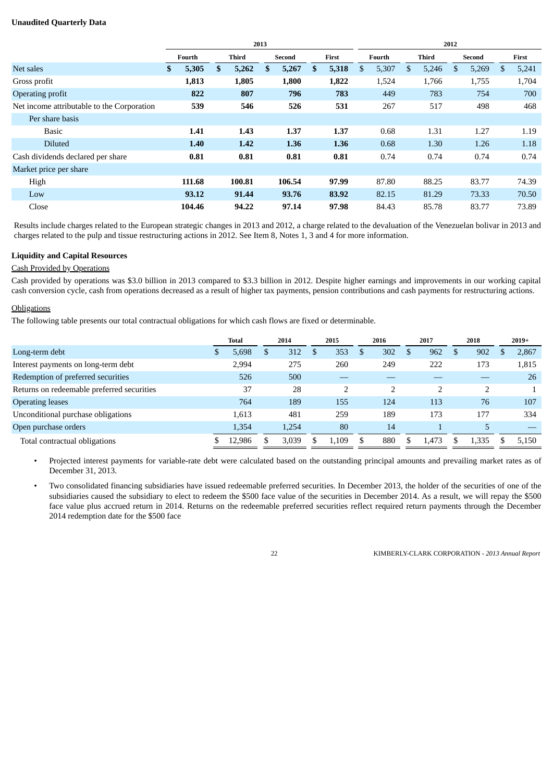#### **Unaudited Quarterly Data**

|                                            | 2013            |        |    |        |    | 2012   |     |        |    |              |    |        |     |       |              |       |
|--------------------------------------------|-----------------|--------|----|--------|----|--------|-----|--------|----|--------------|----|--------|-----|-------|--------------|-------|
|                                            | Third<br>Fourth |        |    | Second |    | First  |     | Fourth |    | <b>Third</b> |    | Second |     | First |              |       |
| Net sales                                  | \$              | 5,305  | \$ | 5,262  | \$ | 5,267  | \$. | 5,318  | \$ | 5,307        | \$ | 5,246  | \$. | 5,269 | $\mathbf{s}$ | 5,241 |
| Gross profit                               |                 | 1,813  |    | 1,805  |    | 1,800  |     | 1,822  |    | 1,524        |    | 1,766  |     | 1,755 |              | 1,704 |
| Operating profit                           |                 | 822    |    | 807    |    | 796    |     | 783    |    | 449          |    | 783    |     | 754   |              | 700   |
| Net income attributable to the Corporation |                 | 539    |    | 546    |    | 526    |     | 531    |    | 267          |    | 517    |     | 498   |              | 468   |
| Per share basis                            |                 |        |    |        |    |        |     |        |    |              |    |        |     |       |              |       |
| <b>Basic</b>                               |                 | 1.41   |    | 1.43   |    | 1.37   |     | 1.37   |    | 0.68         |    | 1.31   |     | 1.27  |              | 1.19  |
| <b>Diluted</b>                             |                 | 1.40   |    | 1.42   |    | 1.36   |     | 1.36   |    | 0.68         |    | 1.30   |     | 1.26  |              | 1.18  |
| Cash dividends declared per share          |                 | 0.81   |    | 0.81   |    | 0.81   |     | 0.81   |    | 0.74         |    | 0.74   |     | 0.74  |              | 0.74  |
| Market price per share                     |                 |        |    |        |    |        |     |        |    |              |    |        |     |       |              |       |
| High                                       |                 | 111.68 |    | 100.81 |    | 106.54 |     | 97.99  |    | 87.80        |    | 88.25  |     | 83.77 |              | 74.39 |
| Low                                        |                 | 93.12  |    | 91.44  |    | 93.76  |     | 83.92  |    | 82.15        |    | 81.29  |     | 73.33 |              | 70.50 |
| Close                                      |                 | 104.46 |    | 94.22  |    | 97.14  |     | 97.98  |    | 84.43        |    | 85.78  |     | 83.77 |              | 73.89 |

Results include charges related to the European strategic changes in 2013 and 2012, a charge related to the devaluation of the Venezuelan bolivar in 2013 and charges related to the pulp and tissue restructuring actions in 2012. See Item 8, Notes 1, 3 and 4 for more information.

#### **Liquidity and Capital Resources**

#### Cash Provided by Operations

Cash provided by operations was \$3.0 billion in 2013 compared to \$3.3 billion in 2012. Despite higher earnings and improvements in our working capital cash conversion cycle, cash from operations decreased as a result of higher tax payments, pension contributions and cash payments for restructuring actions.

#### **Obligations**

The following table presents our total contractual obligations for which cash flows are fixed or determinable.

|                                            | <b>Total</b> |   | 2014  | 2015 |    | 2016 |   | 2017 |    | 2018 | $2019+$ |
|--------------------------------------------|--------------|---|-------|------|----|------|---|------|----|------|---------|
| Long-term debt                             | 5,698        | S | 312   | 353  | -S | 302  | S | 962  | -S | 902  | 2,867   |
| Interest payments on long-term debt        | 2,994        |   | 275   | 260  |    | 249  |   | 222  |    | 173  | 1,815   |
| Redemption of preferred securities         | 526          |   | 500   |      |    |      |   |      |    |      | 26      |
| Returns on redeemable preferred securities | 37           |   | 28    | ר    |    |      |   |      |    | ר    |         |
| <b>Operating leases</b>                    | 764          |   | 189   | 155  |    | 124  |   | 113  |    | 76   | 107     |
| Unconditional purchase obligations         | 1,613        |   | 481   | 259  |    | 189  |   | 173  |    | 177  | 334     |
| Open purchase orders                       | 1,354        |   | 1,254 | 80   |    | 14   |   |      |    |      |         |
| Total contractual obligations              | 12.986       |   | 3.039 | .109 | .S | 880  |   | .473 |    | .335 | 5.150   |

• Projected interest payments for variable-rate debt were calculated based on the outstanding principal amounts and prevailing market rates as of December 31, 2013.

• Two consolidated financing subsidiaries have issued redeemable preferred securities. In December 2013, the holder of the securities of one of the subsidiaries caused the subsidiary to elect to redeem the \$500 face value of the securities in December 2014. As a result, we will repay the \$500 face value plus accrued return in 2014. Returns on the redeemable preferred securities reflect required return payments through the December 2014 redemption date for the \$500 face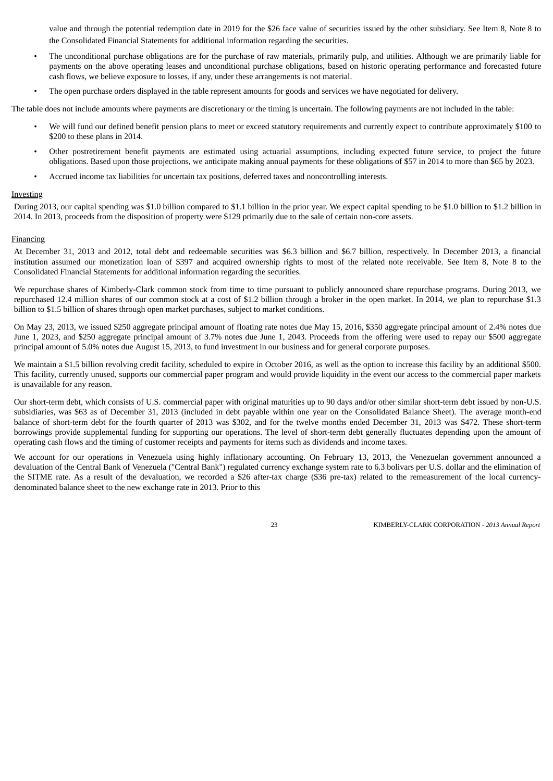value and through the potential redemption date in 2019 for the \$26 face value of securities issued by the other subsidiary. See Item 8, Note 8 to the Consolidated Financial Statements for additional information regarding the securities.

- The unconditional purchase obligations are for the purchase of raw materials, primarily pulp, and utilities. Although we are primarily liable for payments on the above operating leases and unconditional purchase obligations, based on historic operating performance and forecasted future cash flows, we believe exposure to losses, if any, under these arrangements is not material.
- The open purchase orders displayed in the table represent amounts for goods and services we have negotiated for delivery.

The table does not include amounts where payments are discretionary or the timing is uncertain. The following payments are not included in the table:

- We will fund our defined benefit pension plans to meet or exceed statutory requirements and currently expect to contribute approximately \$100 to \$200 to these plans in 2014.
- Other postretirement benefit payments are estimated using actuarial assumptions, including expected future service, to project the future obligations. Based upon those projections, we anticipate making annual payments for these obligations of \$57 in 2014 to more than \$65 by 2023.
- Accrued income tax liabilities for uncertain tax positions, deferred taxes and noncontrolling interests.

#### Investing

During 2013, our capital spending was \$1.0 billion compared to \$1.1 billion in the prior year. We expect capital spending to be \$1.0 billion to \$1.2 billion in 2014. In 2013, proceeds from the disposition of property were \$129 primarily due to the sale of certain non-core assets.

#### **Financing**

At December 31, 2013 and 2012, total debt and redeemable securities was \$6.3 billion and \$6.7 billion, respectively. In December 2013, a financial institution assumed our monetization loan of \$397 and acquired ownership rights to most of the related note receivable. See Item 8, Note 8 to the Consolidated Financial Statements for additional information regarding the securities.

We repurchase shares of Kimberly-Clark common stock from time to time pursuant to publicly announced share repurchase programs. During 2013, we repurchased 12.4 million shares of our common stock at a cost of \$1.2 billion through a broker in the open market. In 2014, we plan to repurchase \$1.3 billion to \$1.5 billion of shares through open market purchases, subject to market conditions.

On May 23, 2013, we issued \$250 aggregate principal amount of floating rate notes due May 15, 2016, \$350 aggregate principal amount of 2.4% notes due June 1, 2023, and \$250 aggregate principal amount of 3.7% notes due June 1, 2043. Proceeds from the offering were used to repay our \$500 aggregate principal amount of 5.0% notes due August 15, 2013, to fund investment in our business and for general corporate purposes.

We maintain a \$1.5 billion revolving credit facility, scheduled to expire in October 2016, as well as the option to increase this facility by an additional \$500. This facility, currently unused, supports our commercial paper program and would provide liquidity in the event our access to the commercial paper markets is unavailable for any reason.

Our short-term debt, which consists of U.S. commercial paper with original maturities up to 90 days and/or other similar short-term debt issued by non-U.S. subsidiaries, was \$63 as of December 31, 2013 (included in debt payable within one year on the Consolidated Balance Sheet). The average month-end balance of short-term debt for the fourth quarter of 2013 was \$302, and for the twelve months ended December 31, 2013 was \$472. These short-term borrowings provide supplemental funding for supporting our operations. The level of short-term debt generally fluctuates depending upon the amount of operating cash flows and the timing of customer receipts and payments for items such as dividends and income taxes.

We account for our operations in Venezuela using highly inflationary accounting. On February 13, 2013, the Venezuelan government announced a devaluation of the Central Bank of Venezuela ("Central Bank") regulated currency exchange system rate to 6.3 bolivars per U.S. dollar and the elimination of the SITME rate. As a result of the devaluation, we recorded a \$26 after-tax charge (\$36 pre-tax) related to the remeasurement of the local currencydenominated balance sheet to the new exchange rate in 2013. Prior to this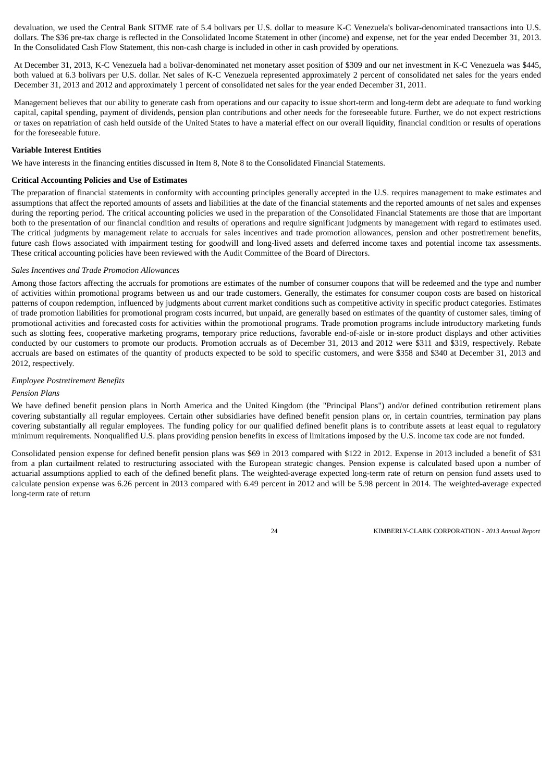devaluation, we used the Central Bank SITME rate of 5.4 bolivars per U.S. dollar to measure K*-*C Venezuela's bolivar-denominated transactions into U.S. dollars. The \$36 pre-tax charge is reflected in the Consolidated Income Statement in other (income) and expense, net for the year ended December 31, 2013. In the Consolidated Cash Flow Statement, this non-cash charge is included in other in cash provided by operations.

At December 31, 2013, K-C Venezuela had a bolivar-denominated net monetary asset position of \$309 and our net investment in K-C Venezuela was \$445, both valued at 6.3 bolivars per U.S. dollar. Net sales of K-C Venezuela represented approximately 2 percent of consolidated net sales for the years ended December 31, 2013 and 2012 and approximately 1 percent of consolidated net sales for the year ended December 31, 2011.

Management believes that our ability to generate cash from operations and our capacity to issue short-term and long-term debt are adequate to fund working capital, capital spending, payment of dividends, pension plan contributions and other needs for the foreseeable future. Further, we do not expect restrictions or taxes on repatriation of cash held outside of the United States to have a material effect on our overall liquidity, financial condition or results of operations for the foreseeable future.

#### **Variable Interest Entities**

We have interests in the financing entities discussed in Item 8, Note 8 to the Consolidated Financial Statements.

#### **Critical Accounting Policies and Use of Estimates**

The preparation of financial statements in conformity with accounting principles generally accepted in the U.S. requires management to make estimates and assumptions that affect the reported amounts of assets and liabilities at the date of the financial statements and the reported amounts of net sales and expenses during the reporting period. The critical accounting policies we used in the preparation of the Consolidated Financial Statements are those that are important both to the presentation of our financial condition and results of operations and require significant judgments by management with regard to estimates used. The critical judgments by management relate to accruals for sales incentives and trade promotion allowances, pension and other postretirement benefits, future cash flows associated with impairment testing for goodwill and long-lived assets and deferred income taxes and potential income tax assessments. These critical accounting policies have been reviewed with the Audit Committee of the Board of Directors.

#### *Sales Incentives and Trade Promotion Allowances*

Among those factors affecting the accruals for promotions are estimates of the number of consumer coupons that will be redeemed and the type and number of activities within promotional programs between us and our trade customers. Generally, the estimates for consumer coupon costs are based on historical patterns of coupon redemption, influenced by judgments about current market conditions such as competitive activity in specific product categories. Estimates of trade promotion liabilities for promotional program costs incurred, but unpaid, are generally based on estimates of the quantity of customer sales, timing of promotional activities and forecasted costs for activities within the promotional programs. Trade promotion programs include introductory marketing funds such as slotting fees, cooperative marketing programs, temporary price reductions, favorable end-of-aisle or in-store product displays and other activities conducted by our customers to promote our products. Promotion accruals as of December 31, 2013 and 2012 were \$311 and \$319, respectively. Rebate accruals are based on estimates of the quantity of products expected to be sold to specific customers, and were \$358 and \$340 at December 31, 2013 and 2012, respectively.

#### *Employee Postretirement Benefits*

#### *Pension Plans*

We have defined benefit pension plans in North America and the United Kingdom (the "Principal Plans") and/or defined contribution retirement plans covering substantially all regular employees. Certain other subsidiaries have defined benefit pension plans or, in certain countries, termination pay plans covering substantially all regular employees. The funding policy for our qualified defined benefit plans is to contribute assets at least equal to regulatory minimum requirements. Nonqualified U.S. plans providing pension benefits in excess of limitations imposed by the U.S. income tax code are not funded.

Consolidated pension expense for defined benefit pension plans was \$69 in 2013 compared with \$122 in 2012. Expense in 2013 included a benefit of \$31 from a plan curtailment related to restructuring associated with the European strategic changes. Pension expense is calculated based upon a number of actuarial assumptions applied to each of the defined benefit plans. The weighted-average expected long-term rate of return on pension fund assets used to calculate pension expense was 6.26 percent in 2013 compared with 6.49 percent in 2012 and will be 5.98 percent in 2014. The weighted-average expected long-term rate of return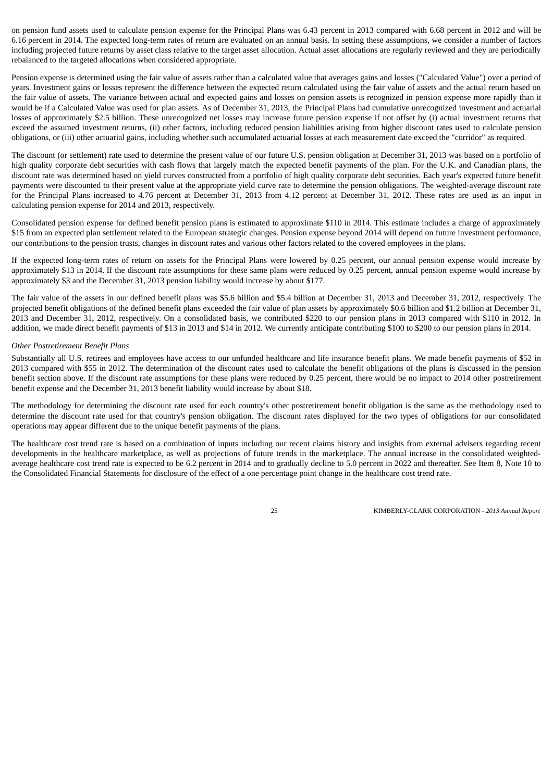on pension fund assets used to calculate pension expense for the Principal Plans was 6.43 percent in 2013 compared with 6.68 percent in 2012 and will be 6.16 percent in 2014. The expected long-term rates of return are evaluated on an annual basis. In setting these assumptions, we consider a number of factors including projected future returns by asset class relative to the target asset allocation. Actual asset allocations are regularly reviewed and they are periodically rebalanced to the targeted allocations when considered appropriate.

Pension expense is determined using the fair value of assets rather than a calculated value that averages gains and losses ("Calculated Value") over a period of years. Investment gains or losses represent the difference between the expected return calculated using the fair value of assets and the actual return based on the fair value of assets. The variance between actual and expected gains and losses on pension assets is recognized in pension expense more rapidly than it would be if a Calculated Value was used for plan assets. As of December 31, 2013, the Principal Plans had cumulative unrecognized investment and actuarial losses of approximately \$2.5 billion. These unrecognized net losses may increase future pension expense if not offset by (i) actual investment returns that exceed the assumed investment returns, (ii) other factors, including reduced pension liabilities arising from higher discount rates used to calculate pension obligations, or (iii) other actuarial gains, including whether such accumulated actuarial losses at each measurement date exceed the "corridor" as required*.*

The discount (or settlement) rate used to determine the present value of our future U.S. pension obligation at December 31, 2013 was based on a portfolio of high quality corporate debt securities with cash flows that largely match the expected benefit payments of the plan. For the U.K. and Canadian plans, the discount rate was determined based on yield curves constructed from a portfolio of high quality corporate debt securities. Each year's expected future benefit payments were discounted to their present value at the appropriate yield curve rate to determine the pension obligations. The weighted-average discount rate for the Principal Plans increased to 4.76 percent at December 31, 2013 from 4.12 percent at December 31, 2012. These rates are used as an input in calculating pension expense for 2014 and 2013, respectively.

Consolidated pension expense for defined benefit pension plans is estimated to approximate \$110 in 2014. This estimate includes a charge of approximately \$15 from an expected plan settlement related to the European strategic changes. Pension expense beyond 2014 will depend on future investment performance, our contributions to the pension trusts, changes in discount rates and various other factors related to the covered employees in the plans.

If the expected long-term rates of return on assets for the Principal Plans were lowered by 0.25 percent, our annual pension expense would increase by approximately \$13 in 2014. If the discount rate assumptions for these same plans were reduced by 0.25 percent, annual pension expense would increase by approximately \$3 and the December 31, 2013 pension liability would increase by about \$177.

The fair value of the assets in our defined benefit plans was \$5.6 billion and \$5.4 billion at December 31, 2013 and December 31, 2012, respectively. The projected benefit obligations of the defined benefit plans exceeded the fair value of plan assets by approximately \$0.6 billion and \$1.2 billion at December 31, 2013 and December 31, 2012, respectively. On a consolidated basis, we contributed \$220 to our pension plans in 2013 compared with \$110 in 2012. In addition, we made direct benefit payments of \$13 in 2013 and \$14 in 2012. We currently anticipate contributing \$100 to \$200 to our pension plans in 2014.

#### *Other Postretirement Benefit Plans*

Substantially all U.S. retirees and employees have access to our unfunded healthcare and life insurance benefit plans. We made benefit payments of \$52 in 2013 compared with \$55 in 2012. The determination of the discount rates used to calculate the benefit obligations of the plans is discussed in the pension benefit section above. If the discount rate assumptions for these plans were reduced by 0.25 percent, there would be no impact to 2014 other postretirement benefit expense and the December 31, 2013 benefit liability would increase by about \$18.

The methodology for determining the discount rate used for each country's other postretirement benefit obligation is the same as the methodology used to determine the discount rate used for that country's pension obligation. The discount rates displayed for the two types of obligations for our consolidated operations may appear different due to the unique benefit payments of the plans.

The healthcare cost trend rate is based on a combination of inputs including our recent claims history and insights from external advisers regarding recent developments in the healthcare marketplace, as well as projections of future trends in the marketplace. The annual increase in the consolidated weightedaverage healthcare cost trend rate is expected to be 6.2 percent in 2014 and to gradually decline to 5.0 percent in 2022 and thereafter. See Item 8, Note 10 to the Consolidated Financial Statements for disclosure of the effect of a one percentage point change in the healthcare cost trend rate.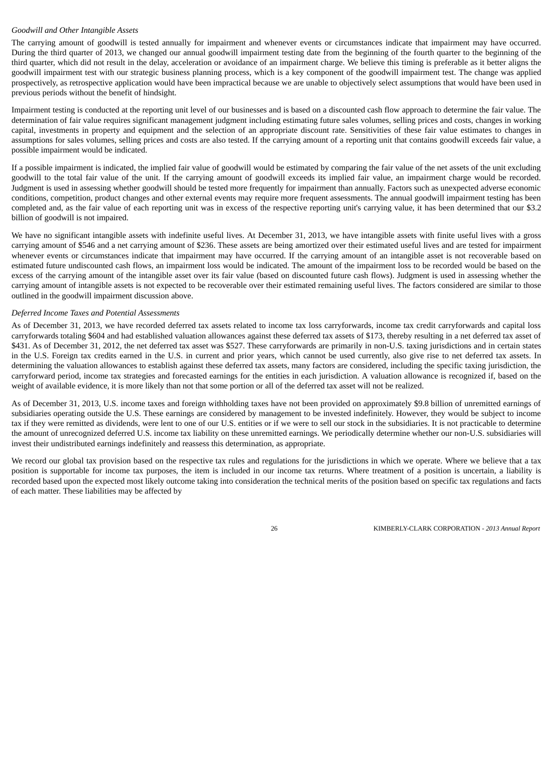#### *Goodwill and Other Intangible Assets*

The carrying amount of goodwill is tested annually for impairment and whenever events or circumstances indicate that impairment may have occurred. During the third quarter of 2013, we changed our annual goodwill impairment testing date from the beginning of the fourth quarter to the beginning of the third quarter, which did not result in the delay, acceleration or avoidance of an impairment charge. We believe this timing is preferable as it better aligns the goodwill impairment test with our strategic business planning process, which is a key component of the goodwill impairment test. The change was applied prospectively, as retrospective application would have been impractical because we are unable to objectively select assumptions that would have been used in previous periods without the benefit of hindsight.

Impairment testing is conducted at the reporting unit level of our businesses and is based on a discounted cash flow approach to determine the fair value. The determination of fair value requires significant management judgment including estimating future sales volumes, selling prices and costs, changes in working capital, investments in property and equipment and the selection of an appropriate discount rate. Sensitivities of these fair value estimates to changes in assumptions for sales volumes, selling prices and costs are also tested. If the carrying amount of a reporting unit that contains goodwill exceeds fair value, a possible impairment would be indicated.

If a possible impairment is indicated, the implied fair value of goodwill would be estimated by comparing the fair value of the net assets of the unit excluding goodwill to the total fair value of the unit. If the carrying amount of goodwill exceeds its implied fair value, an impairment charge would be recorded. Judgment is used in assessing whether goodwill should be tested more frequently for impairment than annually. Factors such as unexpected adverse economic conditions, competition, product changes and other external events may require more frequent assessments. The annual goodwill impairment testing has been completed and, as the fair value of each reporting unit was in excess of the respective reporting unit's carrying value, it has been determined that our \$3.2 billion of goodwill is not impaired.

We have no significant intangible assets with indefinite useful lives. At December 31, 2013, we have intangible assets with finite useful lives with a gross carrying amount of \$546 and a net carrying amount of \$236. These assets are being amortized over their estimated useful lives and are tested for impairment whenever events or circumstances indicate that impairment may have occurred. If the carrying amount of an intangible asset is not recoverable based on estimated future undiscounted cash flows, an impairment loss would be indicated. The amount of the impairment loss to be recorded would be based on the excess of the carrying amount of the intangible asset over its fair value (based on discounted future cash flows). Judgment is used in assessing whether the carrying amount of intangible assets is not expected to be recoverable over their estimated remaining useful lives. The factors considered are similar to those outlined in the goodwill impairment discussion above.

# *Deferred Income Taxes and Potential Assessments*

As of December 31, 2013, we have recorded deferred tax assets related to income tax loss carryforwards, income tax credit carryforwards and capital loss carryforwards totaling \$604 and had established valuation allowances against these deferred tax assets of \$173, thereby resulting in a net deferred tax asset of \$431. As of December 31, 2012, the net deferred tax asset was \$527. These carryforwards are primarily in non-U.S. taxing jurisdictions and in certain states in the U.S. Foreign tax credits earned in the U.S. in current and prior years, which cannot be used currently, also give rise to net deferred tax assets. In determining the valuation allowances to establish against these deferred tax assets, many factors are considered, including the specific taxing jurisdiction, the carryforward period, income tax strategies and forecasted earnings for the entities in each jurisdiction. A valuation allowance is recognized if, based on the weight of available evidence, it is more likely than not that some portion or all of the deferred tax asset will not be realized.

As of December 31, 2013, U.S. income taxes and foreign withholding taxes have not been provided on approximately \$9.8 billion of unremitted earnings of subsidiaries operating outside the U.S. These earnings are considered by management to be invested indefinitely. However, they would be subject to income tax if they were remitted as dividends, were lent to one of our U.S. entities or if we were to sell our stock in the subsidiaries. It is not practicable to determine the amount of unrecognized deferred U.S. income tax liability on these unremitted earnings. We periodically determine whether our non-U.S. subsidiaries will invest their undistributed earnings indefinitely and reassess this determination, as appropriate.

We record our global tax provision based on the respective tax rules and regulations for the jurisdictions in which we operate. Where we believe that a tax position is supportable for income tax purposes, the item is included in our income tax returns. Where treatment of a position is uncertain, a liability is recorded based upon the expected most likely outcome taking into consideration the technical merits of the position based on specific tax regulations and facts of each matter. These liabilities may be affected by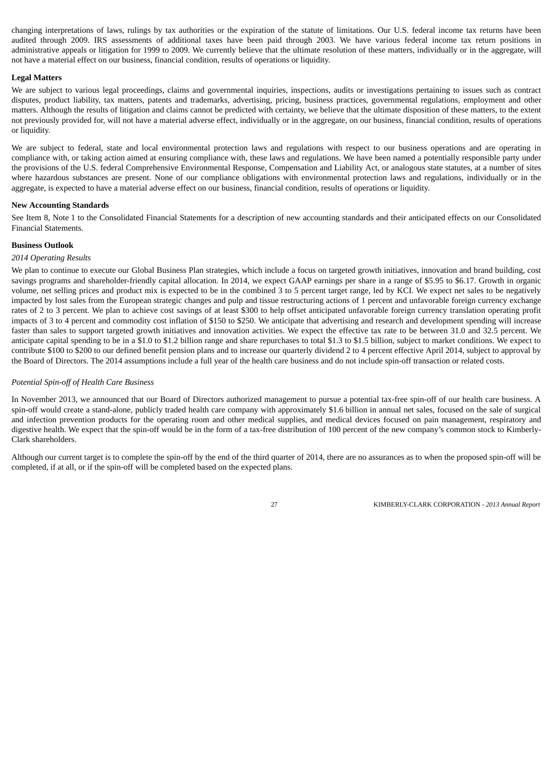changing interpretations of laws, rulings by tax authorities or the expiration of the statute of limitations. Our U.S. federal income tax returns have been audited through 2009. IRS assessments of additional taxes have been paid through 2003. We have various federal income tax return positions in administrative appeals or litigation for 1999 to 2009. We currently believe that the ultimate resolution of these matters, individually or in the aggregate, will not have a material effect on our business, financial condition, results of operations or liquidity.

#### **Legal Matters**

We are subject to various legal proceedings, claims and governmental inquiries, inspections, audits or investigations pertaining to issues such as contract disputes, product liability, tax matters, patents and trademarks, advertising, pricing, business practices, governmental regulations, employment and other matters. Although the results of litigation and claims cannot be predicted with certainty, we believe that the ultimate disposition of these matters, to the extent not previously provided for, will not have a material adverse effect, individually or in the aggregate, on our business, financial condition, results of operations or liquidity.

We are subject to federal, state and local environmental protection laws and regulations with respect to our business operations and are operating in compliance with, or taking action aimed at ensuring compliance with, these laws and regulations. We have been named a potentially responsible party under the provisions of the U.S. federal Comprehensive Environmental Response, Compensation and Liability Act, or analogous state statutes, at a number of sites where hazardous substances are present. None of our compliance obligations with environmental protection laws and regulations, individually or in the aggregate, is expected to have a material adverse effect on our business, financial condition, results of operations or liquidity.

#### **New Accounting Standards**

See Item 8, Note 1 to the Consolidated Financial Statements for a description of new accounting standards and their anticipated effects on our Consolidated Financial Statements.

#### **Business Outlook**

#### *2014 Operating Results*

We plan to continue to execute our Global Business Plan strategies, which include a focus on targeted growth initiatives, innovation and brand building, cost savings programs and shareholder-friendly capital allocation. In 2014, we expect GAAP earnings per share in a range of \$5.95 to \$6.17. Growth in organic volume, net selling prices and product mix is expected to be in the combined 3 to 5 percent target range, led by KCI. We expect net sales to be negatively impacted by lost sales from the European strategic changes and pulp and tissue restructuring actions of 1 percent and unfavorable foreign currency exchange rates of 2 to 3 percent. We plan to achieve cost savings of at least \$300 to help offset anticipated unfavorable foreign currency translation operating profit impacts of 3 to 4 percent and commodity cost inflation of \$150 to \$250. We anticipate that advertising and research and development spending will increase faster than sales to support targeted growth initiatives and innovation activities. We expect the effective tax rate to be between 31.0 and 32.5 percent. We anticipate capital spending to be in a \$1.0 to \$1.2 billion range and share repurchases to total \$1.3 to \$1.5 billion, subject to market conditions. We expect to contribute \$100 to \$200 to our defined benefit pension plans and to increase our quarterly dividend 2 to 4 percent effective April 2014, subject to approval by the Board of Directors. The 2014 assumptions include a full year of the health care business and do not include spin-off transaction or related costs.

#### *Potential Spin-off of Health Care Business*

In November 2013, we announced that our Board of Directors authorized management to pursue a potential tax-free spin-off of our health care business. A spin-off would create a stand-alone, publicly traded health care company with approximately \$1.6 billion in annual net sales, focused on the sale of surgical and infection prevention products for the operating room and other medical supplies, and medical devices focused on pain management, respiratory and digestive health. We expect that the spin-off would be in the form of a tax-free distribution of 100 percent of the new company's common stock to Kimberly-Clark shareholders.

Although our current target is to complete the spin-off by the end of the third quarter of 2014, there are no assurances as to when the proposed spin-off will be completed, if at all, or if the spin-off will be completed based on the expected plans.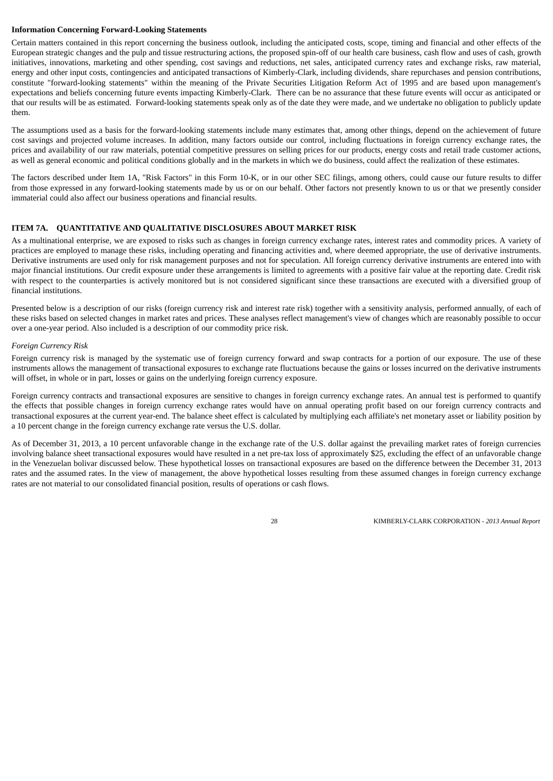#### **Information Concerning Forward-Looking Statements**

Certain matters contained in this report concerning the business outlook, including the anticipated costs, scope, timing and financial and other effects of the European strategic changes and the pulp and tissue restructuring actions, the proposed spin-off of our health care business, cash flow and uses of cash, growth initiatives, innovations, marketing and other spending, cost savings and reductions, net sales, anticipated currency rates and exchange risks, raw material, energy and other input costs, contingencies and anticipated transactions of Kimberly-Clark, including dividends, share repurchases and pension contributions, constitute "forward-looking statements" within the meaning of the Private Securities Litigation Reform Act of 1995 and are based upon management's expectations and beliefs concerning future events impacting Kimberly-Clark. There can be no assurance that these future events will occur as anticipated or that our results will be as estimated. Forward-looking statements speak only as of the date they were made, and we undertake no obligation to publicly update them.

The assumptions used as a basis for the forward-looking statements include many estimates that, among other things, depend on the achievement of future cost savings and projected volume increases. In addition, many factors outside our control, including fluctuations in foreign currency exchange rates, the prices and availability of our raw materials, potential competitive pressures on selling prices for our products, energy costs and retail trade customer actions, as well as general economic and political conditions globally and in the markets in which we do business, could affect the realization of these estimates.

The factors described under Item 1A, "Risk Factors" in this Form 10-K, or in our other SEC filings, among others, could cause our future results to differ from those expressed in any forward-looking statements made by us or on our behalf. Other factors not presently known to us or that we presently consider immaterial could also affect our business operations and financial results.

#### <span id="page-29-0"></span>**ITEM 7A. QUANTITATIVE AND QUALITATIVE DISCLOSURES ABOUT MARKET RISK**

As a multinational enterprise, we are exposed to risks such as changes in foreign currency exchange rates, interest rates and commodity prices. A variety of practices are employed to manage these risks, including operating and financing activities and, where deemed appropriate, the use of derivative instruments. Derivative instruments are used only for risk management purposes and not for speculation. All foreign currency derivative instruments are entered into with major financial institutions. Our credit exposure under these arrangements is limited to agreements with a positive fair value at the reporting date. Credit risk with respect to the counterparties is actively monitored but is not considered significant since these transactions are executed with a diversified group of financial institutions.

Presented below is a description of our risks (foreign currency risk and interest rate risk) together with a sensitivity analysis, performed annually, of each of these risks based on selected changes in market rates and prices. These analyses reflect management's view of changes which are reasonably possible to occur over a one-year period. Also included is a description of our commodity price risk.

#### *Foreign Currency Risk*

Foreign currency risk is managed by the systematic use of foreign currency forward and swap contracts for a portion of our exposure. The use of these instruments allows the management of transactional exposures to exchange rate fluctuations because the gains or losses incurred on the derivative instruments will offset, in whole or in part, losses or gains on the underlying foreign currency exposure.

Foreign currency contracts and transactional exposures are sensitive to changes in foreign currency exchange rates. An annual test is performed to quantify the effects that possible changes in foreign currency exchange rates would have on annual operating profit based on our foreign currency contracts and transactional exposures at the current year-end. The balance sheet effect is calculated by multiplying each affiliate's net monetary asset or liability position by a 10 percent change in the foreign currency exchange rate versus the U.S. dollar.

As of December 31, 2013, a 10 percent unfavorable change in the exchange rate of the U.S. dollar against the prevailing market rates of foreign currencies involving balance sheet transactional exposures would have resulted in a net pre-tax loss of approximately \$25, excluding the effect of an unfavorable change in the Venezuelan bolivar discussed below. These hypothetical losses on transactional exposures are based on the difference between the December 31, 2013 rates and the assumed rates. In the view of management, the above hypothetical losses resulting from these assumed changes in foreign currency exchange rates are not material to our consolidated financial position, results of operations or cash flows.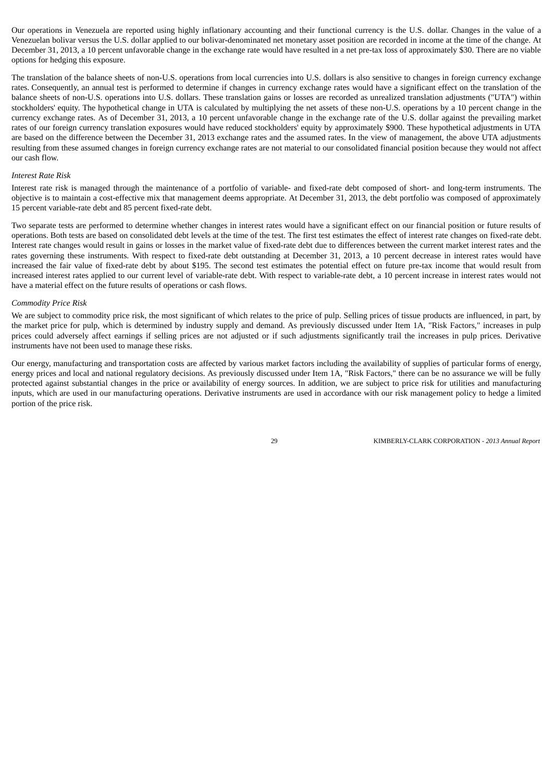Our operations in Venezuela are reported using highly inflationary accounting and their functional currency is the U.S. dollar. Changes in the value of a Venezuelan bolivar versus the U.S. dollar applied to our bolivar-denominated net monetary asset position are recorded in income at the time of the change. At December 31, 2013, a 10 percent unfavorable change in the exchange rate would have resulted in a net pre-tax loss of approximately \$30. There are no viable options for hedging this exposure.

The translation of the balance sheets of non-U.S. operations from local currencies into U.S. dollars is also sensitive to changes in foreign currency exchange rates. Consequently, an annual test is performed to determine if changes in currency exchange rates would have a significant effect on the translation of the balance sheets of non-U.S. operations into U.S. dollars. These translation gains or losses are recorded as unrealized translation adjustments ("UTA") within stockholders' equity. The hypothetical change in UTA is calculated by multiplying the net assets of these non-U.S. operations by a 10 percent change in the currency exchange rates. As of December 31, 2013, a 10 percent unfavorable change in the exchange rate of the U.S. dollar against the prevailing market rates of our foreign currency translation exposures would have reduced stockholders' equity by approximately \$900. These hypothetical adjustments in UTA are based on the difference between the December 31, 2013 exchange rates and the assumed rates. In the view of management, the above UTA adjustments resulting from these assumed changes in foreign currency exchange rates are not material to our consolidated financial position because they would not affect our cash flow.

#### *Interest Rate Risk*

Interest rate risk is managed through the maintenance of a portfolio of variable- and fixed-rate debt composed of short- and long-term instruments. The objective is to maintain a cost-effective mix that management deems appropriate. At December 31, 2013, the debt portfolio was composed of approximately 15 percent variable-rate debt and 85 percent fixed-rate debt.

Two separate tests are performed to determine whether changes in interest rates would have a significant effect on our financial position or future results of operations. Both tests are based on consolidated debt levels at the time of the test. The first test estimates the effect of interest rate changes on fixed-rate debt. Interest rate changes would result in gains or losses in the market value of fixed-rate debt due to differences between the current market interest rates and the rates governing these instruments. With respect to fixed-rate debt outstanding at December 31, 2013, a 10 percent decrease in interest rates would have increased the fair value of fixed-rate debt by about \$195. The second test estimates the potential effect on future pre-tax income that would result from increased interest rates applied to our current level of variable-rate debt. With respect to variable-rate debt, a 10 percent increase in interest rates would not have a material effect on the future results of operations or cash flows.

#### *Commodity Price Risk*

We are subject to commodity price risk, the most significant of which relates to the price of pulp. Selling prices of tissue products are influenced, in part, by the market price for pulp, which is determined by industry supply and demand. As previously discussed under Item 1A, "Risk Factors," increases in pulp prices could adversely affect earnings if selling prices are not adjusted or if such adjustments significantly trail the increases in pulp prices. Derivative instruments have not been used to manage these risks.

<span id="page-30-0"></span>Our energy, manufacturing and transportation costs are affected by various market factors including the availability of supplies of particular forms of energy, energy prices and local and national regulatory decisions. As previously discussed under Item 1A, "Risk Factors," there can be no assurance we will be fully protected against substantial changes in the price or availability of energy sources. In addition, we are subject to price risk for utilities and manufacturing inputs, which are used in our manufacturing operations. Derivative instruments are used in accordance with our risk management policy to hedge a limited portion of the price risk.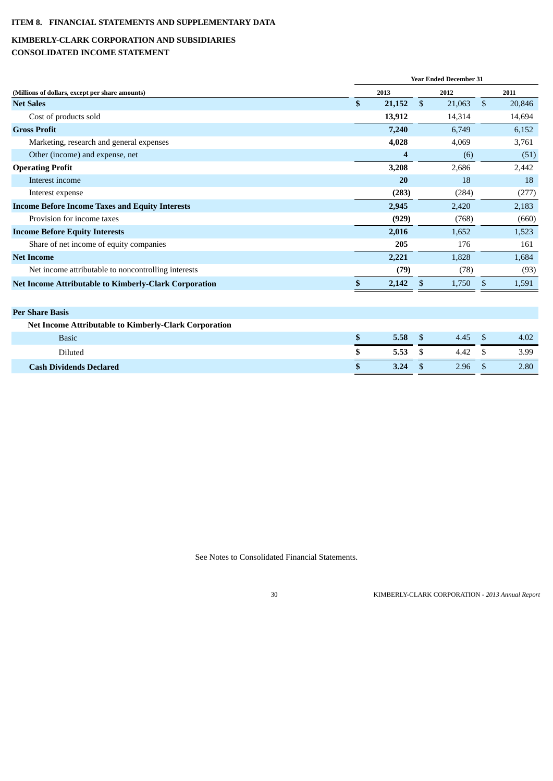# **ITEM 8. FINANCIAL STATEMENTS AND SUPPLEMENTARY DATA**

# **KIMBERLY-CLARK CORPORATION AND SUBSIDIARIES CONSOLIDATED INCOME STATEMENT**

|                                                        |      | <b>Year Ended December 31</b> |                           |        |                |        |  |  |  |  |  |
|--------------------------------------------------------|------|-------------------------------|---------------------------|--------|----------------|--------|--|--|--|--|--|
| (Millions of dollars, except per share amounts)        | 2013 |                               |                           | 2012   | 2011           |        |  |  |  |  |  |
| <b>Net Sales</b>                                       | \$   | 21,152                        | $\mathfrak{S}$            | 21,063 | $\mathfrak{S}$ | 20,846 |  |  |  |  |  |
| Cost of products sold                                  |      | 13,912                        |                           | 14,314 |                | 14,694 |  |  |  |  |  |
| <b>Gross Profit</b>                                    |      | 7,240                         |                           | 6,749  |                | 6,152  |  |  |  |  |  |
| Marketing, research and general expenses               |      | 4,028                         |                           | 4,069  |                | 3,761  |  |  |  |  |  |
| Other (income) and expense, net                        |      | $\boldsymbol{4}$              |                           | (6)    |                | (51)   |  |  |  |  |  |
| <b>Operating Profit</b>                                |      | 3,208                         |                           | 2,686  |                | 2,442  |  |  |  |  |  |
| Interest income                                        |      | 20                            |                           | 18     |                | 18     |  |  |  |  |  |
| Interest expense                                       |      | (283)                         |                           | (284)  |                | (277)  |  |  |  |  |  |
| <b>Income Before Income Taxes and Equity Interests</b> |      | 2,945                         |                           | 2,420  |                | 2,183  |  |  |  |  |  |
| Provision for income taxes                             |      | (929)                         |                           | (768)  |                | (660)  |  |  |  |  |  |
| <b>Income Before Equity Interests</b>                  |      | 2,016                         |                           | 1,652  |                | 1,523  |  |  |  |  |  |
| Share of net income of equity companies                |      | 205                           |                           | 176    |                | 161    |  |  |  |  |  |
| <b>Net Income</b>                                      |      | 2,221                         |                           | 1,828  |                | 1,684  |  |  |  |  |  |
| Net income attributable to noncontrolling interests    |      | (79)                          |                           | (78)   |                | (93)   |  |  |  |  |  |
| Net Income Attributable to Kimberly-Clark Corporation  | \$   | 2,142                         | $\boldsymbol{\mathsf{S}}$ | 1,750  | \$             | 1,591  |  |  |  |  |  |
| <b>Per Share Basis</b>                                 |      |                               |                           |        |                |        |  |  |  |  |  |
| Net Income Attributable to Kimberly-Clark Corporation  |      |                               |                           |        |                |        |  |  |  |  |  |
| <b>Basic</b>                                           | \$   | 5.58                          | \$                        | 4.45   | \$             | 4.02   |  |  |  |  |  |
| <b>Diluted</b>                                         | \$   | 5.53                          | \$                        | 4.42   | \$             | 3.99   |  |  |  |  |  |
| <b>Cash Dividends Declared</b>                         | \$   | 3.24                          | \$                        | 2.96   | \$             | 2.80   |  |  |  |  |  |

See Notes to Consolidated Financial Statements.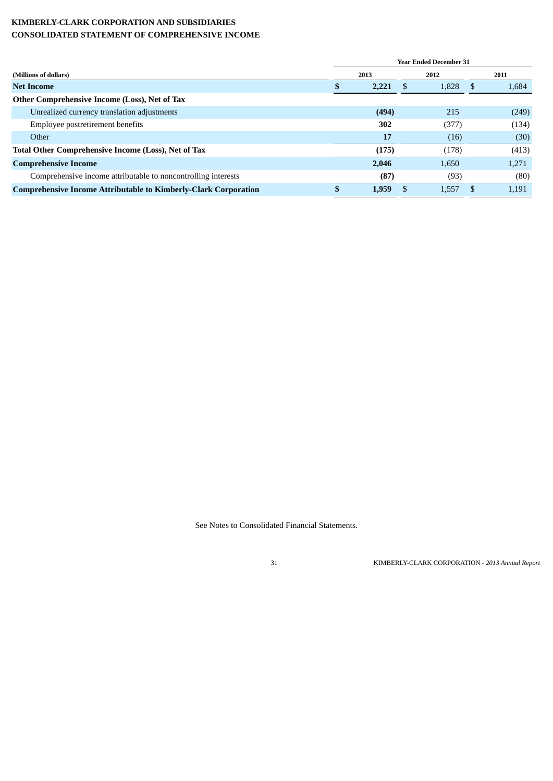# **KIMBERLY-CLARK CORPORATION AND SUBSIDIARIES CONSOLIDATED STATEMENT OF COMPREHENSIVE INCOME**

|                                                                        | <b>Year Ended December 31</b> |       |       |      |       |  |  |  |
|------------------------------------------------------------------------|-------------------------------|-------|-------|------|-------|--|--|--|
| (Millions of dollars)                                                  |                               | 2013  | 2012  | 2011 |       |  |  |  |
| <b>Net Income</b>                                                      |                               | 2,221 | 1,828 | -S   | 1,684 |  |  |  |
| Other Comprehensive Income (Loss), Net of Tax                          |                               |       |       |      |       |  |  |  |
| Unrealized currency translation adjustments                            |                               | (494) | 215   |      | (249) |  |  |  |
| Employee postretirement benefits                                       |                               | 302   | (377) |      | (134) |  |  |  |
| Other                                                                  |                               | 17    | (16)  |      | (30)  |  |  |  |
| Total Other Comprehensive Income (Loss), Net of Tax                    |                               | (175) | (178) |      | (413) |  |  |  |
| <b>Comprehensive Income</b>                                            |                               | 2,046 | 1,650 |      | 1,271 |  |  |  |
| Comprehensive income attributable to noncontrolling interests          |                               | (87)  | (93)  |      | (80)  |  |  |  |
| <b>Comprehensive Income Attributable to Kimberly-Clark Corporation</b> |                               | 1,959 | 1,557 |      | 1,191 |  |  |  |

See Notes to Consolidated Financial Statements.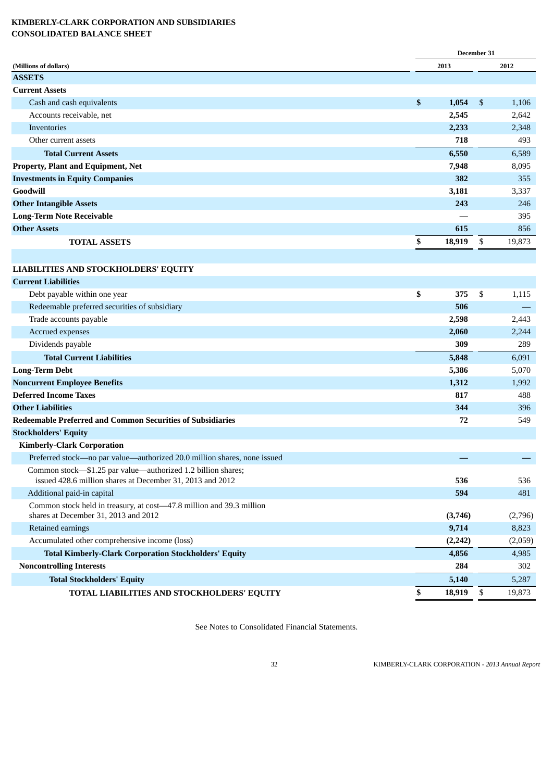# **KIMBERLY-CLARK CORPORATION AND SUBSIDIARIES CONSOLIDATED BALANCE SHEET**

|                                             |                            |     | December 31 |        |  |
|---------------------------------------------|----------------------------|-----|-------------|--------|--|
| (Millions of dollars)                       |                            |     |             | 2012   |  |
| <b>ASSETS</b>                               |                            |     |             |        |  |
| <b>Current Assets</b>                       |                            |     |             |        |  |
| Cash and cash equivalents                   | $\boldsymbol{\$}$<br>1,054 |     | \$          | 1,106  |  |
| Accounts receivable, net                    | 2,545                      |     |             | 2,642  |  |
| Inventories                                 | 2,233                      |     |             | 2,348  |  |
| Other current assets                        |                            | 718 |             | 493    |  |
| <b>Total Current Assets</b>                 | 6,550                      |     |             | 6,589  |  |
| Property, Plant and Equipment, Net          | 7,948                      |     |             | 8,095  |  |
| <b>Investments in Equity Companies</b>      |                            | 382 |             | 355    |  |
| Goodwill                                    | 3,181                      |     |             | 3,337  |  |
| <b>Other Intangible Assets</b>              |                            | 243 |             | 246    |  |
| <b>Long-Term Note Receivable</b>            |                            |     |             | 395    |  |
| <b>Other Assets</b>                         |                            | 615 |             | 856    |  |
| <b>TOTAL ASSETS</b>                         | \$<br>18,919               |     | \$          | 19,873 |  |
|                                             |                            |     |             |        |  |
| <b>LIABILITIES AND STOCKHOLDERS' EQUITY</b> |                            |     |             |        |  |
| <b>Current Liabilities</b>                  |                            |     |             |        |  |
| Dobt payablo within one your                | ¢                          | 275 | ¢           | 1115   |  |

| Debt payable within one year                                                                                              | \$<br>375 | \$<br>1,115 |
|---------------------------------------------------------------------------------------------------------------------------|-----------|-------------|
| Redeemable preferred securities of subsidiary                                                                             | 506       |             |
| Trade accounts payable                                                                                                    | 2,598     | 2,443       |
| Accrued expenses                                                                                                          | 2,060     | 2,244       |
| Dividends payable                                                                                                         | 309       | 289         |
| <b>Total Current Liabilities</b>                                                                                          | 5,848     | 6,091       |
| <b>Long-Term Debt</b>                                                                                                     | 5,386     | 5,070       |
| <b>Noncurrent Employee Benefits</b>                                                                                       | 1,312     | 1,992       |
| <b>Deferred Income Taxes</b>                                                                                              | 817       | 488         |
| <b>Other Liabilities</b>                                                                                                  | 344       | 396         |
| <b>Redeemable Preferred and Common Securities of Subsidiaries</b>                                                         | 72        | 549         |
| <b>Stockholders' Equity</b>                                                                                               |           |             |
| <b>Kimberly-Clark Corporation</b>                                                                                         |           |             |
| Preferred stock—no par value—authorized 20.0 million shares, none issued                                                  |           |             |
| Common stock—\$1.25 par value—authorized 1.2 billion shares;<br>issued 428.6 million shares at December 31, 2013 and 2012 | 536       | 536         |
| Additional paid-in capital                                                                                                | 594       | 481         |

| Common stock held in treasury, at cost-47.8 million and 39.3 million |         |         |
|----------------------------------------------------------------------|---------|---------|
| shares at December 31, 2013 and 2012                                 | (3,746) | (2,796) |
| Retained earnings                                                    | 9.714   | 8,823   |
| Accumulated other comprehensive income (loss)                        | (2,242) | (2,059) |
| <b>Total Kimberly-Clark Corporation Stockholders' Equity</b>         | 4.856   | 4.985   |
| <b>Noncontrolling Interests</b>                                      | 284     | 302     |
| <b>Total Stockholders' Equity</b>                                    | 5.140   | 5,287   |
| <b>TOTAL LIABILITIES AND STOCKHOLDERS' EQUITY</b>                    | 18,919  | 19,873  |
|                                                                      |         |         |

See Notes to Consolidated Financial Statements.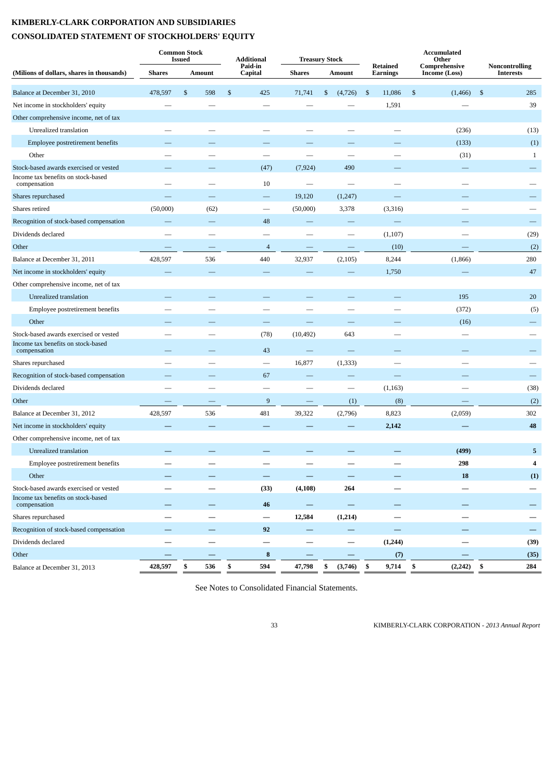# **KIMBERLY-CLARK CORPORATION AND SUBSIDIARIES**

# **CONSOLIDATED STATEMENT OF STOCKHOLDERS' EQUITY**

|                                                    | <b>Common Stock</b><br><b>Issued</b> |           | <b>Additional</b>        |                          | <b>Treasury Stock</b>    |                                    | Accumulated<br>Other           |                                    |
|----------------------------------------------------|--------------------------------------|-----------|--------------------------|--------------------------|--------------------------|------------------------------------|--------------------------------|------------------------------------|
| (Milions of dollars, shares in thousands)          | <b>Shares</b><br><b>Amount</b>       |           | Paid-in<br>Capital       | <b>Shares</b>            | <b>Amount</b>            | <b>Retained</b><br><b>Earnings</b> | Comprehensive<br>Income (Loss) | Noncontrolling<br><b>Interests</b> |
| Balance at December 31, 2010                       | 478,597                              | \$<br>598 | \$<br>425                | 71,741                   | \$<br>(4,726)            | \$<br>11,086                       | \$<br>(1,466)                  | \$<br>285                          |
| Net income in stockholders' equity                 |                                      |           |                          |                          |                          | 1,591                              |                                | 39                                 |
| Other comprehensive income, net of tax             |                                      |           |                          |                          |                          |                                    |                                |                                    |
| Unrealized translation                             |                                      |           |                          |                          |                          |                                    | (236)                          | (13)                               |
| Employee postretirement benefits                   |                                      |           |                          |                          |                          |                                    | (133)                          | (1)                                |
| Other                                              |                                      |           |                          |                          |                          |                                    | (31)                           | $\mathbf{1}$                       |
| Stock-based awards exercised or vested             |                                      |           | (47)                     | (7, 924)                 | 490                      |                                    |                                |                                    |
| Income tax benefits on stock-based<br>compensation |                                      |           | 10                       |                          |                          |                                    |                                |                                    |
| Shares repurchased                                 |                                      |           | $\overline{\phantom{0}}$ | 19,120                   | (1,247)                  |                                    |                                |                                    |
| Shares retired                                     | (50,000)                             | (62)      |                          | (50,000)                 | 3,378                    | (3,316)                            |                                |                                    |
| Recognition of stock-based compensation            |                                      |           | 48                       |                          |                          |                                    |                                |                                    |
| Dividends declared                                 |                                      |           |                          |                          |                          | (1, 107)                           |                                | (29)                               |
| Other                                              |                                      |           | $\overline{4}$           |                          |                          | (10)                               |                                | (2)                                |
| Balance at December 31, 2011                       | 428,597                              | 536       | 440                      | 32,937                   | (2,105)                  | 8,244                              | (1,866)                        | 280                                |
| Net income in stockholders' equity                 |                                      |           |                          |                          |                          | 1,750                              |                                | 47                                 |
| Other comprehensive income, net of tax             |                                      |           |                          |                          |                          |                                    |                                |                                    |
| Unrealized translation                             |                                      |           |                          |                          |                          |                                    | 195                            | 20                                 |
| Employee postretirement benefits                   |                                      |           |                          |                          |                          |                                    | (372)                          | (5)                                |
| Other                                              |                                      |           |                          |                          |                          |                                    | (16)                           |                                    |
| Stock-based awards exercised or vested             |                                      |           | (78)                     | (10, 492)                | 643                      |                                    |                                |                                    |
| Income tax benefits on stock-based<br>compensation |                                      |           | 43                       |                          |                          |                                    |                                |                                    |
| Shares repurchased                                 |                                      |           |                          | 16,877                   | (1, 333)                 |                                    |                                |                                    |
| Recognition of stock-based compensation            |                                      |           | 67                       |                          |                          |                                    |                                |                                    |
| Dividends declared                                 |                                      |           | -                        |                          | $\overline{\phantom{0}}$ | (1, 163)                           |                                | (38)                               |
| Other                                              |                                      |           | 9                        |                          | (1)                      | (8)                                |                                | (2)                                |
| Balance at December 31, 2012                       | 428,597                              | 536       | 481                      | 39,322                   | (2,796)                  | 8,823                              | (2,059)                        | 302                                |
| Net income in stockholders' equity                 |                                      |           |                          |                          |                          | 2,142                              |                                | 48                                 |
| Other comprehensive income, net of tax             |                                      |           |                          |                          |                          |                                    |                                |                                    |
| Unrealized translation                             |                                      |           |                          |                          |                          |                                    | (499)                          | 5                                  |
| Employee postretirement benefits                   |                                      |           |                          |                          |                          |                                    | 298                            | 4                                  |
| Other                                              |                                      |           | —                        |                          |                          |                                    | 18                             | (1)                                |
| Stock-based awards exercised or vested             |                                      |           | (33)                     | (4, 108)                 | 264                      |                                    |                                |                                    |
| Income tax benefits on stock-based<br>compensation |                                      |           | 46                       |                          |                          |                                    |                                |                                    |
| Shares repurchased                                 |                                      |           | $\qquad \qquad -$        | 12,584                   | (1, 214)                 |                                    |                                |                                    |
| Recognition of stock-based compensation            |                                      |           | 92                       |                          |                          |                                    |                                |                                    |
| Dividends declared                                 |                                      |           | —                        | $\overline{\phantom{0}}$ | $\qquad \qquad$          | (1,244)                            |                                | (39)                               |
| Other                                              |                                      |           | 8                        |                          |                          | (7)                                |                                | (35)                               |
| Balance at December 31, 2013                       | 428,597                              | \$<br>536 | \$<br>594                | 47,798                   | \$<br>(3,746)            | $\boldsymbol{\mathsf{s}}$<br>9,714 | $\mathbf{s}$<br>(2, 242)       | \$<br>284                          |

See Notes to Consolidated Financial Statements.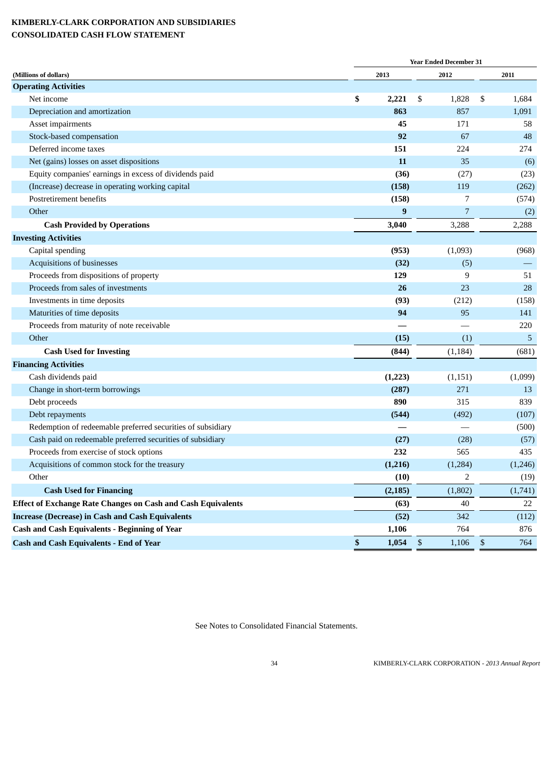# **KIMBERLY-CLARK CORPORATION AND SUBSIDIARIES CONSOLIDATED CASH FLOW STATEMENT**

|                                                                     |      | <b>Year Ended December 31</b> |    |          |              |         |  |  |  |  |  |  |
|---------------------------------------------------------------------|------|-------------------------------|----|----------|--------------|---------|--|--|--|--|--|--|
| (Millions of dollars)                                               |      | 2013                          |    | 2012     |              | 2011    |  |  |  |  |  |  |
| <b>Operating Activities</b>                                         |      |                               |    |          |              |         |  |  |  |  |  |  |
| Net income                                                          | \$   | 2,221                         | \$ | 1,828    | \$           | 1,684   |  |  |  |  |  |  |
| Depreciation and amortization                                       |      | 863                           |    | 857      |              | 1,091   |  |  |  |  |  |  |
| Asset impairments                                                   |      | 45                            |    | 171      |              | 58      |  |  |  |  |  |  |
| Stock-based compensation                                            |      | 92                            |    | 67       |              | 48      |  |  |  |  |  |  |
| Deferred income taxes                                               |      | 151                           |    | 224      |              | 274     |  |  |  |  |  |  |
| Net (gains) losses on asset dispositions                            |      | <b>11</b>                     |    | 35       |              | (6)     |  |  |  |  |  |  |
| Equity companies' earnings in excess of dividends paid              |      | (36)                          |    | (27)     |              | (23)    |  |  |  |  |  |  |
| (Increase) decrease in operating working capital                    |      | (158)                         |    | 119      |              | (262)   |  |  |  |  |  |  |
| Postretirement benefits                                             |      | (158)                         |    | 7        |              | (574)   |  |  |  |  |  |  |
| Other                                                               |      | 9                             |    | 7        |              | (2)     |  |  |  |  |  |  |
| <b>Cash Provided by Operations</b>                                  |      | 3,040                         |    | 3,288    |              | 2,288   |  |  |  |  |  |  |
| <b>Investing Activities</b>                                         |      |                               |    |          |              |         |  |  |  |  |  |  |
| Capital spending                                                    |      | (953)                         |    | (1,093)  |              | (968)   |  |  |  |  |  |  |
| Acquisitions of businesses                                          |      | (32)                          |    | (5)      |              |         |  |  |  |  |  |  |
| Proceeds from dispositions of property                              |      | 129                           |    | 9        |              | 51      |  |  |  |  |  |  |
| Proceeds from sales of investments                                  |      | 26                            |    | 23       |              | 28      |  |  |  |  |  |  |
| Investments in time deposits                                        |      | (93)                          |    | (212)    |              | (158)   |  |  |  |  |  |  |
| Maturities of time deposits                                         |      | 94                            |    | 95       |              | 141     |  |  |  |  |  |  |
| Proceeds from maturity of note receivable                           |      |                               |    |          |              | 220     |  |  |  |  |  |  |
| Other                                                               |      | (15)                          |    | (1)      |              | 5       |  |  |  |  |  |  |
| <b>Cash Used for Investing</b>                                      |      | (844)                         |    | (1, 184) |              | (681)   |  |  |  |  |  |  |
| <b>Financing Activities</b>                                         |      |                               |    |          |              |         |  |  |  |  |  |  |
| Cash dividends paid                                                 |      | (1,223)                       |    | (1,151)  |              | (1,099) |  |  |  |  |  |  |
| Change in short-term borrowings                                     |      | (287)                         |    | 271      |              | 13      |  |  |  |  |  |  |
| Debt proceeds                                                       |      | 890                           |    | 315      |              | 839     |  |  |  |  |  |  |
| Debt repayments                                                     |      | (544)                         |    | (492)    |              | (107)   |  |  |  |  |  |  |
| Redemption of redeemable preferred securities of subsidiary         |      |                               |    |          |              | (500)   |  |  |  |  |  |  |
| Cash paid on redeemable preferred securities of subsidiary          |      | (27)                          |    | (28)     |              | (57)    |  |  |  |  |  |  |
| Proceeds from exercise of stock options                             |      | 232                           |    | 565      |              | 435     |  |  |  |  |  |  |
| Acquisitions of common stock for the treasury                       |      | (1,216)                       |    | (1,284)  |              | (1,246) |  |  |  |  |  |  |
| Other                                                               |      | (10)                          |    | 2        |              | (19)    |  |  |  |  |  |  |
| <b>Cash Used for Financing</b>                                      |      | (2, 185)                      |    | (1,802)  |              | (1,741) |  |  |  |  |  |  |
| <b>Effect of Exchange Rate Changes on Cash and Cash Equivalents</b> |      | (63)                          |    | 40       |              | 22      |  |  |  |  |  |  |
| <b>Increase (Decrease) in Cash and Cash Equivalents</b>             |      | (52)                          |    | 342      |              | (112)   |  |  |  |  |  |  |
| <b>Cash and Cash Equivalents - Beginning of Year</b>                |      | 1,106                         |    | 764      |              | 876     |  |  |  |  |  |  |
| <b>Cash and Cash Equivalents - End of Year</b>                      | $\$$ | 1,054                         | \$ | 1,106    | $\mathbb{S}$ | 764     |  |  |  |  |  |  |

See Notes to Consolidated Financial Statements.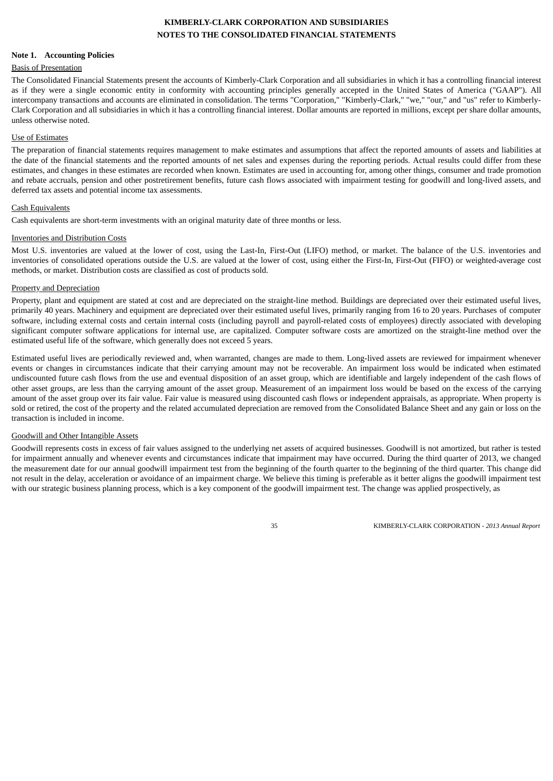# **KIMBERLY-CLARK CORPORATION AND SUBSIDIARIES NOTES TO THE CONSOLIDATED FINANCIAL STATEMENTS**

### **Note 1. Accounting Policies**

### Basis of Presentation

The Consolidated Financial Statements present the accounts of Kimberly-Clark Corporation and all subsidiaries in which it has a controlling financial interest as if they were a single economic entity in conformity with accounting principles generally accepted in the United States of America ("GAAP"). All intercompany transactions and accounts are eliminated in consolidation. The terms "Corporation," "Kimberly-Clark," "we," "our," and "us" refer to Kimberly-Clark Corporation and all subsidiaries in which it has a controlling financial interest. Dollar amounts are reported in millions, except per share dollar amounts, unless otherwise noted.

## Use of Estimates

The preparation of financial statements requires management to make estimates and assumptions that affect the reported amounts of assets and liabilities at the date of the financial statements and the reported amounts of net sales and expenses during the reporting periods. Actual results could differ from these estimates, and changes in these estimates are recorded when known. Estimates are used in accounting for, among other things, consumer and trade promotion and rebate accruals, pension and other postretirement benefits, future cash flows associated with impairment testing for goodwill and long-lived assets, and deferred tax assets and potential income tax assessments.

## Cash Equivalents

Cash equivalents are short-term investments with an original maturity date of three months or less.

# Inventories and Distribution Costs

Most U.S. inventories are valued at the lower of cost, using the Last-In, First-Out (LIFO) method, or market. The balance of the U.S. inventories and inventories of consolidated operations outside the U.S. are valued at the lower of cost, using either the First-In, First-Out (FIFO) or weighted-average cost methods, or market. Distribution costs are classified as cost of products sold.

## Property and Depreciation

Property, plant and equipment are stated at cost and are depreciated on the straight-line method. Buildings are depreciated over their estimated useful lives, primarily 40 years. Machinery and equipment are depreciated over their estimated useful lives, primarily ranging from 16 to 20 years. Purchases of computer software, including external costs and certain internal costs (including payroll and payroll-related costs of employees) directly associated with developing significant computer software applications for internal use, are capitalized. Computer software costs are amortized on the straight-line method over the estimated useful life of the software, which generally does not exceed 5 years.

Estimated useful lives are periodically reviewed and, when warranted, changes are made to them. Long-lived assets are reviewed for impairment whenever events or changes in circumstances indicate that their carrying amount may not be recoverable. An impairment loss would be indicated when estimated undiscounted future cash flows from the use and eventual disposition of an asset group, which are identifiable and largely independent of the cash flows of other asset groups, are less than the carrying amount of the asset group. Measurement of an impairment loss would be based on the excess of the carrying amount of the asset group over its fair value. Fair value is measured using discounted cash flows or independent appraisals, as appropriate. When property is sold or retired, the cost of the property and the related accumulated depreciation are removed from the Consolidated Balance Sheet and any gain or loss on the transaction is included in income.

# Goodwill and Other Intangible Assets

Goodwill represents costs in excess of fair values assigned to the underlying net assets of acquired businesses. Goodwill is not amortized, but rather is tested for impairment annually and whenever events and circumstances indicate that impairment may have occurred. During the third quarter of 2013, we changed the measurement date for our annual goodwill impairment test from the beginning of the fourth quarter to the beginning of the third quarter. This change did not result in the delay, acceleration or avoidance of an impairment charge. We believe this timing is preferable as it better aligns the goodwill impairment test with our strategic business planning process, which is a key component of the goodwill impairment test. The change was applied prospectively, as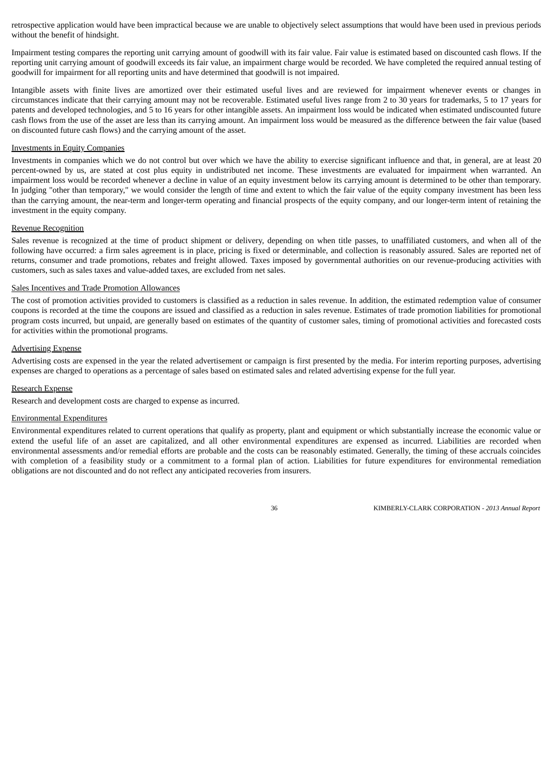retrospective application would have been impractical because we are unable to objectively select assumptions that would have been used in previous periods without the benefit of hindsight.

Impairment testing compares the reporting unit carrying amount of goodwill with its fair value. Fair value is estimated based on discounted cash flows. If the reporting unit carrying amount of goodwill exceeds its fair value, an impairment charge would be recorded. We have completed the required annual testing of goodwill for impairment for all reporting units and have determined that goodwill is not impaired.

Intangible assets with finite lives are amortized over their estimated useful lives and are reviewed for impairment whenever events or changes in circumstances indicate that their carrying amount may not be recoverable. Estimated useful lives range from 2 to 30 years for trademarks, 5 to 17 years for patents and developed technologies, and 5 to 16 years for other intangible assets. An impairment loss would be indicated when estimated undiscounted future cash flows from the use of the asset are less than its carrying amount. An impairment loss would be measured as the difference between the fair value (based on discounted future cash flows) and the carrying amount of the asset.

### Investments in Equity Companies

Investments in companies which we do not control but over which we have the ability to exercise significant influence and that, in general, are at least 20 percent-owned by us, are stated at cost plus equity in undistributed net income. These investments are evaluated for impairment when warranted. An impairment loss would be recorded whenever a decline in value of an equity investment below its carrying amount is determined to be other than temporary. In judging "other than temporary," we would consider the length of time and extent to which the fair value of the equity company investment has been less than the carrying amount, the near-term and longer-term operating and financial prospects of the equity company, and our longer-term intent of retaining the investment in the equity company.

### Revenue Recognition

Sales revenue is recognized at the time of product shipment or delivery, depending on when title passes, to unaffiliated customers, and when all of the following have occurred: a firm sales agreement is in place, pricing is fixed or determinable, and collection is reasonably assured. Sales are reported net of returns, consumer and trade promotions, rebates and freight allowed. Taxes imposed by governmental authorities on our revenue-producing activities with customers, such as sales taxes and value-added taxes, are excluded from net sales.

## Sales Incentives and Trade Promotion Allowances

The cost of promotion activities provided to customers is classified as a reduction in sales revenue. In addition, the estimated redemption value of consumer coupons is recorded at the time the coupons are issued and classified as a reduction in sales revenue. Estimates of trade promotion liabilities for promotional program costs incurred, but unpaid, are generally based on estimates of the quantity of customer sales, timing of promotional activities and forecasted costs for activities within the promotional programs.

## Advertising Expense

Advertising costs are expensed in the year the related advertisement or campaign is first presented by the media. For interim reporting purposes, advertising expenses are charged to operations as a percentage of sales based on estimated sales and related advertising expense for the full year.

### Research Expense

Research and development costs are charged to expense as incurred.

#### Environmental Expenditures

Environmental expenditures related to current operations that qualify as property, plant and equipment or which substantially increase the economic value or extend the useful life of an asset are capitalized, and all other environmental expenditures are expensed as incurred. Liabilities are recorded when environmental assessments and/or remedial efforts are probable and the costs can be reasonably estimated. Generally, the timing of these accruals coincides with completion of a feasibility study or a commitment to a formal plan of action. Liabilities for future expenditures for environmental remediation obligations are not discounted and do not reflect any anticipated recoveries from insurers.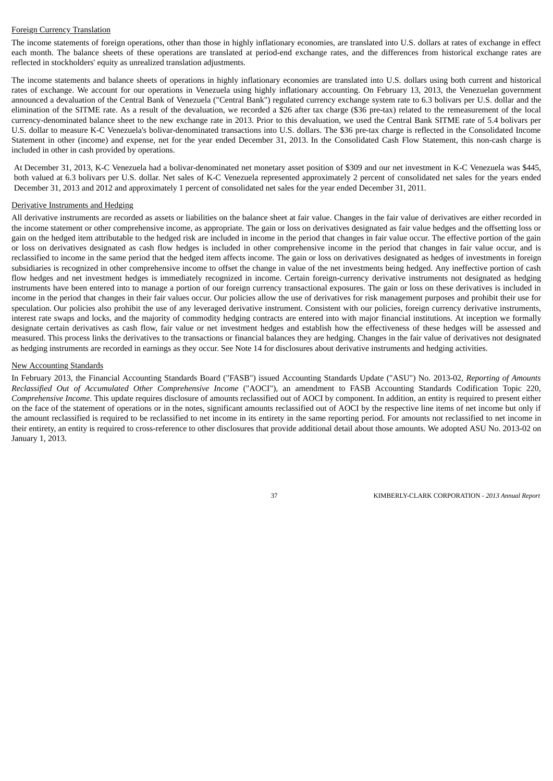#### Foreign Currency Translation

The income statements of foreign operations, other than those in highly inflationary economies, are translated into U.S. dollars at rates of exchange in effect each month. The balance sheets of these operations are translated at period-end exchange rates, and the differences from historical exchange rates are reflected in stockholders' equity as unrealized translation adjustments.

The income statements and balance sheets of operations in highly inflationary economies are translated into U.S. dollars using both current and historical rates of exchange. We account for our operations in Venezuela using highly inflationary accounting. On February 13, 2013, the Venezuelan government announced a devaluation of the Central Bank of Venezuela ("Central Bank") regulated currency exchange system rate to 6.3 bolivars per U.S. dollar and the elimination of the SITME rate. As a result of the devaluation, we recorded a \$26 after tax charge (\$36 pre-tax) related to the remeasurement of the local currency-denominated balance sheet to the new exchange rate in 2013. Prior to this devaluation, we used the Central Bank SITME rate of 5.4 bolivars per U.S. dollar to measure K*-*C Venezuela's bolivar-denominated transactions into U.S. dollars. The \$36 pre-tax charge is reflected in the Consolidated Income Statement in other (income) and expense, net for the year ended December 31, 2013. In the Consolidated Cash Flow Statement, this non-cash charge is included in other in cash provided by operations.

At December 31, 2013, K-C Venezuela had a bolivar-denominated net monetary asset position of \$309 and our net investment in K-C Venezuela was \$445, both valued at 6.3 bolivars per U.S. dollar. Net sales of K-C Venezuela represented approximately 2 percent of consolidated net sales for the years ended December 31, 2013 and 2012 and approximately 1 percent of consolidated net sales for the year ended December 31, 2011.

#### Derivative Instruments and Hedging

All derivative instruments are recorded as assets or liabilities on the balance sheet at fair value. Changes in the fair value of derivatives are either recorded in the income statement or other comprehensive income, as appropriate. The gain or loss on derivatives designated as fair value hedges and the offsetting loss or gain on the hedged item attributable to the hedged risk are included in income in the period that changes in fair value occur. The effective portion of the gain or loss on derivatives designated as cash flow hedges is included in other comprehensive income in the period that changes in fair value occur, and is reclassified to income in the same period that the hedged item affects income. The gain or loss on derivatives designated as hedges of investments in foreign subsidiaries is recognized in other comprehensive income to offset the change in value of the net investments being hedged. Any ineffective portion of cash flow hedges and net investment hedges is immediately recognized in income. Certain foreign-currency derivative instruments not designated as hedging instruments have been entered into to manage a portion of our foreign currency transactional exposures. The gain or loss on these derivatives is included in income in the period that changes in their fair values occur. Our policies allow the use of derivatives for risk management purposes and prohibit their use for speculation. Our policies also prohibit the use of any leveraged derivative instrument. Consistent with our policies, foreign currency derivative instruments, interest rate swaps and locks, and the majority of commodity hedging contracts are entered into with major financial institutions. At inception we formally designate certain derivatives as cash flow, fair value or net investment hedges and establish how the effectiveness of these hedges will be assessed and measured. This process links the derivatives to the transactions or financial balances they are hedging. Changes in the fair value of derivatives not designated as hedging instruments are recorded in earnings as they occur. See Note 14 for disclosures about derivative instruments and hedging activities.

#### New Accounting Standards

In February 2013, the Financial Accounting Standards Board ("FASB") issued Accounting Standards Update ("ASU") No. 2013-02, *Reporting of Amounts Reclassified Out of Accumulated Other Comprehensive Income* ("AOCI"), an amendment to FASB Accounting Standards Codification Topic 220, *Comprehensive Income*. This update requires disclosure of amounts reclassified out of AOCI by component. In addition, an entity is required to present either on the face of the statement of operations or in the notes, significant amounts reclassified out of AOCI by the respective line items of net income but only if the amount reclassified is required to be reclassified to net income in its entirety in the same reporting period. For amounts not reclassified to net income in their entirety, an entity is required to cross-reference to other disclosures that provide additional detail about those amounts. We adopted ASU No. 2013-02 on January 1, 2013.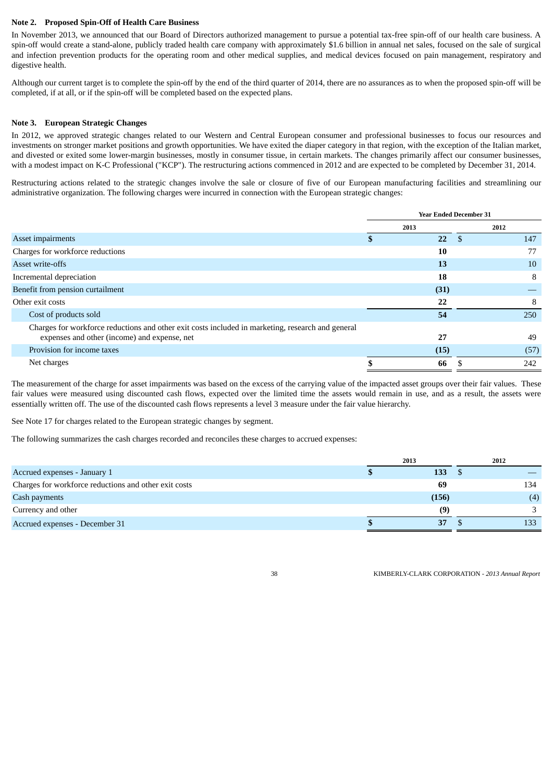## **Note 2. Proposed Spin-Off of Health Care Business**

In November 2013, we announced that our Board of Directors authorized management to pursue a potential tax-free spin-off of our health care business. A spin-off would create a stand-alone, publicly traded health care company with approximately \$1.6 billion in annual net sales, focused on the sale of surgical and infection prevention products for the operating room and other medical supplies, and medical devices focused on pain management, respiratory and digestive health.

Although our current target is to complete the spin-off by the end of the third quarter of 2014, there are no assurances as to when the proposed spin-off will be completed, if at all, or if the spin-off will be completed based on the expected plans.

### **Note 3. European Strategic Changes**

In 2012, we approved strategic changes related to our Western and Central European consumer and professional businesses to focus our resources and investments on stronger market positions and growth opportunities. We have exited the diaper category in that region, with the exception of the Italian market, and divested or exited some lower-margin businesses, mostly in consumer tissue, in certain markets. The changes primarily affect our consumer businesses, with a modest impact on K-C Professional ("KCP"). The restructuring actions commenced in 2012 and are expected to be completed by December 31, 2014.

Restructuring actions related to the strategic changes involve the sale or closure of five of our European manufacturing facilities and streamlining our administrative organization. The following charges were incurred in connection with the European strategic changes:

|                                                                                                   | <b>Year Ended December 31</b> |      |      |      |  |
|---------------------------------------------------------------------------------------------------|-------------------------------|------|------|------|--|
|                                                                                                   |                               | 2013 | 2012 |      |  |
| Asset impairments                                                                                 | S                             | 22   | \$.  | 147  |  |
| Charges for workforce reductions                                                                  |                               | 10   |      |      |  |
| Asset write-offs                                                                                  |                               | 13   |      | 10   |  |
| Incremental depreciation                                                                          |                               | 18   |      | 8    |  |
| Benefit from pension curtailment                                                                  |                               | (31) |      |      |  |
| Other exit costs                                                                                  |                               | 22   |      | 8    |  |
| Cost of products sold                                                                             |                               | 54   |      | 250  |  |
| Charges for workforce reductions and other exit costs included in marketing, research and general |                               |      |      |      |  |
| expenses and other (income) and expense, net                                                      |                               | 27   |      | 49   |  |
| Provision for income taxes                                                                        |                               | (15) |      | (57) |  |
| Net charges                                                                                       |                               | 66   |      | 242  |  |

The measurement of the charge for asset impairments was based on the excess of the carrying value of the impacted asset groups over their fair values. These fair values were measured using discounted cash flows, expected over the limited time the assets would remain in use, and as a result, the assets were essentially written off. The use of the discounted cash flows represents a level 3 measure under the fair value hierarchy.

See Note 17 for charges related to the European strategic changes by segment.

The following summarizes the cash charges recorded and reconciles these charges to accrued expenses:

| 2013  | 2012 |
|-------|------|
| 133   |      |
| 69    | 134  |
| (156) | (4)  |
| (9)   |      |
| 37    | 133  |
|       |      |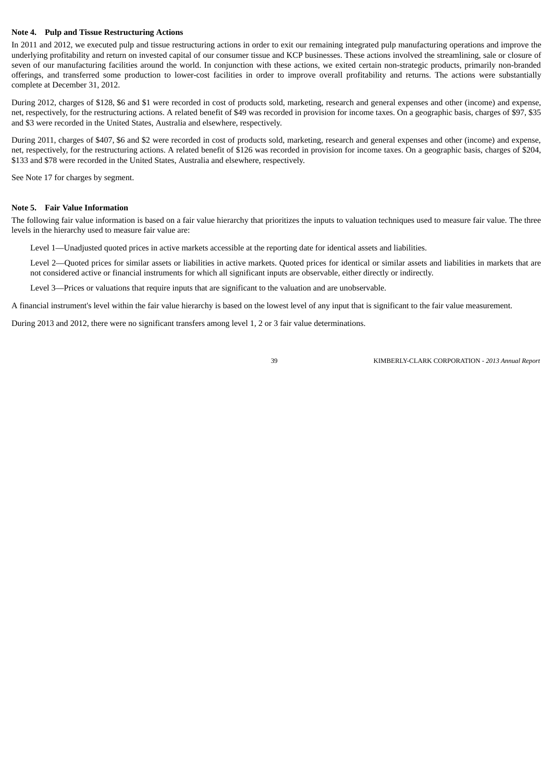### **Note 4. Pulp and Tissue Restructuring Actions**

In 2011 and 2012, we executed pulp and tissue restructuring actions in order to exit our remaining integrated pulp manufacturing operations and improve the underlying profitability and return on invested capital of our consumer tissue and KCP businesses. These actions involved the streamlining, sale or closure of seven of our manufacturing facilities around the world. In conjunction with these actions, we exited certain non-strategic products, primarily non-branded offerings, and transferred some production to lower-cost facilities in order to improve overall profitability and returns. The actions were substantially complete at December 31, 2012.

During 2012, charges of \$128, \$6 and \$1 were recorded in cost of products sold, marketing, research and general expenses and other (income) and expense, net, respectively, for the restructuring actions. A related benefit of \$49 was recorded in provision for income taxes. On a geographic basis, charges of \$97, \$35 and \$3 were recorded in the United States, Australia and elsewhere, respectively.

During 2011, charges of \$407, \$6 and \$2 were recorded in cost of products sold, marketing, research and general expenses and other (income) and expense, net, respectively, for the restructuring actions. A related benefit of \$126 was recorded in provision for income taxes. On a geographic basis, charges of \$204, \$133 and \$78 were recorded in the United States, Australia and elsewhere, respectively.

See Note 17 for charges by segment.

#### **Note 5. Fair Value Information**

The following fair value information is based on a fair value hierarchy that prioritizes the inputs to valuation techniques used to measure fair value. The three levels in the hierarchy used to measure fair value are:

Level 1—Unadjusted quoted prices in active markets accessible at the reporting date for identical assets and liabilities.

Level 2—Quoted prices for similar assets or liabilities in active markets. Quoted prices for identical or similar assets and liabilities in markets that are not considered active or financial instruments for which all significant inputs are observable, either directly or indirectly.

Level 3—Prices or valuations that require inputs that are significant to the valuation and are unobservable.

A financial instrument's level within the fair value hierarchy is based on the lowest level of any input that is significant to the fair value measurement.

During 2013 and 2012, there were no significant transfers among level 1, 2 or 3 fair value determinations.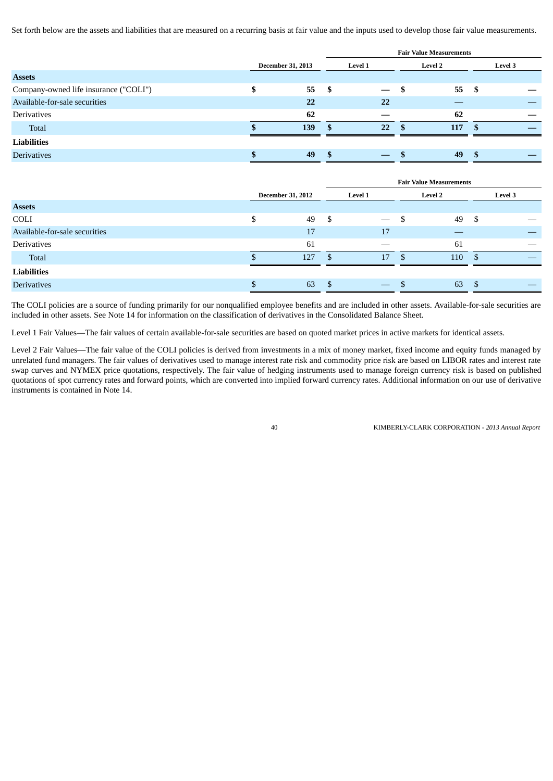Set forth below are the assets and liabilities that are measured on a recurring basis at fair value and the inputs used to develop those fair value measurements.

|                                       |                          |           | <b>Fair Value Measurements</b> |                          |   |                |      |                |
|---------------------------------------|--------------------------|-----------|--------------------------------|--------------------------|---|----------------|------|----------------|
|                                       | <b>December 31, 2013</b> |           | Level 1                        |                          |   | <b>Level 2</b> |      | <b>Level 3</b> |
| <b>Assets</b>                         |                          |           |                                |                          |   |                |      |                |
| Company-owned life insurance ("COLI") |                          | 55        | - \$                           | $\overline{\phantom{0}}$ |   | 55             | -S   |                |
| Available-for-sale securities         |                          | <b>22</b> |                                | <b>22</b>                |   |                |      |                |
| Derivatives                           |                          | 62        |                                |                          |   | 62             |      |                |
| Total                                 |                          | 139       | -S                             | <b>22</b>                | S | 117            | -8   |                |
| <b>Liabilities</b>                    |                          |           |                                |                          |   |                |      |                |
| <b>Derivatives</b>                    |                          | 49        |                                |                          |   | 49             | - \$ |                |

|                               |                          |     | <b>Fair Value Measurements</b> |                          |               |                |      |                |
|-------------------------------|--------------------------|-----|--------------------------------|--------------------------|---------------|----------------|------|----------------|
|                               | <b>December 31, 2012</b> |     |                                | <b>Level 1</b>           |               | <b>Level 2</b> |      | <b>Level 3</b> |
| <b>Assets</b>                 |                          |     |                                |                          |               |                |      |                |
| <b>COLI</b>                   | \$                       | 49  | \$                             |                          | -S            | 49             | - \$ |                |
| Available-for-sale securities |                          | 17  |                                | 17                       |               | _              |      |                |
| Derivatives                   |                          | 61  |                                |                          |               | 61             |      |                |
| Total                         |                          | 127 | -S                             | 17                       | <sup>\$</sup> | 110            | - \$ | _              |
| <b>Liabilities</b>            |                          |     |                                |                          |               |                |      |                |
| <b>Derivatives</b>            | \$                       | 63  | -S                             | $\overline{\phantom{m}}$ |               | 63             | - \$ |                |

The COLI policies are a source of funding primarily for our nonqualified employee benefits and are included in other assets. Available-for-sale securities are included in other assets. See Note 14 for information on the classification of derivatives in the Consolidated Balance Sheet.

Level 1 Fair Values—The fair values of certain available-for-sale securities are based on quoted market prices in active markets for identical assets.

Level 2 Fair Values—The fair value of the COLI policies is derived from investments in a mix of money market, fixed income and equity funds managed by unrelated fund managers. The fair values of derivatives used to manage interest rate risk and commodity price risk are based on LIBOR rates and interest rate swap curves and NYMEX price quotations, respectively. The fair value of hedging instruments used to manage foreign currency risk is based on published quotations of spot currency rates and forward points, which are converted into implied forward currency rates. Additional information on our use of derivative instruments is contained in Note 14.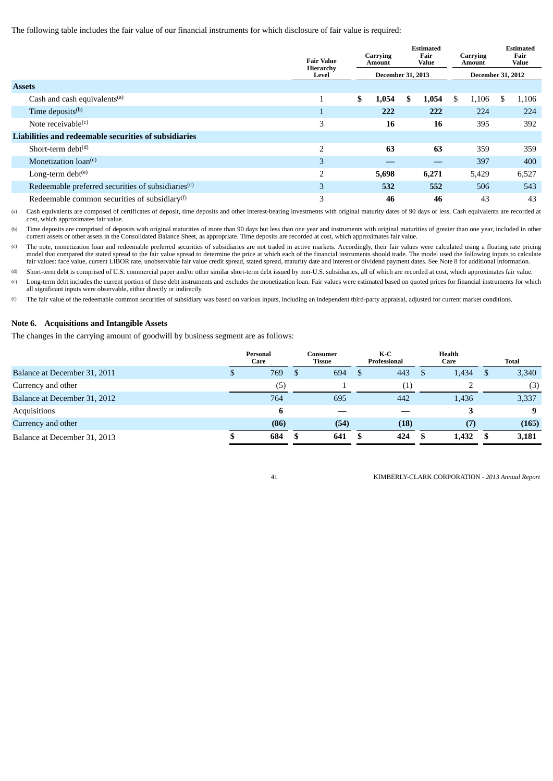The following table includes the fair value of our financial instruments for which disclosure of fair value is required:

|                                                                | <b>Fair Value</b>  |    | <b>Estimated</b><br>Fair<br>Carrying<br>Value<br>Amount |                          |       |    | Carrying<br>Amount |                          | <b>Estimated</b><br>Fair<br>Value |  |
|----------------------------------------------------------------|--------------------|----|---------------------------------------------------------|--------------------------|-------|----|--------------------|--------------------------|-----------------------------------|--|
|                                                                | Hierarchy<br>Level |    |                                                         | <b>December 31, 2013</b> |       |    |                    | <b>December 31, 2012</b> |                                   |  |
| <b>Assets</b>                                                  |                    |    |                                                         |                          |       |    |                    |                          |                                   |  |
| Cash and cash equivalents <sup>(a)</sup>                       |                    | \$ | 1,054                                                   | \$                       | 1,054 | S. | 1,106              | S                        | 1,106                             |  |
| Time deposits <sup>(b)</sup>                                   |                    |    | 222                                                     |                          | 222   |    | 224                |                          | 224                               |  |
| Note receivable <sup>(c)</sup>                                 | 3                  |    | 16                                                      |                          | 16    |    | 395                |                          | 392                               |  |
| Liabilities and redeemable securities of subsidiaries          |                    |    |                                                         |                          |       |    |                    |                          |                                   |  |
| Short-term $debt^{(d)}$                                        | 2                  |    | 63                                                      |                          | 63    |    | 359                |                          | 359                               |  |
| Monetization $\text{loan}^{(c)}$                               | 3                  |    |                                                         |                          | –     |    | 397                |                          | 400                               |  |
| Long-term $debt^{(e)}$                                         | 2                  |    | 5,698                                                   |                          | 6,271 |    | 5,429              |                          | 6,527                             |  |
| Redeemable preferred securities of subsidiaries <sup>(c)</sup> | 3                  |    | 532                                                     |                          | 552   |    | 506                |                          | 543                               |  |
| Redeemable common securities of subsidiary $(f)$               | 3                  |    | 46                                                      |                          | 46    |    | 43                 |                          | 43                                |  |

(a) Cash equivalents are composed of certificates of deposit, time deposits and other interest-bearing investments with original maturity dates of 90 days or less. Cash equivalents are recorded at cost, which approximates fair value.

(b) Time deposits are comprised of deposits with original maturities of more than 90 days but less than one year and instruments with original maturities of greater than one year, included in other current assets or other assets in the Consolidated Balance Sheet, as appropriate. Time deposits are recorded at cost, which approximates fair value.

(c) The note, monetization loan and redeemable preferred securities of subsidiaries are not traded in active markets. Accordingly, their fair values were calculated using a floating rate pricing model that compared the stated spread to the fair value spread to determine the price at which each of the financial instruments should trade. The model used the following inputs to calculate fair values: face value, current LIBOR rate, unobservable fair value credit spread, stated spread, maturity date and interest or dividend payment dates. See Note 8 for additional information.

(d) Short-term debt is comprised of U.S. commercial paper and/or other similar short-term debt issued by non-U.S. subsidiaries, all of which are recorded at cost, which approximates fair value. (e) Long-term debt includes the current portion of these debt instruments and excludes the monetization loan. Fair values were estimated based on quoted prices for financial instruments for which

all significant inputs were observable, either directly or indirectly.

(f) The fair value of the redeemable common securities of subsidiary was based on various inputs, including an independent third-party appraisal, adjusted for current market conditions.

## **Note 6. Acquisitions and Intangible Assets**

The changes in the carrying amount of goodwill by business segment are as follows:

|                              | Personal<br>Care |   | Consumer<br><b>Tissue</b> | $K-C$<br>Professional |     | Health<br>Care |   | <b>Total</b> |
|------------------------------|------------------|---|---------------------------|-----------------------|-----|----------------|---|--------------|
| Balance at December 31, 2011 | 769              | S | 694                       | 443                   | \$. | 1,434          | D | 3,340        |
| Currency and other           | (5)              |   |                           | $\left(1\right)$      |     |                |   | (3)          |
| Balance at December 31, 2012 | 764              |   | 695                       | 442                   |     | 1,436          |   | 3,337        |
| Acquisitions                 | 6                |   |                           |                       |     |                |   | 9            |
| Currency and other           | (86)             |   | (54)                      | (18)                  |     | (7)            |   | (165)        |
| Balance at December 31, 2013 | 684              |   | 641                       | 424                   |     | 1,432          |   | 3,181        |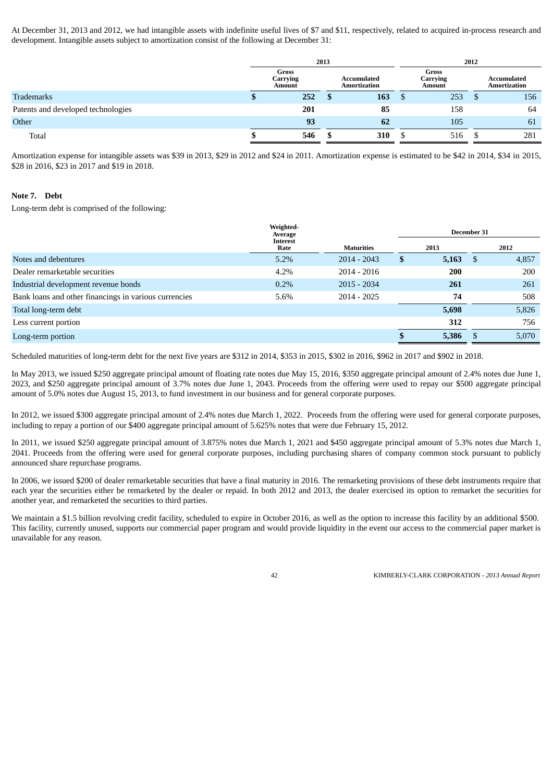At December 31, 2013 and 2012, we had intangible assets with indefinite useful lives of \$7 and \$11, respectively, related to acquired in-process research and development. Intangible assets subject to amortization consist of the following at December 31:

|                                    | 2013                        |                                    |     |                             | 2012 |                                    |     |  |
|------------------------------------|-----------------------------|------------------------------------|-----|-----------------------------|------|------------------------------------|-----|--|
|                                    | Gross<br>Carrying<br>Amount | <b>Accumulated</b><br>Amortization |     | Gross<br>Carrying<br>Amount |      | Accumulated<br><b>Amortization</b> |     |  |
| Trademarks                         | 252                         | ۰D                                 | 163 |                             | 253  | Ъ                                  | 156 |  |
| Patents and developed technologies | 201                         |                                    | 85  |                             | 158  |                                    | 64  |  |
| Other                              | 93                          |                                    | 62  |                             | 105  |                                    | 61  |  |
| Total                              | 546                         |                                    | 310 |                             | 516  |                                    | 281 |  |

Amortization expense for intangible assets was \$39 in 2013, \$29 in 2012 and \$24 in 2011. Amortization expense is estimated to be \$42 in 2014, \$34 in 2015, \$28 in 2016, \$23 in 2017 and \$19 in 2018.

### **Note 7. Debt**

Long-term debt is comprised of the following:

|                                                       | Weighted-<br>Average    |                   |   | December 31 |     |       |  |  |
|-------------------------------------------------------|-------------------------|-------------------|---|-------------|-----|-------|--|--|
|                                                       | <b>Interest</b><br>Rate | <b>Maturities</b> |   | 2013        |     | 2012  |  |  |
| Notes and debentures                                  | 5.2%                    | $2014 - 2043$     | S | 5,163       | - S | 4,857 |  |  |
| Dealer remarketable securities                        | 4.2%                    | $2014 - 2016$     |   | 200         |     | 200   |  |  |
| Industrial development revenue bonds                  | 0.2%                    | $2015 - 2034$     |   | 261         |     | 261   |  |  |
| Bank loans and other financings in various currencies | 5.6%                    | 2014 - 2025       |   | 74          |     | 508   |  |  |
| Total long-term debt                                  |                         |                   |   | 5,698       |     | 5,826 |  |  |
| Less current portion                                  |                         |                   |   | 312         |     | 756   |  |  |
| Long-term portion                                     |                         |                   |   | 5,386       |     | 5,070 |  |  |

Scheduled maturities of long-term debt for the next five years are \$312 in 2014, \$353 in 2015, \$302 in 2016, \$962 in 2017 and \$902 in 2018.

In May 2013, we issued \$250 aggregate principal amount of floating rate notes due May 15, 2016, \$350 aggregate principal amount of 2.4% notes due June 1, 2023, and \$250 aggregate principal amount of 3.7% notes due June 1, 2043. Proceeds from the offering were used to repay our \$500 aggregate principal amount of 5.0% notes due August 15, 2013, to fund investment in our business and for general corporate purposes.

In 2012, we issued \$300 aggregate principal amount of 2.4% notes due March 1, 2022. Proceeds from the offering were used for general corporate purposes, including to repay a portion of our \$400 aggregate principal amount of 5.625% notes that were due February 15, 2012.

In 2011, we issued \$250 aggregate principal amount of 3.875% notes due March 1, 2021 and \$450 aggregate principal amount of 5.3% notes due March 1, 2041. Proceeds from the offering were used for general corporate purposes, including purchasing shares of company common stock pursuant to publicly announced share repurchase programs.

In 2006, we issued \$200 of dealer remarketable securities that have a final maturity in 2016. The remarketing provisions of these debt instruments require that each year the securities either be remarketed by the dealer or repaid. In both 2012 and 2013, the dealer exercised its option to remarket the securities for another year, and remarketed the securities to third parties.

We maintain a \$1.5 billion revolving credit facility, scheduled to expire in October 2016, as well as the option to increase this facility by an additional \$500. This facility, currently unused, supports our commercial paper program and would provide liquidity in the event our access to the commercial paper market is unavailable for any reason.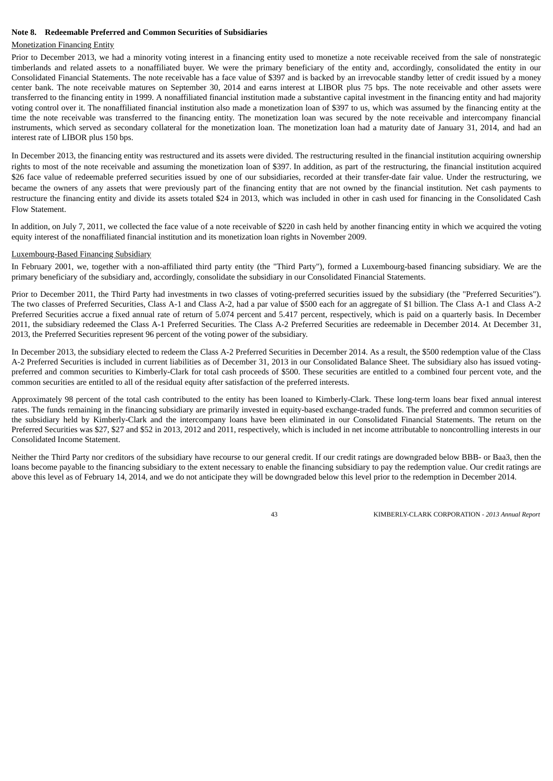### **Note 8. Redeemable Preferred and Common Securities of Subsidiaries**

### Monetization Financing Entity

Prior to December 2013, we had a minority voting interest in a financing entity used to monetize a note receivable received from the sale of nonstrategic timberlands and related assets to a nonaffiliated buyer. We were the primary beneficiary of the entity and, accordingly, consolidated the entity in our Consolidated Financial Statements. The note receivable has a face value of \$397 and is backed by an irrevocable standby letter of credit issued by a money center bank. The note receivable matures on September 30, 2014 and earns interest at LIBOR plus 75 bps. The note receivable and other assets were transferred to the financing entity in 1999. A nonaffiliated financial institution made a substantive capital investment in the financing entity and had majority voting control over it. The nonaffiliated financial institution also made a monetization loan of \$397 to us, which was assumed by the financing entity at the time the note receivable was transferred to the financing entity. The monetization loan was secured by the note receivable and intercompany financial instruments, which served as secondary collateral for the monetization loan. The monetization loan had a maturity date of January 31, 2014, and had an interest rate of LIBOR plus 150 bps.

In December 2013, the financing entity was restructured and its assets were divided. The restructuring resulted in the financial institution acquiring ownership rights to most of the note receivable and assuming the monetization loan of \$397. In addition, as part of the restructuring, the financial institution acquired \$26 face value of redeemable preferred securities issued by one of our subsidiaries, recorded at their transfer-date fair value. Under the restructuring, we became the owners of any assets that were previously part of the financing entity that are not owned by the financial institution. Net cash payments to restructure the financing entity and divide its assets totaled \$24 in 2013, which was included in other in cash used for financing in the Consolidated Cash Flow Statement.

In addition, on July 7, 2011, we collected the face value of a note receivable of \$220 in cash held by another financing entity in which we acquired the voting equity interest of the nonaffiliated financial institution and its monetization loan rights in November 2009.

#### Luxembourg-Based Financing Subsidiary

In February 2001, we, together with a non-affiliated third party entity (the "Third Party"), formed a Luxembourg-based financing subsidiary. We are the primary beneficiary of the subsidiary and, accordingly, consolidate the subsidiary in our Consolidated Financial Statements.

Prior to December 2011, the Third Party had investments in two classes of voting-preferred securities issued by the subsidiary (the "Preferred Securities"). The two classes of Preferred Securities, Class A-1 and Class A-2, had a par value of \$500 each for an aggregate of \$1 billion. The Class A-1 and Class A-2 Preferred Securities accrue a fixed annual rate of return of 5.074 percent and 5.417 percent, respectively, which is paid on a quarterly basis. In December 2011, the subsidiary redeemed the Class A-1 Preferred Securities. The Class A-2 Preferred Securities are redeemable in December 2014. At December 31, 2013, the Preferred Securities represent 96 percent of the voting power of the subsidiary.

In December 2013, the subsidiary elected to redeem the Class A-2 Preferred Securities in December 2014. As a result, the \$500 redemption value of the Class A-2 Preferred Securities is included in current liabilities as of December 31, 2013 in our Consolidated Balance Sheet. The subsidiary also has issued votingpreferred and common securities to Kimberly-Clark for total cash proceeds of \$500. These securities are entitled to a combined four percent vote, and the common securities are entitled to all of the residual equity after satisfaction of the preferred interests.

Approximately 98 percent of the total cash contributed to the entity has been loaned to Kimberly-Clark. These long-term loans bear fixed annual interest rates. The funds remaining in the financing subsidiary are primarily invested in equity-based exchange-traded funds. The preferred and common securities of the subsidiary held by Kimberly-Clark and the intercompany loans have been eliminated in our Consolidated Financial Statements. The return on the Preferred Securities was \$27, \$27 and \$52 in 2013, 2012 and 2011, respectively, which is included in net income attributable to noncontrolling interests in our Consolidated Income Statement.

Neither the Third Party nor creditors of the subsidiary have recourse to our general credit. If our credit ratings are downgraded below BBB- or Baa3, then the loans become payable to the financing subsidiary to the extent necessary to enable the financing subsidiary to pay the redemption value. Our credit ratings are above this level as of February 14, 2014, and we do not anticipate they will be downgraded below this level prior to the redemption in December 2014.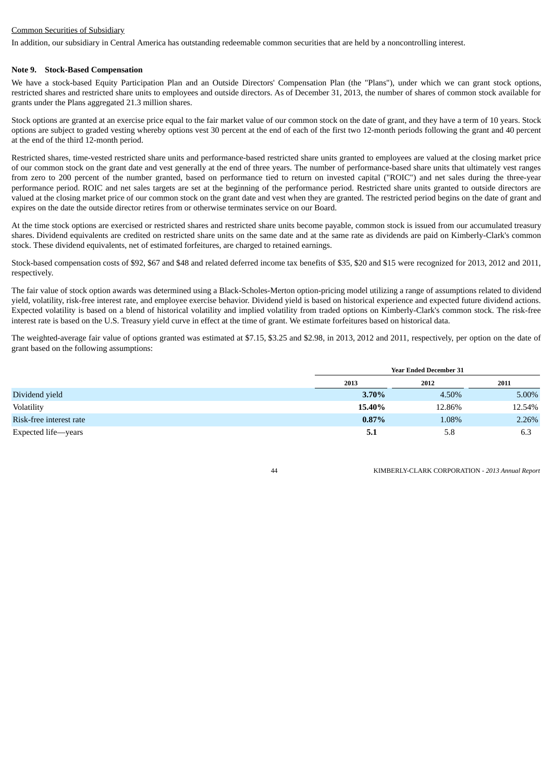### Common Securities of Subsidiary

In addition, our subsidiary in Central America has outstanding redeemable common securities that are held by a noncontrolling interest.

#### **Note 9. Stock-Based Compensation**

We have a stock-based Equity Participation Plan and an Outside Directors' Compensation Plan (the "Plans"), under which we can grant stock options, restricted shares and restricted share units to employees and outside directors. As of December 31, 2013, the number of shares of common stock available for grants under the Plans aggregated 21.3 million shares.

Stock options are granted at an exercise price equal to the fair market value of our common stock on the date of grant, and they have a term of 10 years. Stock options are subject to graded vesting whereby options vest 30 percent at the end of each of the first two 12-month periods following the grant and 40 percent at the end of the third 12-month period.

Restricted shares, time-vested restricted share units and performance-based restricted share units granted to employees are valued at the closing market price of our common stock on the grant date and vest generally at the end of three years. The number of performance-based share units that ultimately vest ranges from zero to 200 percent of the number granted, based on performance tied to return on invested capital ("ROIC") and net sales during the three-year performance period. ROIC and net sales targets are set at the beginning of the performance period. Restricted share units granted to outside directors are valued at the closing market price of our common stock on the grant date and vest when they are granted. The restricted period begins on the date of grant and expires on the date the outside director retires from or otherwise terminates service on our Board.

At the time stock options are exercised or restricted shares and restricted share units become payable, common stock is issued from our accumulated treasury shares. Dividend equivalents are credited on restricted share units on the same date and at the same rate as dividends are paid on Kimberly-Clark's common stock. These dividend equivalents, net of estimated forfeitures, are charged to retained earnings.

Stock-based compensation costs of \$92, \$67 and \$48 and related deferred income tax benefits of \$35, \$20 and \$15 were recognized for 2013, 2012 and 2011, respectively.

The fair value of stock option awards was determined using a Black-Scholes-Merton option-pricing model utilizing a range of assumptions related to dividend yield, volatility, risk-free interest rate, and employee exercise behavior. Dividend yield is based on historical experience and expected future dividend actions. Expected volatility is based on a blend of historical volatility and implied volatility from traded options on Kimberly-Clark's common stock. The risk-free interest rate is based on the U.S. Treasury yield curve in effect at the time of grant. We estimate forfeitures based on historical data.

The weighted-average fair value of options granted was estimated at \$7.15, \$3.25 and \$2.98, in 2013, 2012 and 2011, respectively, per option on the date of grant based on the following assumptions:

|                         |          | <b>Year Ended December 31</b> |        |  |  |  |  |
|-------------------------|----------|-------------------------------|--------|--|--|--|--|
|                         | 2013     | 2012                          | 2011   |  |  |  |  |
| Dividend yield          | 3.70%    | 4.50%                         | 5.00%  |  |  |  |  |
| Volatility              | 15.40%   | 12.86%                        | 12.54% |  |  |  |  |
| Risk-free interest rate | $0.87\%$ | 1.08%                         | 2.26%  |  |  |  |  |
| Expected life—years     | 5.1      | 5.8                           | 6.3    |  |  |  |  |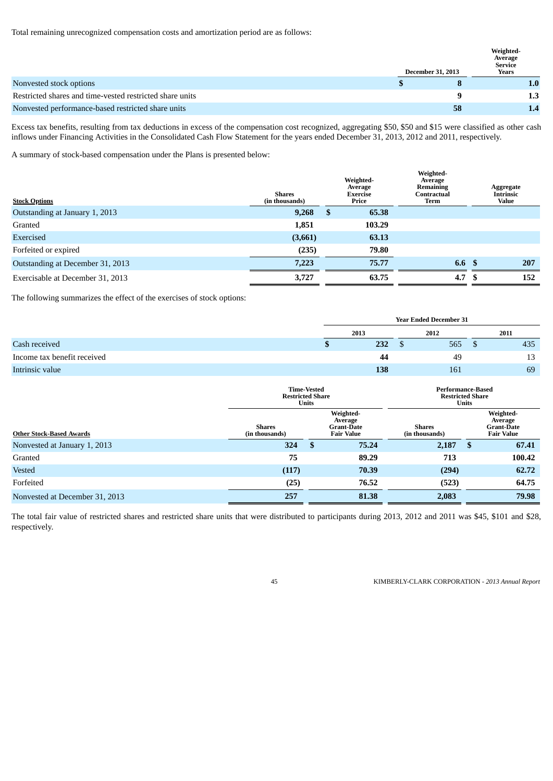Total remaining unrecognized compensation costs and amortization period are as follows:

|                                                          | <b>December 31, 2013</b> | Weighted-<br>Average<br>Service<br>Years |
|----------------------------------------------------------|--------------------------|------------------------------------------|
| Nonvested stock options                                  |                          |                                          |
| Restricted shares and time-vested restricted share units |                          | 1.3                                      |
| Nonvested performance-based restricted share units       | 58                       |                                          |

Excess tax benefits, resulting from tax deductions in excess of the compensation cost recognized, aggregating \$50, \$50 and \$15 were classified as other cash inflows under Financing Activities in the Consolidated Cash Flow Statement for the years ended December 31, 2013, 2012 and 2011, respectively.

A summary of stock-based compensation under the Plans is presented below:

| <b>Stock Options</b>             | <b>Shares</b><br>(in thousands) |     | Weighted-<br>Average<br><b>Exercise</b><br>Price | Weighted-<br>Average<br><b>Remaining</b><br>Contractual<br>Term |      | Aggregate<br><b>Intrinsic</b><br>Value |
|----------------------------------|---------------------------------|-----|--------------------------------------------------|-----------------------------------------------------------------|------|----------------------------------------|
| Outstanding at January 1, 2013   | 9,268                           | - S | 65.38                                            |                                                                 |      |                                        |
| Granted                          | 1,851                           |     | 103.29                                           |                                                                 |      |                                        |
| Exercised                        | (3,661)                         |     | 63.13                                            |                                                                 |      |                                        |
| Forfeited or expired             | (235)                           |     | 79.80                                            |                                                                 |      |                                        |
| Outstanding at December 31, 2013 | 7,223                           |     | 75.77                                            | 6.6 \$                                                          |      | 207                                    |
| Exercisable at December 31, 2013 | 3,727                           |     | 63.75                                            | 4.7                                                             | - \$ | 152                                    |
|                                  |                                 |     |                                                  |                                                                 |      |                                        |

The following summarizes the effect of the exercises of stock options:

|                             |   | <b>Year Ended December 31</b> |  |      |  |      |  |  |  |
|-----------------------------|---|-------------------------------|--|------|--|------|--|--|--|
|                             |   | 2013                          |  | 2012 |  | 2011 |  |  |  |
| Cash received               | Ψ | 232                           |  | 565  |  | 435  |  |  |  |
| Income tax benefit received |   | 44                            |  | 49   |  | 13   |  |  |  |
| Intrinsic value             |   | 138                           |  | 161  |  | 69   |  |  |  |

|                                 |                                 | <b>Time-Vested</b><br><b>Restricted Share</b><br><b>Units</b> |                                                                | <b>Performance-Based</b><br><b>Restricted Share</b><br><b>Units</b> |   |                                                                |  |  |
|---------------------------------|---------------------------------|---------------------------------------------------------------|----------------------------------------------------------------|---------------------------------------------------------------------|---|----------------------------------------------------------------|--|--|
| <b>Other Stock-Based Awards</b> | <b>Shares</b><br>(in thousands) |                                                               | Weighted-<br>Average<br><b>Grant-Date</b><br><b>Fair Value</b> | <b>Shares</b><br>(in thousands)                                     |   | Weighted-<br>Average<br><b>Grant-Date</b><br><b>Fair Value</b> |  |  |
| Nonvested at January 1, 2013    | 324                             | S                                                             | 75.24                                                          | 2,187                                                               | ъ | 67.41                                                          |  |  |
| Granted                         | 75                              |                                                               | 89.29                                                          | 713                                                                 |   | 100.42                                                         |  |  |
| Vested                          | (117)                           |                                                               | 70.39                                                          | (294)                                                               |   | 62.72                                                          |  |  |
| Forfeited                       | (25)                            |                                                               | 76.52                                                          | (523)                                                               |   | 64.75                                                          |  |  |
| Nonvested at December 31, 2013  | 257                             |                                                               | 81.38                                                          | 2,083                                                               |   | 79.98                                                          |  |  |

The total fair value of restricted shares and restricted share units that were distributed to participants during 2013, 2012 and 2011 was \$45, \$101 and \$28, respectively.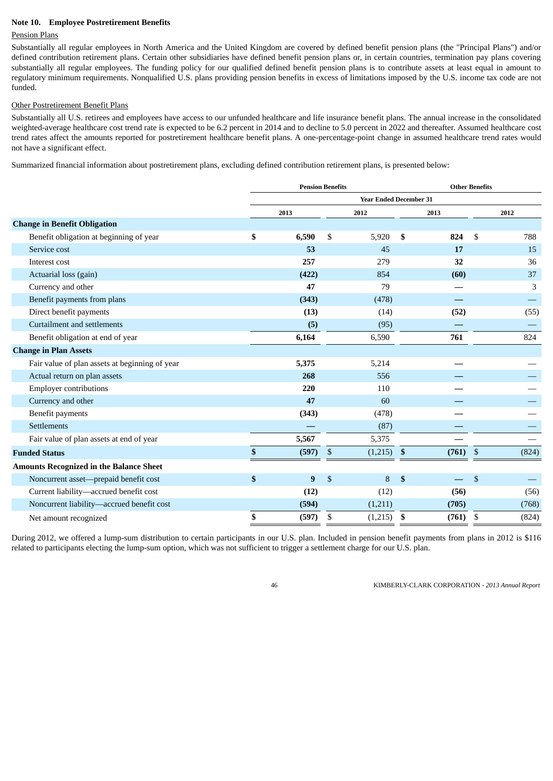### **Note 10. Employee Postretirement Benefits**

# Pension Plans

Substantially all regular employees in North America and the United Kingdom are covered by defined benefit pension plans (the "Principal Plans") and/or defined contribution retirement plans. Certain other subsidiaries have defined benefit pension plans or, in certain countries, termination pay plans covering substantially all regular employees. The funding policy for our qualified defined benefit pension plans is to contribute assets at least equal in amount to regulatory minimum requirements. Nonqualified U.S. plans providing pension benefits in excess of limitations imposed by the U.S. income tax code are not funded.

### Other Postretirement Benefit Plans

Substantially all U.S. retirees and employees have access to our unfunded healthcare and life insurance benefit plans. The annual increase in the consolidated weighted-average healthcare cost trend rate is expected to be 6.2 percent in 2014 and to decline to 5.0 percent in 2022 and thereafter. Assumed healthcare cost trend rates affect the amounts reported for postretirement healthcare benefit plans. A one-percentage-point change in assumed healthcare trend rates would not have a significant effect.

Summarized financial information about postretirement plans, excluding defined contribution retirement plans, is presented below:

|                                                |    |       | <b>Other Benefits</b> |                               |                           |       |              |       |
|------------------------------------------------|----|-------|-----------------------|-------------------------------|---------------------------|-------|--------------|-------|
|                                                |    |       |                       | <b>Year Ended December 31</b> |                           |       |              |       |
|                                                |    | 2013  |                       | 2012                          |                           | 2013  |              | 2012  |
| <b>Change in Benefit Obligation</b>            |    |       |                       |                               |                           |       |              |       |
| Benefit obligation at beginning of year        | \$ | 6,590 | S                     | 5,920                         | \$                        | 824   | \$           | 788   |
| Service cost                                   |    | 53    |                       | 45                            |                           | 17    |              | 15    |
| Interest cost                                  |    | 257   |                       | 279                           |                           | 32    |              | 36    |
| Actuarial loss (gain)                          |    | (422) |                       | 854                           |                           | (60)  |              | 37    |
| Currency and other                             |    | 47    |                       | 79                            |                           |       |              | 3     |
| Benefit payments from plans                    |    | (343) |                       | (478)                         |                           |       |              |       |
| Direct benefit payments                        |    | (13)  |                       | (14)                          |                           | (52)  |              | (55)  |
| <b>Curtailment and settlements</b>             |    | (5)   |                       | (95)                          |                           |       |              |       |
| Benefit obligation at end of year              |    | 6,164 |                       | 6,590                         |                           | 761   |              | 824   |
| <b>Change in Plan Assets</b>                   |    |       |                       |                               |                           |       |              |       |
| Fair value of plan assets at beginning of year |    | 5,375 |                       | 5,214                         |                           |       |              |       |
| Actual return on plan assets                   |    | 268   |                       | 556                           |                           |       |              |       |
| <b>Employer contributions</b>                  |    | 220   |                       | 110                           |                           |       |              |       |
| Currency and other                             |    | 47    |                       | 60                            |                           |       |              |       |
| <b>Benefit payments</b>                        |    | (343) |                       | (478)                         |                           |       |              |       |
| Settlements                                    |    |       |                       | (87)                          |                           |       |              |       |
| Fair value of plan assets at end of year       |    | 5,567 |                       | 5,375                         |                           |       |              |       |
| <b>Funded Status</b>                           | \$ | (597) | \$                    | (1,215)                       | $\boldsymbol{\mathsf{S}}$ | (761) | \$           | (824) |
| <b>Amounts Recognized in the Balance Sheet</b> |    |       |                       |                               |                           |       |              |       |
| Noncurrent asset-prepaid benefit cost          | \$ | 9     | $\mathfrak{S}$        | 8                             | $\mathbf{s}$              |       | $\mathbb{S}$ |       |
| Current liability-accrued benefit cost         |    | (12)  |                       | (12)                          |                           | (56)  |              | (56)  |
| Noncurrent liability-accrued benefit cost      |    | (594) |                       | (1,211)                       |                           | (705) |              | (768) |
| Net amount recognized                          | \$ | (597) | \$                    | (1,215)                       | \$                        | (761) | \$           | (824) |

During 2012, we offered a lump-sum distribution to certain participants in our U.S. plan. Included in pension benefit payments from plans in 2012 is \$116 related to participants electing the lump-sum option, which was not sufficient to trigger a settlement charge for our U.S. plan.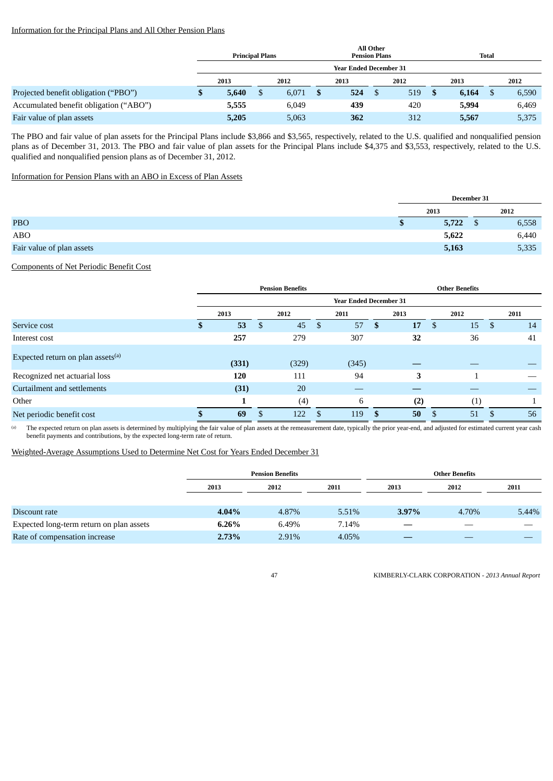### Information for the Principal Plans and All Other Pension Plans

|                                        | <b>Principal Plans</b>        |  |       | <b>Pension Plans</b> | All Other |      |     |      |       |       |       |
|----------------------------------------|-------------------------------|--|-------|----------------------|-----------|------|-----|------|-------|-------|-------|
|                                        | <b>Year Ended December 31</b> |  |       |                      |           |      |     |      |       |       |       |
|                                        | 2013                          |  | 2012  | 2013                 |           | 2012 |     | 2013 |       |       | 2012  |
| Projected benefit obligation ("PBO")   | 5,640                         |  | 6,071 |                      | 524       |      | 519 |      | 6,164 |       | 6,590 |
| Accumulated benefit obligation ("ABO") | 5,555                         |  | 6,049 |                      | 439       |      | 420 |      | 5,994 |       | 6,469 |
| Fair value of plan assets              | 5,205                         |  | 5,063 |                      | 362       |      | 312 |      | 5,567 | 5,375 |       |

The PBO and fair value of plan assets for the Principal Plans include \$3,866 and \$3,565, respectively, related to the U.S. qualified and nonqualified pension plans as of December 31, 2013. The PBO and fair value of plan assets for the Principal Plans include \$4,375 and \$3,553, respectively, related to the U.S. qualified and nonqualified pension plans as of December 31, 2012.

## Information for Pension Plans with an ABO in Excess of Plan Assets

|                           |       | December 31 |       |
|---------------------------|-------|-------------|-------|
|                           | 2013  |             | 2012  |
| <b>PBO</b>                | 5,722 |             | 6,558 |
| <b>ABO</b>                | 5,622 |             | 6,440 |
| Fair value of plan assets | 5,163 |             | 5,335 |

### Components of Net Periodic Benefit Cost

|                                      | <b>Pension Benefits</b>       |       |   |       |              |       |    | <b>Other Benefits</b> |    |      |     |      |  |
|--------------------------------------|-------------------------------|-------|---|-------|--------------|-------|----|-----------------------|----|------|-----|------|--|
|                                      | <b>Year Ended December 31</b> |       |   |       |              |       |    |                       |    |      |     |      |  |
|                                      |                               | 2013  |   | 2012  | 2011         |       |    | 2013                  |    | 2012 |     | 2011 |  |
| Service cost                         | \$                            | 53    | S | 45    | $\mathbf{S}$ | 57    | \$ | 17                    | \$ | 15   | -\$ | 14   |  |
| Interest cost                        |                               | 257   |   | 279   |              | 307   |    | 32                    |    | 36   |     | 41   |  |
| Expected return on plan assets $(a)$ |                               | (331) |   | (329) |              | (345) |    |                       |    |      |     |      |  |
| Recognized net actuarial loss        |                               | 120   |   | 111   |              | 94    |    | 3                     |    |      |     |      |  |
| Curtailment and settlements          |                               | (31)  |   | 20    |              |       |    |                       |    |      |     |      |  |
| Other                                |                               |       |   | (4)   |              | 6     |    | (2)                   |    | (1)  |     |      |  |
| Net periodic benefit cost            |                               | 69    |   | 122   | \$.          | 119   |    | 50                    |    | 51   |     | 56   |  |

(a) The expected return on plan assets is determined by multiplying the fair value of plan assets at the remeasurement date, typically the prior year-end, and adjusted for estimated current year cash benefit payments and contributions, by the expected long-term rate of return.

### Weighted-Average Assumptions Used to Determine Net Cost for Years Ended December 31

|                                          |       | <b>Pension Benefits</b> |       | <b>Other Benefits</b> |       |       |
|------------------------------------------|-------|-------------------------|-------|-----------------------|-------|-------|
|                                          | 2013  | 2012<br>2011            |       | 2013                  | 2012  | 2011  |
|                                          |       |                         |       |                       |       |       |
| Discount rate                            | 4.04% | 4.87%                   | 5.51% | 3.97%                 | 4.70% | 5.44% |
| Expected long-term return on plan assets | 6.26% | 6.49%                   | 7.14% |                       |       |       |
| Rate of compensation increase            | 2.73% | 2.91%                   | 4.05% |                       | __    |       |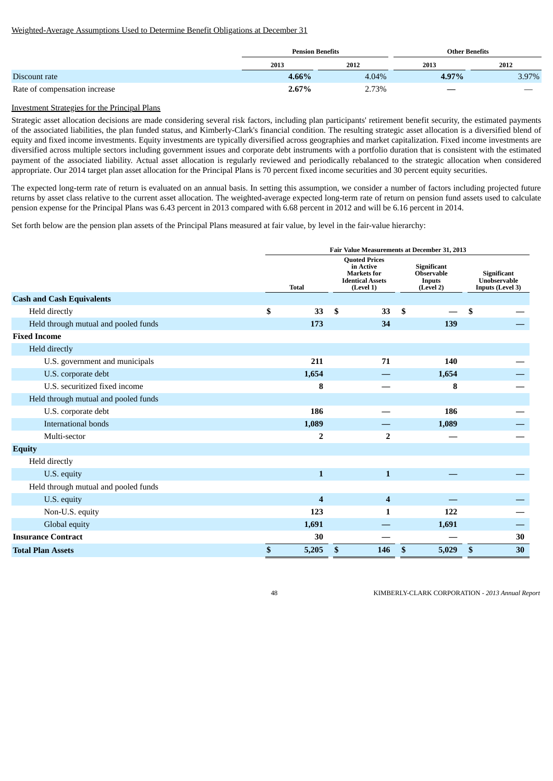### Weighted-Average Assumptions Used to Determine Benefit Obligations at December 31

|                               | <b>Pension Benefits</b> |       | <b>Other Benefits</b> |       |
|-------------------------------|-------------------------|-------|-----------------------|-------|
|                               | 2013                    | 2012  | 2013                  | 2012  |
| Discount rate                 | 4.66%                   | 4.04% | 4.97%                 | 3.97% |
| Rate of compensation increase | 2.67%                   | 2.73% |                       |       |

### Investment Strategies for the Principal Plans

Strategic asset allocation decisions are made considering several risk factors, including plan participants' retirement benefit security, the estimated payments of the associated liabilities, the plan funded status, and Kimberly-Clark's financial condition. The resulting strategic asset allocation is a diversified blend of equity and fixed income investments. Equity investments are typically diversified across geographies and market capitalization. Fixed income investments are diversified across multiple sectors including government issues and corporate debt instruments with a portfolio duration that is consistent with the estimated payment of the associated liability. Actual asset allocation is regularly reviewed and periodically rebalanced to the strategic allocation when considered appropriate. Our 2014 target plan asset allocation for the Principal Plans is 70 percent fixed income securities and 30 percent equity securities.

The expected long-term rate of return is evaluated on an annual basis. In setting this assumption, we consider a number of factors including projected future returns by asset class relative to the current asset allocation. The weighted-average expected long-term rate of return on pension fund assets used to calculate pension expense for the Principal Plans was 6.43 percent in 2013 compared with 6.68 percent in 2012 and will be 6.16 percent in 2014.

Set forth below are the pension plan assets of the Principal Plans measured at fair value, by level in the fair-value hierarchy:

|                                      | Fair Value Measurements at December 31, 2013 |                         |    |                                                                                                 |                           |                                                                       |    |                                                               |  |  |
|--------------------------------------|----------------------------------------------|-------------------------|----|-------------------------------------------------------------------------------------------------|---------------------------|-----------------------------------------------------------------------|----|---------------------------------------------------------------|--|--|
|                                      |                                              | <b>Total</b>            |    | <b>Quoted Prices</b><br>in Active<br><b>Markets</b> for<br><b>Identical Assets</b><br>(Level 1) |                           | <b>Significant</b><br><b>Observable</b><br><b>Inputs</b><br>(Level 2) |    | <b>Significant</b><br>Unobservable<br><b>Inputs (Level 3)</b> |  |  |
| <b>Cash and Cash Equivalents</b>     |                                              |                         |    |                                                                                                 |                           |                                                                       |    |                                                               |  |  |
| Held directly                        | \$                                           | 33                      | \$ | 33                                                                                              | \$                        |                                                                       | \$ |                                                               |  |  |
| Held through mutual and pooled funds |                                              | 173                     |    | 34                                                                                              |                           | 139                                                                   |    |                                                               |  |  |
| <b>Fixed Income</b>                  |                                              |                         |    |                                                                                                 |                           |                                                                       |    |                                                               |  |  |
| Held directly                        |                                              |                         |    |                                                                                                 |                           |                                                                       |    |                                                               |  |  |
| U.S. government and municipals       |                                              | 211                     |    | 71                                                                                              |                           | 140                                                                   |    |                                                               |  |  |
| U.S. corporate debt                  |                                              | 1,654                   |    |                                                                                                 |                           | 1,654                                                                 |    |                                                               |  |  |
| U.S. securitized fixed income        |                                              | 8                       |    |                                                                                                 |                           | 8                                                                     |    |                                                               |  |  |
| Held through mutual and pooled funds |                                              |                         |    |                                                                                                 |                           |                                                                       |    |                                                               |  |  |
| U.S. corporate debt                  |                                              | 186                     |    |                                                                                                 |                           | 186                                                                   |    |                                                               |  |  |
| <b>International bonds</b>           |                                              | 1,089                   |    |                                                                                                 |                           | 1,089                                                                 |    |                                                               |  |  |
| Multi-sector                         |                                              | $\overline{2}$          |    | $\overline{2}$                                                                                  |                           |                                                                       |    |                                                               |  |  |
| <b>Equity</b>                        |                                              |                         |    |                                                                                                 |                           |                                                                       |    |                                                               |  |  |
| Held directly                        |                                              |                         |    |                                                                                                 |                           |                                                                       |    |                                                               |  |  |
| U.S. equity                          |                                              | $\mathbf{1}$            |    | $\mathbf{1}$                                                                                    |                           |                                                                       |    |                                                               |  |  |
| Held through mutual and pooled funds |                                              |                         |    |                                                                                                 |                           |                                                                       |    |                                                               |  |  |
| U.S. equity                          |                                              | $\overline{\mathbf{4}}$ |    | $\overline{4}$                                                                                  |                           |                                                                       |    |                                                               |  |  |
| Non-U.S. equity                      |                                              | 123                     |    | $\mathbf{1}$                                                                                    |                           | 122                                                                   |    |                                                               |  |  |
| Global equity                        |                                              | 1,691                   |    |                                                                                                 |                           | 1,691                                                                 |    |                                                               |  |  |
| <b>Insurance Contract</b>            |                                              | 30                      |    |                                                                                                 |                           |                                                                       |    | 30                                                            |  |  |
| <b>Total Plan Assets</b>             | \$                                           | 5,205                   | \$ | 146                                                                                             | $\boldsymbol{\mathsf{s}}$ | 5,029                                                                 | \$ | 30                                                            |  |  |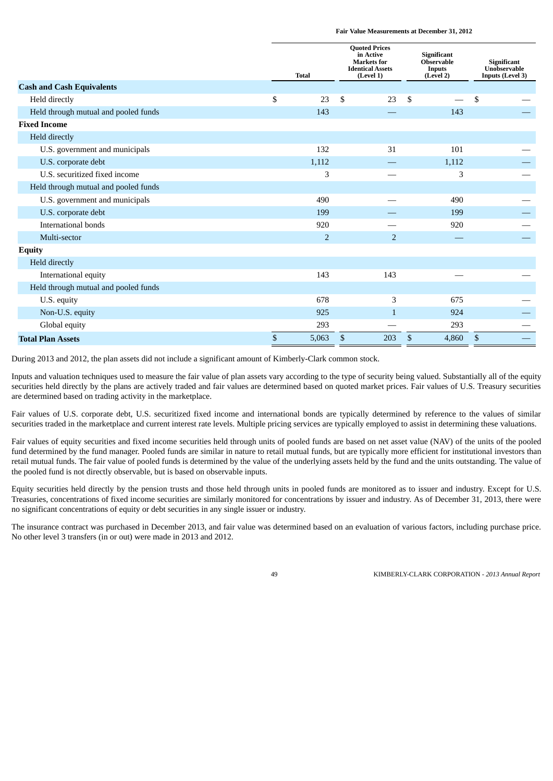**Fair Value Measurements at December 31, 2012**

|                                      | <b>Total</b> |                | <b>Quoted Prices</b><br>in Active<br><b>Markets</b> for<br><b>Identical Assets</b><br>(Level 1) |                | <b>Significant</b><br><b>Observable</b><br><b>Inputs</b><br>(Level 2) |       | <b>Significant</b><br><b>Unobservable</b><br><b>Inputs (Level 3)</b> |
|--------------------------------------|--------------|----------------|-------------------------------------------------------------------------------------------------|----------------|-----------------------------------------------------------------------|-------|----------------------------------------------------------------------|
| <b>Cash and Cash Equivalents</b>     |              |                |                                                                                                 |                |                                                                       |       |                                                                      |
| Held directly                        | \$           | 23             | \$                                                                                              | 23             | -\$                                                                   |       | \$                                                                   |
| Held through mutual and pooled funds |              | 143            |                                                                                                 |                |                                                                       | 143   |                                                                      |
| <b>Fixed Income</b>                  |              |                |                                                                                                 |                |                                                                       |       |                                                                      |
| Held directly                        |              |                |                                                                                                 |                |                                                                       |       |                                                                      |
| U.S. government and municipals       |              | 132            |                                                                                                 | 31             |                                                                       | 101   |                                                                      |
| U.S. corporate debt                  |              | 1,112          |                                                                                                 |                |                                                                       | 1,112 |                                                                      |
| U.S. securitized fixed income        |              | 3              |                                                                                                 |                |                                                                       | 3     |                                                                      |
| Held through mutual and pooled funds |              |                |                                                                                                 |                |                                                                       |       |                                                                      |
| U.S. government and municipals       |              | 490            |                                                                                                 |                |                                                                       | 490   |                                                                      |
| U.S. corporate debt                  |              | 199            |                                                                                                 |                |                                                                       | 199   |                                                                      |
| <b>International bonds</b>           |              | 920            |                                                                                                 |                |                                                                       | 920   |                                                                      |
| Multi-sector                         |              | $\overline{2}$ |                                                                                                 | $\overline{2}$ |                                                                       |       |                                                                      |
| <b>Equity</b>                        |              |                |                                                                                                 |                |                                                                       |       |                                                                      |
| Held directly                        |              |                |                                                                                                 |                |                                                                       |       |                                                                      |
| International equity                 |              | 143            |                                                                                                 | 143            |                                                                       |       |                                                                      |
| Held through mutual and pooled funds |              |                |                                                                                                 |                |                                                                       |       |                                                                      |
| U.S. equity                          |              | 678            |                                                                                                 | 3              |                                                                       | 675   |                                                                      |
| Non-U.S. equity                      |              | 925            |                                                                                                 | $\mathbf{1}$   |                                                                       | 924   |                                                                      |
| Global equity                        |              | 293            |                                                                                                 |                |                                                                       | 293   |                                                                      |
| <b>Total Plan Assets</b>             | \$           | 5,063          | \$                                                                                              | 203            | \$                                                                    | 4,860 | \$                                                                   |

During 2013 and 2012, the plan assets did not include a significant amount of Kimberly-Clark common stock.

Inputs and valuation techniques used to measure the fair value of plan assets vary according to the type of security being valued. Substantially all of the equity securities held directly by the plans are actively traded and fair values are determined based on quoted market prices. Fair values of U.S. Treasury securities are determined based on trading activity in the marketplace.

Fair values of U.S. corporate debt, U.S. securitized fixed income and international bonds are typically determined by reference to the values of similar securities traded in the marketplace and current interest rate levels. Multiple pricing services are typically employed to assist in determining these valuations.

Fair values of equity securities and fixed income securities held through units of pooled funds are based on net asset value (NAV) of the units of the pooled fund determined by the fund manager. Pooled funds are similar in nature to retail mutual funds, but are typically more efficient for institutional investors than retail mutual funds. The fair value of pooled funds is determined by the value of the underlying assets held by the fund and the units outstanding. The value of the pooled fund is not directly observable, but is based on observable inputs.

Equity securities held directly by the pension trusts and those held through units in pooled funds are monitored as to issuer and industry. Except for U.S. Treasuries, concentrations of fixed income securities are similarly monitored for concentrations by issuer and industry. As of December 31, 2013, there were no significant concentrations of equity or debt securities in any single issuer or industry.

The insurance contract was purchased in December 2013, and fair value was determined based on an evaluation of various factors, including purchase price. No other level 3 transfers (in or out) were made in 2013 and 2012.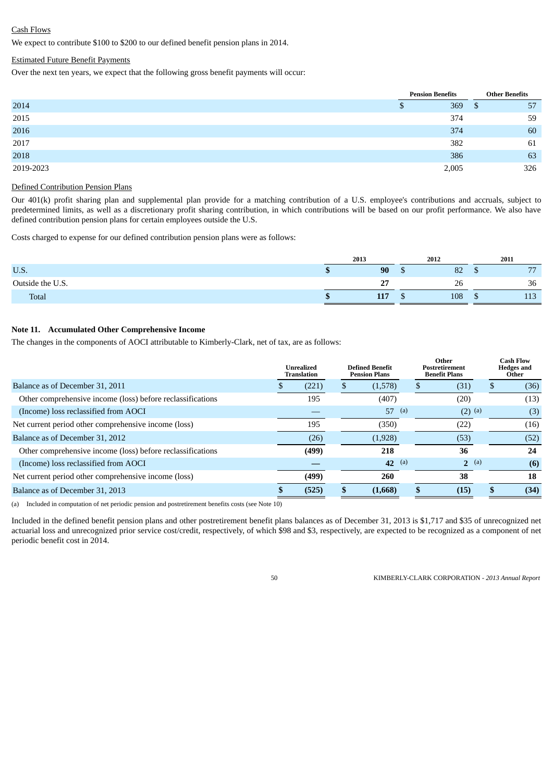## Cash Flows

We expect to contribute \$100 to \$200 to our defined benefit pension plans in 2014.

# Estimated Future Benefit Payments

Over the next ten years, we expect that the following gross benefit payments will occur:

|           | <b>Pension Benefits</b> | <b>Other Benefits</b> |
|-----------|-------------------------|-----------------------|
| 2014      | 369<br>D                | 57<br>- \$            |
| 2015      | 374                     | 59                    |
| 2016      | 374                     | 60                    |
| 2017      | 382                     | 61                    |
| 2018      | 386                     | 63                    |
| 2019-2023 | 2,005                   | 326                   |

## Defined Contribution Pension Plans

Our 401(k) profit sharing plan and supplemental plan provide for a matching contribution of a U.S. employee's contributions and accruals, subject to predetermined limits, as well as a discretionary profit sharing contribution, in which contributions will be based on our profit performance. We also have defined contribution pension plans for certain employees outside the U.S.

Costs charged to expense for our defined contribution pension plans were as follows:

|                  | 2013 |           | 2012 |     |                          | 2011       |
|------------------|------|-----------|------|-----|--------------------------|------------|
| U.S.             |      | 90        |      | 82  | $\overline{\phantom{a}}$ | 77         |
| Outside the U.S. |      | רי<br>- 1 |      | 26  |                          | 36         |
| Total            |      | 117       |      | 108 | u                        | 110<br>ᆂᆂᇦ |

## **Note 11. Accumulated Other Comprehensive Income**

The changes in the components of AOCI attributable to Kimberly-Clark, net of tax, are as follows:

|                                                            | Unrealized<br><b>Translation</b> |       | <b>Defined Benefit</b><br><b>Pension Plans</b> |          |     | Other<br>Postretirement<br><b>Benefit Plans</b> |      | <b>Cash Flow</b><br><b>Hedges and</b><br>Other |      |
|------------------------------------------------------------|----------------------------------|-------|------------------------------------------------|----------|-----|-------------------------------------------------|------|------------------------------------------------|------|
| Balance as of December 31, 2011                            |                                  | (221) |                                                | (1,578)  |     | (31)                                            |      |                                                | (36) |
| Other comprehensive income (loss) before reclassifications |                                  | 195   |                                                | (407)    |     | (20)                                            |      |                                                | (13) |
| (Income) loss reclassified from AOCI                       |                                  |       |                                                | 57       | (a) | $(2)$ (a)                                       |      |                                                | (3)  |
| Net current period other comprehensive income (loss)       |                                  | 195   |                                                | (350)    |     | (22)                                            |      |                                                | (16) |
| Balance as of December 31, 2012                            |                                  | (26)  |                                                | (1,928)  |     | (53)                                            |      |                                                | (52) |
| Other comprehensive income (loss) before reclassifications |                                  | (499) |                                                | 218      |     | 36                                              |      |                                                | 24   |
| (Income) loss reclassified from AOCI                       |                                  |       |                                                | 42 $(a)$ |     |                                                 | 2(a) |                                                | (6)  |
| Net current period other comprehensive income (loss)       |                                  | (499) |                                                | 260      |     | 38                                              |      |                                                | 18   |
| Balance as of December 31, 2013                            |                                  | (525) |                                                | (1,668)  |     | (15)                                            |      |                                                | (34) |
|                                                            |                                  |       |                                                |          |     |                                                 |      |                                                |      |

(a) Included in computation of net periodic pension and postretirement benefits costs (see Note 10)

Included in the defined benefit pension plans and other postretirement benefit plans balances as of December 31, 2013 is \$1,717 and \$35 of unrecognized net actuarial loss and unrecognized prior service cost/credit, respectively, of which \$98 and \$3, respectively, are expected to be recognized as a component of net periodic benefit cost in 2014.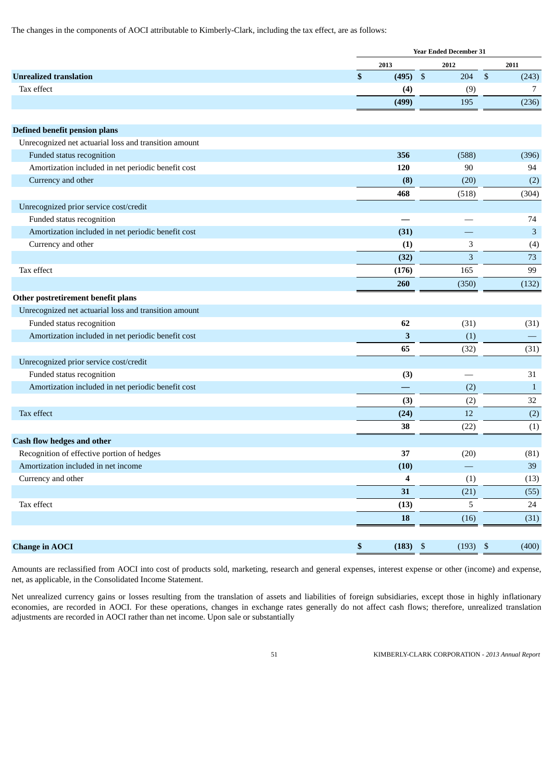The changes in the components of AOCI attributable to Kimberly-Clark, including the tax effect, are as follows:

|                                                       |           | <b>Year Ended December 31</b> |            |              |              |  |
|-------------------------------------------------------|-----------|-------------------------------|------------|--------------|--------------|--|
|                                                       | 2013      |                               | 2012       |              | 2011         |  |
| <b>Unrealized translation</b>                         | \$        | $(495)$ \$                    | 204        | $\mathbb{S}$ | (243)        |  |
| Tax effect                                            |           | (4)                           | (9)        |              | 7            |  |
|                                                       | (499)     |                               | 195        |              | (236)        |  |
|                                                       |           |                               |            |              |              |  |
| Defined benefit pension plans                         |           |                               |            |              |              |  |
| Unrecognized net actuarial loss and transition amount |           |                               |            |              |              |  |
| Funded status recognition                             | 356       |                               | (588)      |              | (396)        |  |
| Amortization included in net periodic benefit cost    | 120       |                               | 90         |              | 94           |  |
| Currency and other                                    | (8)       |                               | (20)       |              | (2)          |  |
|                                                       | 468       |                               | (518)      |              | (304)        |  |
| Unrecognized prior service cost/credit                |           |                               |            |              |              |  |
| Funded status recognition                             |           |                               |            |              | 74           |  |
| Amortization included in net periodic benefit cost    | (31)      |                               |            |              | 3            |  |
| Currency and other                                    | (1)       |                               | 3          |              | (4)          |  |
|                                                       | (32)      |                               | 3          |              | 73           |  |
| Tax effect                                            | (176)     |                               | 165        |              | 99           |  |
|                                                       | 260       |                               | (350)      |              | (132)        |  |
| Other postretirement benefit plans                    |           |                               |            |              |              |  |
| Unrecognized net actuarial loss and transition amount |           |                               |            |              |              |  |
| Funded status recognition                             | 62        |                               | (31)       |              | (31)         |  |
| Amortization included in net periodic benefit cost    |           | 3                             | (1)        |              |              |  |
|                                                       | 65        |                               | (32)       |              | (31)         |  |
| Unrecognized prior service cost/credit                |           |                               |            |              |              |  |
| Funded status recognition                             | (3)       |                               |            |              | 31           |  |
| Amortization included in net periodic benefit cost    |           |                               | (2)        |              | $\mathbf{1}$ |  |
|                                                       | (3)       |                               | (2)        |              | 32           |  |
| Tax effect                                            | (24)      |                               | 12         |              | (2)          |  |
|                                                       | 38        |                               | (22)       |              | (1)          |  |
| <b>Cash flow hedges and other</b>                     |           |                               |            |              |              |  |
| Recognition of effective portion of hedges            | 37        |                               | (20)       |              | (81)         |  |
| Amortization included in net income                   | (10)      |                               |            |              | $39\,$       |  |
| Currency and other                                    |           | 4                             | (1)        |              | (13)         |  |
|                                                       | 31        |                               | (21)       |              | (55)         |  |
| Tax effect                                            | (13)      |                               | 5          |              | 24           |  |
|                                                       | <b>18</b> |                               | (16)       |              | (31)         |  |
|                                                       |           |                               |            |              |              |  |
| <b>Change in AOCI</b>                                 | \$        | $(183)$ \$                    | $(193)$ \$ |              | (400)        |  |

Amounts are reclassified from AOCI into cost of products sold, marketing, research and general expenses, interest expense or other (income) and expense, net, as applicable, in the Consolidated Income Statement.

Net unrealized currency gains or losses resulting from the translation of assets and liabilities of foreign subsidiaries, except those in highly inflationary economies, are recorded in AOCI. For these operations, changes in exchange rates generally do not affect cash flows; therefore, unrealized translation adjustments are recorded in AOCI rather than net income. Upon sale or substantially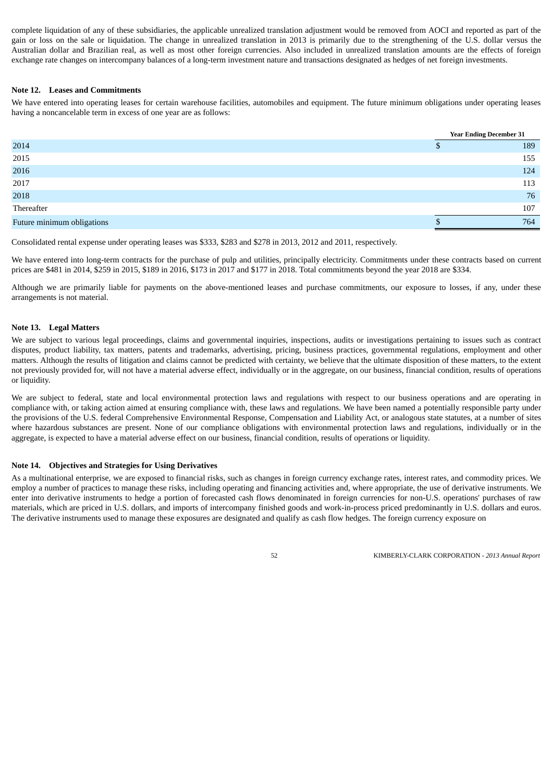complete liquidation of any of these subsidiaries, the applicable unrealized translation adjustment would be removed from AOCI and reported as part of the gain or loss on the sale or liquidation. The change in unrealized translation in 2013 is primarily due to the strengthening of the U.S. dollar versus the Australian dollar and Brazilian real, as well as most other foreign currencies. Also included in unrealized translation amounts are the effects of foreign exchange rate changes on intercompany balances of a long-term investment nature and transactions designated as hedges of net foreign investments.

## **Note 12. Leases and Commitments**

We have entered into operating leases for certain warehouse facilities, automobiles and equipment. The future minimum obligations under operating leases having a noncancelable term in excess of one year are as follows:

|                            | <b>Year Ending December 31</b> |     |  |
|----------------------------|--------------------------------|-----|--|
| 2014                       |                                | 189 |  |
| 2015                       |                                | 155 |  |
| 2016                       |                                | 124 |  |
| 2017                       |                                | 113 |  |
| 2018                       |                                | 76  |  |
| Thereafter                 |                                | 107 |  |
| Future minimum obligations |                                | 764 |  |

Consolidated rental expense under operating leases was \$333, \$283 and \$278 in 2013, 2012 and 2011, respectively.

We have entered into long-term contracts for the purchase of pulp and utilities, principally electricity. Commitments under these contracts based on current prices are \$481 in 2014, \$259 in 2015, \$189 in 2016, \$173 in 2017 and \$177 in 2018. Total commitments beyond the year 2018 are \$334.

Although we are primarily liable for payments on the above-mentioned leases and purchase commitments, our exposure to losses, if any, under these arrangements is not material.

## **Note 13. Legal Matters**

We are subject to various legal proceedings, claims and governmental inquiries, inspections, audits or investigations pertaining to issues such as contract disputes, product liability, tax matters, patents and trademarks, advertising, pricing, business practices, governmental regulations, employment and other matters. Although the results of litigation and claims cannot be predicted with certainty, we believe that the ultimate disposition of these matters, to the extent not previously provided for, will not have a material adverse effect, individually or in the aggregate, on our business, financial condition, results of operations or liquidity.

We are subject to federal, state and local environmental protection laws and regulations with respect to our business operations and are operating in compliance with, or taking action aimed at ensuring compliance with, these laws and regulations. We have been named a potentially responsible party under the provisions of the U.S. federal Comprehensive Environmental Response, Compensation and Liability Act, or analogous state statutes, at a number of sites where hazardous substances are present. None of our compliance obligations with environmental protection laws and regulations, individually or in the aggregate, is expected to have a material adverse effect on our business, financial condition, results of operations or liquidity.

## **Note 14. Objectives and Strategies for Using Derivatives**

As a multinational enterprise, we are exposed to financial risks, such as changes in foreign currency exchange rates, interest rates, and commodity prices. We employ a number of practices to manage these risks, including operating and financing activities and, where appropriate, the use of derivative instruments. We enter into derivative instruments to hedge a portion of forecasted cash flows denominated in foreign currencies for non-U.S. operations' purchases of raw materials, which are priced in U.S. dollars, and imports of intercompany finished goods and work-in-process priced predominantly in U.S. dollars and euros. The derivative instruments used to manage these exposures are designated and qualify as cash flow hedges. The foreign currency exposure on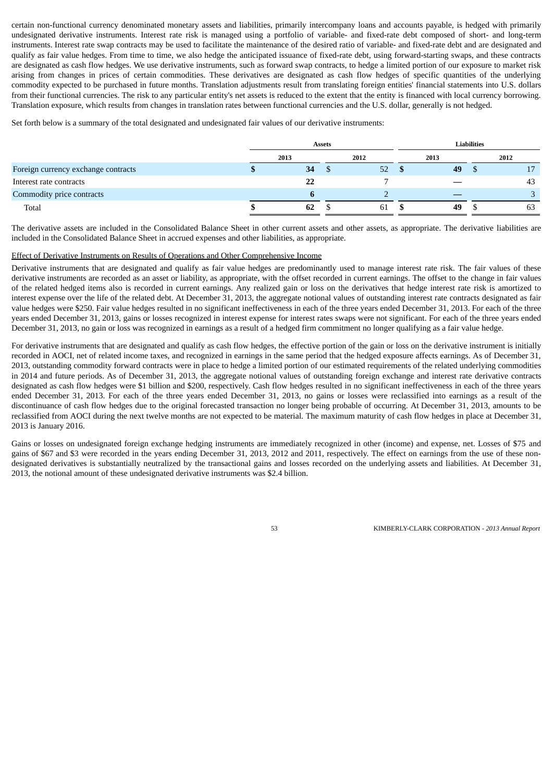certain non-functional currency denominated monetary assets and liabilities, primarily intercompany loans and accounts payable, is hedged with primarily undesignated derivative instruments. Interest rate risk is managed using a portfolio of variable- and fixed-rate debt composed of short- and long-term instruments. Interest rate swap contracts may be used to facilitate the maintenance of the desired ratio of variable- and fixed-rate debt and are designated and qualify as fair value hedges. From time to time, we also hedge the anticipated issuance of fixed-rate debt, using forward-starting swaps, and these contracts are designated as cash flow hedges. We use derivative instruments, such as forward swap contracts, to hedge a limited portion of our exposure to market risk arising from changes in prices of certain commodities. These derivatives are designated as cash flow hedges of specific quantities of the underlying commodity expected to be purchased in future months. Translation adjustments result from translating foreign entities' financial statements into U.S. dollars from their functional currencies. The risk to any particular entity's net assets is reduced to the extent that the entity is financed with local currency borrowing. Translation exposure, which results from changes in translation rates between functional currencies and the U.S. dollar, generally is not hedged.

Set forth below is a summary of the total designated and undesignated fair values of our derivative instruments:

|                                     | <b>Assets</b> |      |  | Liabilities |  |      |  |      |
|-------------------------------------|---------------|------|--|-------------|--|------|--|------|
|                                     |               | 2013 |  | 2012        |  | 2013 |  | 2012 |
| Foreign currency exchange contracts |               | 34   |  | 52          |  | 49   |  |      |
| Interest rate contracts             |               | 22   |  |             |  |      |  | 43   |
| Commodity price contracts           |               | h    |  |             |  |      |  |      |
| Total                               |               | 62   |  | 61          |  | 49   |  | 63   |

The derivative assets are included in the Consolidated Balance Sheet in other current assets and other assets, as appropriate. The derivative liabilities are included in the Consolidated Balance Sheet in accrued expenses and other liabilities, as appropriate.

### Effect of Derivative Instruments on Results of Operations and Other Comprehensive Income

Derivative instruments that are designated and qualify as fair value hedges are predominantly used to manage interest rate risk. The fair values of these derivative instruments are recorded as an asset or liability, as appropriate, with the offset recorded in current earnings. The offset to the change in fair values of the related hedged items also is recorded in current earnings. Any realized gain or loss on the derivatives that hedge interest rate risk is amortized to interest expense over the life of the related debt. At December 31, 2013, the aggregate notional values of outstanding interest rate contracts designated as fair value hedges were \$250. Fair value hedges resulted in no significant ineffectiveness in each of the three years ended December 31, 2013. For each of the three years ended December 31, 2013, gains or losses recognized in interest expense for interest rates swaps were not significant. For each of the three years ended December 31, 2013, no gain or loss was recognized in earnings as a result of a hedged firm commitment no longer qualifying as a fair value hedge.

For derivative instruments that are designated and qualify as cash flow hedges, the effective portion of the gain or loss on the derivative instrument is initially recorded in AOCI, net of related income taxes, and recognized in earnings in the same period that the hedged exposure affects earnings. As of December 31, 2013, outstanding commodity forward contracts were in place to hedge a limited portion of our estimated requirements of the related underlying commodities in 2014 and future periods. As of December 31, 2013, the aggregate notional values of outstanding foreign exchange and interest rate derivative contracts designated as cash flow hedges were \$1 billion and \$200, respectively. Cash flow hedges resulted in no significant ineffectiveness in each of the three years ended December 31, 2013. For each of the three years ended December 31, 2013, no gains or losses were reclassified into earnings as a result of the discontinuance of cash flow hedges due to the original forecasted transaction no longer being probable of occurring. At December 31, 2013, amounts to be reclassified from AOCI during the next twelve months are not expected to be material. The maximum maturity of cash flow hedges in place at December 31, 2013 is January 2016.

Gains or losses on undesignated foreign exchange hedging instruments are immediately recognized in other (income) and expense, net. Losses of \$75 and gains of \$67 and \$3 were recorded in the years ending December 31, 2013, 2012 and 2011, respectively. The effect on earnings from the use of these nondesignated derivatives is substantially neutralized by the transactional gains and losses recorded on the underlying assets and liabilities. At December 31, 2013, the notional amount of these undesignated derivative instruments was \$2.4 billion.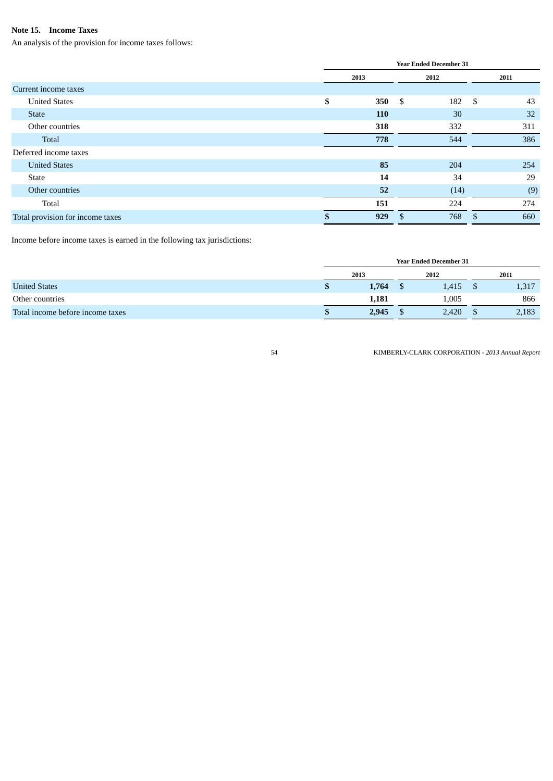# **Note 15. Income Taxes**

An analysis of the provision for income taxes follows:

|                                  | <b>Year Ended December 31</b> |            |           |      |      |
|----------------------------------|-------------------------------|------------|-----------|------|------|
|                                  | 2013                          |            | 2012      |      | 2011 |
| Current income taxes             |                               |            |           |      |      |
| <b>United States</b>             | \$                            | 350        | \$<br>182 | - \$ | 43   |
| <b>State</b>                     |                               | <b>110</b> | 30        |      | 32   |
| Other countries                  |                               | 318        | 332       |      | 311  |
| Total                            |                               | 778        | 544       |      | 386  |
| Deferred income taxes            |                               |            |           |      |      |
| <b>United States</b>             |                               | 85         | 204       |      | 254  |
| <b>State</b>                     |                               | 14         | 34        |      | 29   |
| Other countries                  |                               | 52         | (14)      |      | (9)  |
| Total                            |                               | 151        | 224       |      | 274  |
| Total provision for income taxes | \$                            | 929        | 768<br>-S |      | 660  |

Income before income taxes is earned in the following tax jurisdictions:

|                                  | <b>Year Ended December 31</b> |       |  |       |  |       |
|----------------------------------|-------------------------------|-------|--|-------|--|-------|
|                                  | 2013                          |       |  | 2012  |  | 2011  |
| <b>United States</b>             |                               | 1,764 |  | 1,415 |  | 1,317 |
| Other countries                  |                               | 1,181 |  | 1,005 |  | 866   |
| Total income before income taxes | w                             | 2,945 |  | 2,420 |  | 2,183 |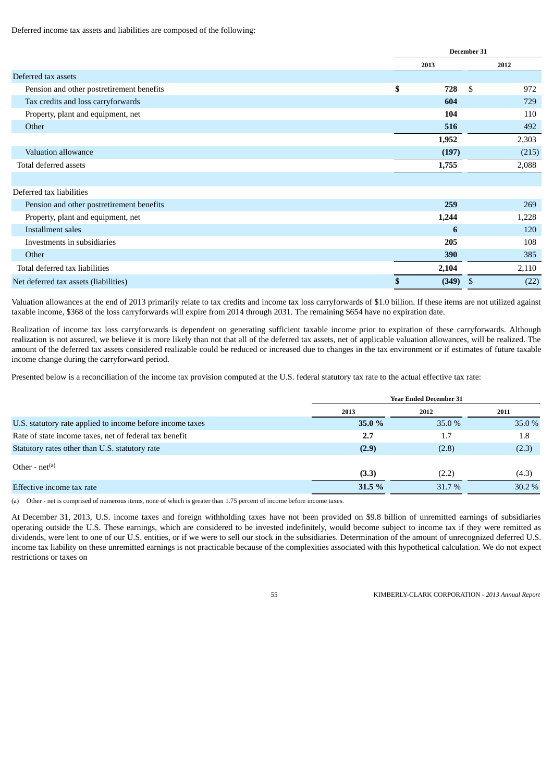Deferred income tax assets and liabilities are composed of the following:

|                                           | December 31 |            |  |  |
|-------------------------------------------|-------------|------------|--|--|
|                                           | 2013        | 2012       |  |  |
| Deferred tax assets                       |             |            |  |  |
| Pension and other postretirement benefits | \$<br>728   | -\$<br>972 |  |  |
| Tax credits and loss carryforwards        | 604         | 729        |  |  |
| Property, plant and equipment, net        | 104         | 110        |  |  |
| Other                                     | 516         | 492        |  |  |
|                                           | 1,952       | 2,303      |  |  |
| Valuation allowance                       | (197)       | (215)      |  |  |
| Total deferred assets                     | 1,755       | 2,088      |  |  |
|                                           |             |            |  |  |
| Deferred tax liabilities                  |             |            |  |  |
| Pension and other postretirement benefits | 259         | 269        |  |  |
| Droporty plant and conjument not          | 1.244       | 1.220      |  |  |

| Property, plant and equipment, net    | 1,244      | 1,228 |
|---------------------------------------|------------|-------|
| Installment sales                     | 6          | 120   |
| Investments in subsidiaries           | 205        | 108   |
| Other                                 | 390        | 385   |
| Total deferred tax liabilities        | 2,104      | 2,110 |
| Net deferred tax assets (liabilities) | (349)<br>D | (22)  |

Valuation allowances at the end of 2013 primarily relate to tax credits and income tax loss carryforwards of \$1.0 billion. If these items are not utilized against taxable income, \$368 of the loss carryforwards will expire from 2014 through 2031. The remaining \$654 have no expiration date.

Realization of income tax loss carryforwards is dependent on generating sufficient taxable income prior to expiration of these carryforwards. Although realization is not assured, we believe it is more likely than not that all of the deferred tax assets, net of applicable valuation allowances, will be realized. The amount of the deferred tax assets considered realizable could be reduced or increased due to changes in the tax environment or if estimates of future taxable income change during the carryforward period.

Presented below is a reconciliation of the income tax provision computed at the U.S. federal statutory tax rate to the actual effective tax rate:

|                                                           | <b>Year Ended December 31</b> |        |        |  |  |
|-----------------------------------------------------------|-------------------------------|--------|--------|--|--|
|                                                           | 2013                          | 2012   | 2011   |  |  |
| U.S. statutory rate applied to income before income taxes | 35.0%                         | 35.0%  | 35.0%  |  |  |
| Rate of state income taxes, net of federal tax benefit    | 2.7                           | 1.7    | 1.8    |  |  |
| Statutory rates other than U.S. statutory rate            | (2.9)                         | (2.8)  | (2.3)  |  |  |
| Other - $net(a)$                                          |                               |        |        |  |  |
|                                                           | (3.3)                         | (2.2)  | (4.3)  |  |  |
| Effective income tax rate                                 | 31.5 %                        | 31.7 % | 30.2 % |  |  |

(a) Other - net is comprised of numerous items, none of which is greater than 1.75 percent of income before income taxes.

At December 31, 2013, U.S. income taxes and foreign withholding taxes have not been provided on \$9.8 billion of unremitted earnings of subsidiaries operating outside the U.S. These earnings, which are considered to be invested indefinitely, would become subject to income tax if they were remitted as dividends, were lent to one of our U.S. entities, or if we were to sell our stock in the subsidiaries. Determination of the amount of unrecognized deferred U.S. income tax liability on these unremitted earnings is not practicable because of the complexities associated with this hypothetical calculation. We do not expect restrictions or taxes on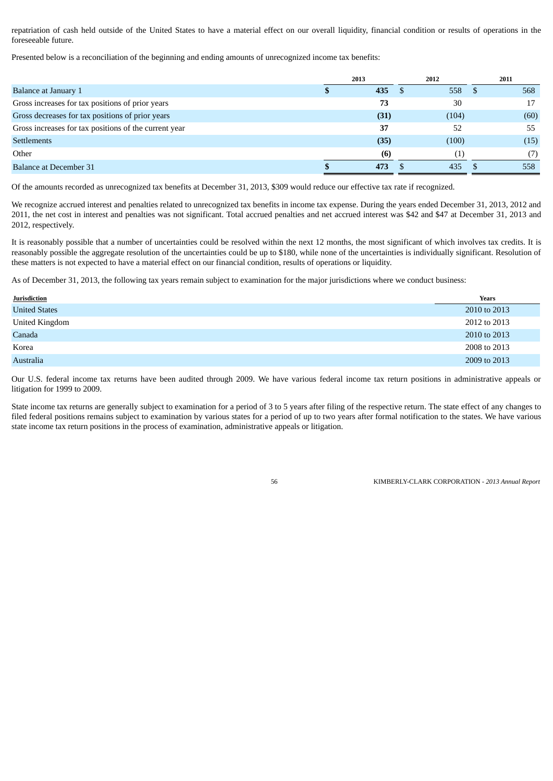repatriation of cash held outside of the United States to have a material effect on our overall liquidity, financial condition or results of operations in the foreseeable future.

Presented below is a reconciliation of the beginning and ending amounts of unrecognized income tax benefits:

|                                                       | 2013 |      | 2012  | 2011 |
|-------------------------------------------------------|------|------|-------|------|
| <b>Balance at January 1</b>                           |      | 435  | 558   | 568  |
| Gross increases for tax positions of prior years      |      | 73   | 30    | 17   |
| Gross decreases for tax positions of prior years      |      | (31) | (104) | (60) |
| Gross increases for tax positions of the current year |      | 37   | 52    | 55   |
| <b>Settlements</b>                                    |      | (35) | (100) | (15) |
| Other                                                 |      | (6)  | ,1)   | (7)  |
| <b>Balance at December 31</b>                         |      | 473  | 435   | 558  |

Of the amounts recorded as unrecognized tax benefits at December 31, 2013, \$309 would reduce our effective tax rate if recognized.

We recognize accrued interest and penalties related to unrecognized tax benefits in income tax expense. During the years ended December 31, 2013, 2012 and 2011, the net cost in interest and penalties was not significant. Total accrued penalties and net accrued interest was \$42 and \$47 at December 31, 2013 and 2012, respectively.

It is reasonably possible that a number of uncertainties could be resolved within the next 12 months, the most significant of which involves tax credits. It is reasonably possible the aggregate resolution of the uncertainties could be up to \$180, while none of the uncertainties is individually significant. Resolution of these matters is not expected to have a material effect on our financial condition, results of operations or liquidity.

As of December 31, 2013, the following tax years remain subject to examination for the major jurisdictions where we conduct business:

| <b>Jurisdiction</b>   | <b>Years</b> |
|-----------------------|--------------|
| <b>United States</b>  | 2010 to 2013 |
| <b>United Kingdom</b> | 2012 to 2013 |
| Canada                | 2010 to 2013 |
| Korea                 | 2008 to 2013 |
| Australia             | 2009 to 2013 |

Our U.S. federal income tax returns have been audited through 2009. We have various federal income tax return positions in administrative appeals or litigation for 1999 to 2009.

State income tax returns are generally subject to examination for a period of 3 to 5 years after filing of the respective return. The state effect of any changes to filed federal positions remains subject to examination by various states for a period of up to two years after formal notification to the states. We have various state income tax return positions in the process of examination, administrative appeals or litigation.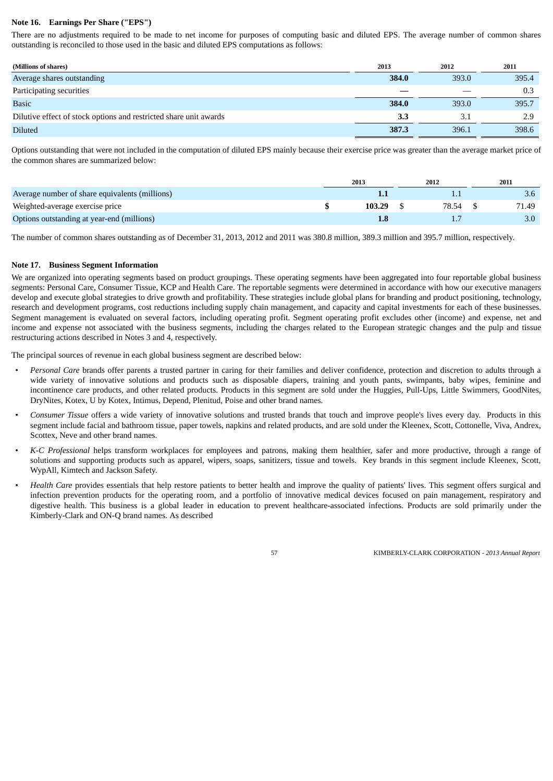## **Note 16. Earnings Per Share ("EPS")**

There are no adjustments required to be made to net income for purposes of computing basic and diluted EPS. The average number of common shares outstanding is reconciled to those used in the basic and diluted EPS computations as follows:

| (Millions of shares)                                              | 2013  | 2012  | 2011  |
|-------------------------------------------------------------------|-------|-------|-------|
| Average shares outstanding                                        | 384.0 | 393.0 | 395.4 |
| Participating securities                                          |       |       | 0.3   |
| <b>Basic</b>                                                      | 384.0 | 393.0 | 395.7 |
| Dilutive effect of stock options and restricted share unit awards | 3.3   | 3.1   | 2.9   |
| <b>Diluted</b>                                                    | 387.3 | 396.1 | 398.6 |

Options outstanding that were not included in the computation of diluted EPS mainly because their exercise price was greater than the average market price of the common shares are summarized below:

|                                                | 2013   | 2012  | 2011             |
|------------------------------------------------|--------|-------|------------------|
| Average number of share equivalents (millions) |        |       |                  |
| Weighted-average exercise price                | 103.29 | 78.54 | 71.49            |
| Options outstanding at year-end (millions)     |        |       | 3.0 <sub>1</sub> |

The number of common shares outstanding as of December 31, 2013, 2012 and 2011 was 380.8 million, 389.3 million and 395.7 million, respectively.

### **Note 17. Business Segment Information**

We are organized into operating segments based on product groupings. These operating segments have been aggregated into four reportable global business segments: Personal Care, Consumer Tissue, KCP and Health Care. The reportable segments were determined in accordance with how our executive managers develop and execute global strategies to drive growth and profitability. These strategies include global plans for branding and product positioning, technology, research and development programs, cost reductions including supply chain management, and capacity and capital investments for each of these businesses. Segment management is evaluated on several factors, including operating profit. Segment operating profit excludes other (income) and expense, net and income and expense not associated with the business segments, including the charges related to the European strategic changes and the pulp and tissue restructuring actions described in Notes 3 and 4, respectively.

The principal sources of revenue in each global business segment are described below:

- *Personal Care* brands offer parents a trusted partner in caring for their families and deliver confidence, protection and discretion to adults through a wide variety of innovative solutions and products such as disposable diapers, training and youth pants, swimpants, baby wipes, feminine and incontinence care products, and other related products. Products in this segment are sold under the Huggies, Pull-Ups, Little Swimmers, GoodNites, DryNites, Kotex, U by Kotex, Intimus, Depend, Plenitud, Poise and other brand names.
- *Consumer Tissue* offers a wide variety of innovative solutions and trusted brands that touch and improve people's lives every day. Products in this segment include facial and bathroom tissue, paper towels, napkins and related products, and are sold under the Kleenex, Scott, Cottonelle, Viva, Andrex, Scottex, Neve and other brand names.
- *K-C Professional* helps transform workplaces for employees and patrons, making them healthier, safer and more productive, through a range of solutions and supporting products such as apparel, wipers, soaps, sanitizers, tissue and towels. Key brands in this segment include Kleenex, Scott, WypAll, Kimtech and Jackson Safety.
- *Health Care* provides essentials that help restore patients to better health and improve the quality of patients' lives. This segment offers surgical and infection prevention products for the operating room, and a portfolio of innovative medical devices focused on pain management, respiratory and digestive health. This business is a global leader in education to prevent healthcare-associated infections. Products are sold primarily under the Kimberly-Clark and ON-Q brand names. As described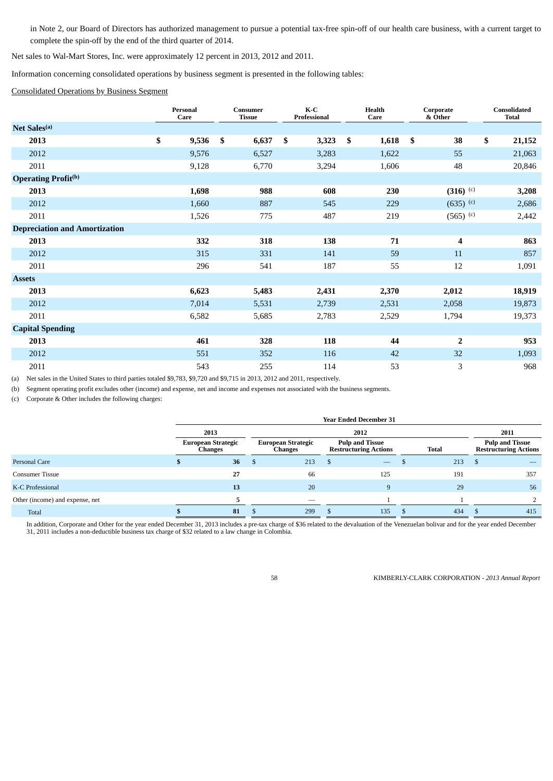in Note 2, our Board of Directors has authorized management to pursue a potential tax-free spin-off of our health care business, with a current target to complete the spin-off by the end of the third quarter of 2014.

Net sales to Wal-Mart Stores, Inc. were approximately 12 percent in 2013, 2012 and 2011.

Information concerning consolidated operations by business segment is presented in the following tables:

Consolidated Operations by Business Segment

|                                      | <b>Personal</b><br>Care | Consumer<br><b>Tissue</b> |    | <b>Professional</b> |    | $K-C$ |    | Health<br>Corporate<br>& Other<br>Care |              |  |  |  | <b>Consolidated</b><br><b>Total</b> |
|--------------------------------------|-------------------------|---------------------------|----|---------------------|----|-------|----|----------------------------------------|--------------|--|--|--|-------------------------------------|
| Net Sales <sup>(a)</sup>             |                         |                           |    |                     |    |       |    |                                        |              |  |  |  |                                     |
| 2013                                 | \$<br>9,536             | \$<br>6,637               | \$ | 3,323               | \$ | 1,618 | \$ | 38                                     | \$<br>21,152 |  |  |  |                                     |
| 2012                                 | 9,576                   | 6,527                     |    | 3,283               |    | 1,622 |    | 55                                     | 21,063       |  |  |  |                                     |
| 2011                                 | 9,128                   | 6,770                     |    | 3,294               |    | 1,606 |    | 48                                     | 20,846       |  |  |  |                                     |
| <b>Operating Profit(b)</b>           |                         |                           |    |                     |    |       |    |                                        |              |  |  |  |                                     |
| 2013                                 | 1,698                   | 988                       |    | 608                 |    | 230   |    | $(316)$ <sup>(c)</sup>                 | 3,208        |  |  |  |                                     |
| 2012                                 | 1,660                   | 887                       |    | 545                 |    | 229   |    | $(635)$ <sup>(c)</sup>                 | 2,686        |  |  |  |                                     |
| 2011                                 | 1,526                   | 775                       |    | 487                 |    | 219   |    | $(565)$ <sup>(c)</sup>                 | 2,442        |  |  |  |                                     |
| <b>Depreciation and Amortization</b> |                         |                           |    |                     |    |       |    |                                        |              |  |  |  |                                     |
| 2013                                 | 332                     | 318                       |    | 138                 |    | 71    |    | 4                                      | 863          |  |  |  |                                     |
| 2012                                 | 315                     | 331                       |    | 141                 |    | 59    |    | 11                                     | 857          |  |  |  |                                     |
| 2011                                 | 296                     | 541                       |    | 187                 |    | 55    |    | 12                                     | 1,091        |  |  |  |                                     |
| <b>Assets</b>                        |                         |                           |    |                     |    |       |    |                                        |              |  |  |  |                                     |
| 2013                                 | 6,623                   | 5,483                     |    | 2,431               |    | 2,370 |    | 2,012                                  | 18,919       |  |  |  |                                     |
| 2012                                 | 7,014                   | 5,531                     |    | 2,739               |    | 2,531 |    | 2,058                                  | 19,873       |  |  |  |                                     |
| 2011                                 | 6,582                   | 5,685                     |    | 2,783               |    | 2,529 |    | 1,794                                  | 19,373       |  |  |  |                                     |
| <b>Capital Spending</b>              |                         |                           |    |                     |    |       |    |                                        |              |  |  |  |                                     |
| 2013                                 | 461                     | 328                       |    | 118                 |    | 44    |    | $\overline{2}$                         | 953          |  |  |  |                                     |
| 2012                                 | 551                     | 352                       |    | 116                 |    | 42    |    | 32                                     | 1,093        |  |  |  |                                     |
| 2011                                 | 543                     | 255                       |    | 114                 |    | 53    |    | 3                                      | 968          |  |  |  |                                     |

(a) Net sales in the United States to third parties totaled \$9,783, \$9,720 and \$9,715 in 2013, 2012 and 2011, respectively.

(b) Segment operating profit excludes other (income) and expense, net and income and expenses not associated with the business segments.

(c) Corporate & Other includes the following charges:

|                                 |                                             |    |                                             |      | <b>Year Ended December 31</b>                          |  |              |      |                                                        |
|---------------------------------|---------------------------------------------|----|---------------------------------------------|------|--------------------------------------------------------|--|--------------|------|--------------------------------------------------------|
|                                 | 2013<br>2012                                |    |                                             |      |                                                        |  |              |      |                                                        |
|                                 | <b>European Strategic</b><br><b>Changes</b> |    | <b>European Strategic</b><br><b>Changes</b> |      | <b>Pulp and Tissue</b><br><b>Restructuring Actions</b> |  | <b>Total</b> |      | <b>Pulp and Tissue</b><br><b>Restructuring Actions</b> |
| Personal Care                   | 36                                          | J. | 213                                         | - 76 | $\hspace{0.1mm}-\hspace{0.1mm}$                        |  | 213          | - \$ |                                                        |
| Consumer Tissue                 | 27                                          |    | 66                                          |      | 125                                                    |  | 191          |      | 357                                                    |
| K-C Professional                | 13                                          |    | 20                                          |      |                                                        |  | 29           |      | 56                                                     |
| Other (income) and expense, net |                                             |    |                                             |      |                                                        |  |              |      |                                                        |
| Total                           | 81                                          |    | 299                                         |      | 135                                                    |  | 434          |      | 415                                                    |

In addition, Corporate and Other for the year ended December 31, 2013 includes a pre-tax charge of \$36 related to the devaluation of the Venezuelan bolivar and for the year ended December 31, 2011 includes a non-deductible business tax charge of \$32 related to a law change in Colombia.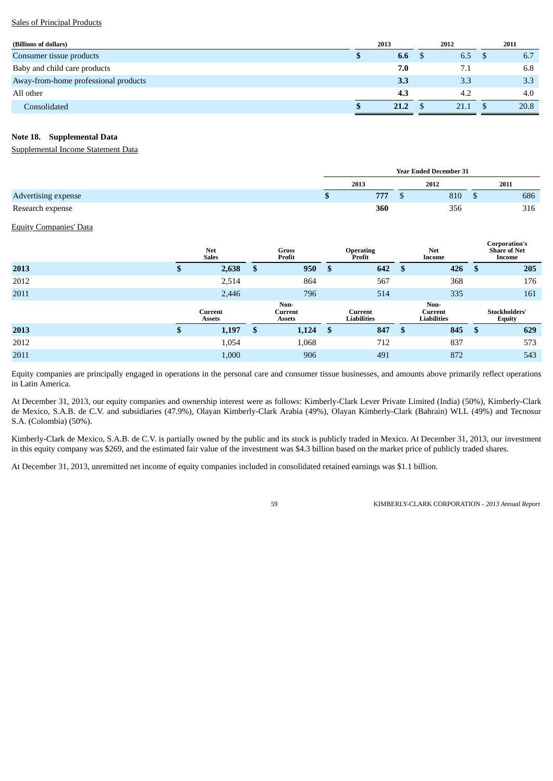### Sales of Principal Products

| (Billions of dollars)                | 2013 |      | 2012 | 2011 |      |
|--------------------------------------|------|------|------|------|------|
| Consumer tissue products             |      | 6.6  | 6.5  |      | 6.7  |
| Baby and child care products         |      | 7.0  | 7.1  |      | 6.8  |
| Away-from-home professional products |      | 3.3  | 3.3  |      | 3.3  |
| All other                            |      | 4.3  | 4.2  |      | 4.0  |
| Consolidated                         |      | 21.2 | 21.1 |      | 20.8 |

# **Note 18. Supplemental Data**

Supplemental Income Statement Data

|                     | <b>Year Ended December 31</b> |  |      |      |     |  |  |
|---------------------|-------------------------------|--|------|------|-----|--|--|
|                     | 2013                          |  | 2012 | 2011 |     |  |  |
| Advertising expense | 777                           |  | 810  |      | 686 |  |  |
| Research expense    | 360                           |  | 356  |      | 316 |  |  |

Equity Companies' Data

|      |   | <b>Net</b><br><b>Sales</b> |    | Gross<br>Profit                  |    | <b>Operating</b><br>Profit           | Net<br>Income                  |    | Corporation's<br><b>Share of Net</b><br>Income |
|------|---|----------------------------|----|----------------------------------|----|--------------------------------------|--------------------------------|----|------------------------------------------------|
| 2013 | D | 2,638                      | S, | 950                              | J. | 642                                  | \$<br>426                      | -S | 205                                            |
| 2012 |   | 2,514                      |    | 864                              |    | 567                                  | 368                            |    | 176                                            |
| 2011 |   | 2,446                      |    | 796                              |    | 514                                  | 335                            |    | 161                                            |
|      |   | Current<br><b>Assets</b>   |    | Non-<br>Current<br><b>Assets</b> |    | <b>Current</b><br><b>Liabilities</b> | Non-<br>Current<br>Liabilities |    | Stockholders'<br><b>Equity</b>                 |
| 2013 |   | 1,197                      | \$ | 1,124                            | \$ | 847                                  | \$<br>845                      | -S | 629                                            |
| 2012 |   | 1,054                      |    | 1,068                            |    | 712                                  | 837                            |    | 573                                            |
| 2011 |   | 1,000                      |    | 906                              |    | 491                                  | 872                            |    | 543                                            |

Equity companies are principally engaged in operations in the personal care and consumer tissue businesses, and amounts above primarily reflect operations in Latin America.

At December 31, 2013, our equity companies and ownership interest were as follows: Kimberly-Clark Lever Private Limited (India) (50%), Kimberly-Clark de Mexico, S.A.B. de C.V. and subsidiaries (47.9%), Olayan Kimberly-Clark Arabia (49%), Olayan Kimberly-Clark (Bahrain) WLL (49%) and Tecnosur S.A. (Colombia) (50%).

Kimberly-Clark de Mexico, S.A.B. de C.V. is partially owned by the public and its stock is publicly traded in Mexico. At December 31, 2013, our investment in this equity company was \$269, and the estimated fair value of the investment was \$4.3 billion based on the market price of publicly traded shares.

At December 31, 2013, unremitted net income of equity companies included in consolidated retained earnings was \$1.1 billion.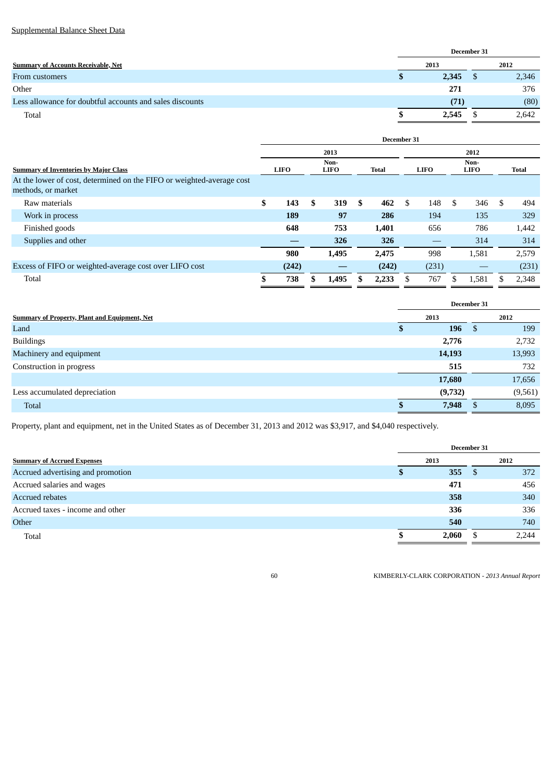# Supplemental Balance Sheet Data

|                                                          |      | December 31 |  |       |  |  |  |
|----------------------------------------------------------|------|-------------|--|-------|--|--|--|
| <b>Summary of Accounts Receivable, Net</b>               | 2013 |             |  | 2012  |  |  |  |
| <b>From customers</b>                                    |      | 2,345       |  | 2,346 |  |  |  |
| Other                                                    |      | 271         |  | 376   |  |  |  |
| Less allowance for doubtful accounts and sales discounts |      | (71)        |  | (80)  |  |  |  |
| Total                                                    |      | 2,545       |  | 2,642 |  |  |  |

|                                                                                             | December 31 |             |   |                     |    |              |     |             |    |                     |    |              |
|---------------------------------------------------------------------------------------------|-------------|-------------|---|---------------------|----|--------------|-----|-------------|----|---------------------|----|--------------|
|                                                                                             |             |             |   | 2013                |    |              |     |             |    | 2012                |    |              |
| <b>Summary of Inventories by Major Class</b>                                                |             | <b>LIFO</b> |   | Non-<br><b>LIFO</b> |    | <b>Total</b> |     | <b>LIFO</b> |    | Non-<br><b>LIFO</b> |    | <b>Total</b> |
| At the lower of cost, determined on the FIFO or weighted-average cost<br>methods, or market |             |             |   |                     |    |              |     |             |    |                     |    |              |
| Raw materials                                                                               | \$          | 143         | S | 319                 | \$ | 462          | \$  | 148         | S. | 346                 | S. | 494          |
| Work in process                                                                             |             | 189         |   | 97                  |    | 286          |     | 194         |    | 135                 |    | 329          |
| Finished goods                                                                              |             | 648         |   | 753                 |    | 1,401        |     | 656         |    | 786                 |    | 1,442        |
| Supplies and other                                                                          |             |             |   | 326                 |    | 326          |     |             |    | 314                 |    | 314          |
|                                                                                             |             | 980         |   | 1,495               |    | 2,475        |     | 998         |    | 1,581               |    | 2,579        |
| Excess of FIFO or weighted-average cost over LIFO cost                                      |             | (242)       |   |                     |    | (242)        |     | (231)       |    |                     |    | (231)        |
| Total                                                                                       | \$          | 738         |   | 1,495               |    | 2,233        | \$. | 767         | S. | 1,581               |    | 2,348        |

|                                               | December 31 |         |    |          |
|-----------------------------------------------|-------------|---------|----|----------|
| Summary of Property, Plant and Equipment, Net |             | 2013    |    | 2012     |
| Land                                          |             | 196     | \$ | 199      |
| <b>Buildings</b>                              |             | 2,776   |    | 2,732    |
| Machinery and equipment                       |             | 14,193  |    | 13,993   |
| Construction in progress                      |             | 515     |    | 732      |
|                                               |             | 17,680  |    | 17,656   |
| Less accumulated depreciation                 |             | (9,732) |    | (9, 561) |
| Total                                         |             | 7,948   | S  | 8,095    |

Property, plant and equipment, net in the United States as of December 31, 2013 and 2012 was \$3,917, and \$4,040 respectively.

|                                    | December 31 |       |     |       |  |  |
|------------------------------------|-------------|-------|-----|-------|--|--|
| <b>Summary of Accrued Expenses</b> | 2013        |       |     | 2012  |  |  |
| Accrued advertising and promotion  |             | 355   | - 5 | 372   |  |  |
| Accrued salaries and wages         |             | 471   |     | 456   |  |  |
| Accrued rebates                    |             | 358   |     | 340   |  |  |
| Accrued taxes - income and other   |             | 336   |     | 336   |  |  |
| Other                              |             | 540   |     | 740   |  |  |
| Total                              |             | 2,060 | S   | 2.244 |  |  |
|                                    |             |       |     |       |  |  |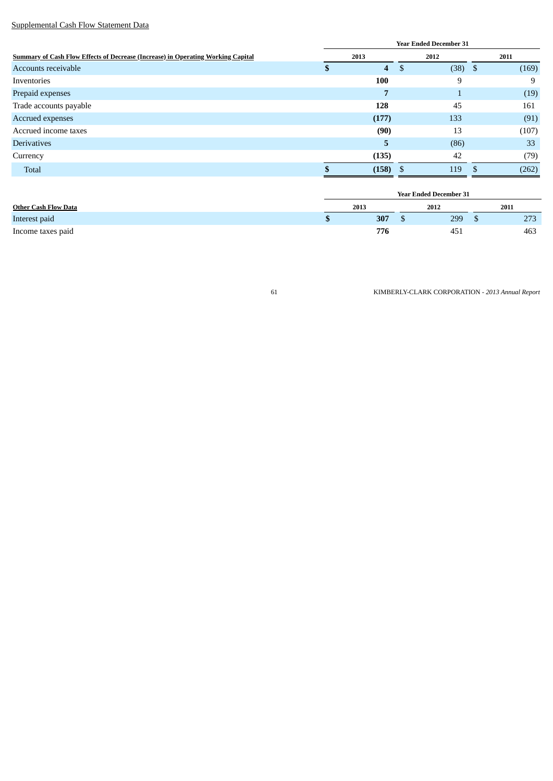# Supplemental Cash Flow Statement Data

|                                                                                  | <b>Year Ended December 31</b> |                |   |      |      |       |  |
|----------------------------------------------------------------------------------|-------------------------------|----------------|---|------|------|-------|--|
| Summary of Cash Flow Effects of Decrease (Increase) in Operating Working Capital |                               | 2013           |   | 2012 |      | 2011  |  |
| Accounts receivable                                                              | Ф                             | $\overline{4}$ | D | (38) | - \$ | (169) |  |
| Inventories                                                                      |                               | 100            |   | 9    |      | 9     |  |
| Prepaid expenses                                                                 |                               | 7              |   |      |      | (19)  |  |
| Trade accounts payable                                                           |                               | 128            |   | 45   |      | 161   |  |
| Accrued expenses                                                                 |                               | (177)          |   | 133  |      | (91)  |  |
| Accrued income taxes                                                             |                               | (90)           |   | 13   |      | (107) |  |
| <b>Derivatives</b>                                                               |                               | 5              |   | (86) |      | 33    |  |
| Currency                                                                         |                               | (135)          |   | 42   |      | (79)  |  |
| <b>Total</b>                                                                     |                               | (158)          |   | 119  |      | (262) |  |

|                      | <b>Year Ended December 31</b> |      |  |      |    |            |  |  |  |  |
|----------------------|-------------------------------|------|--|------|----|------------|--|--|--|--|
| Other Cash Flow Data |                               | 2013 |  | 2012 |    | 2011       |  |  |  |  |
| Interest paid        |                               | 307  |  | 299  | J. | כדר<br>2/5 |  |  |  |  |
| Income taxes paid    |                               | 776  |  | 451  |    | 463        |  |  |  |  |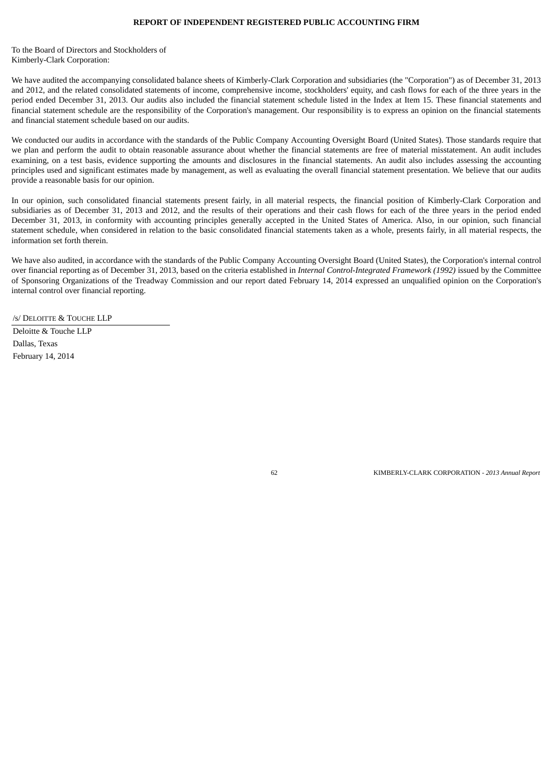### **REPORT OF INDEPENDENT REGISTERED PUBLIC ACCOUNTING FIRM**

To the Board of Directors and Stockholders of Kimberly-Clark Corporation:

We have audited the accompanying consolidated balance sheets of Kimberly-Clark Corporation and subsidiaries (the "Corporation") as of December 31, 2013 and 2012, and the related consolidated statements of income, comprehensive income, stockholders' equity, and cash flows for each of the three years in the period ended December 31, 2013. Our audits also included the financial statement schedule listed in the Index at Item 15. These financial statements and financial statement schedule are the responsibility of the Corporation's management. Our responsibility is to express an opinion on the financial statements and financial statement schedule based on our audits.

We conducted our audits in accordance with the standards of the Public Company Accounting Oversight Board (United States). Those standards require that we plan and perform the audit to obtain reasonable assurance about whether the financial statements are free of material misstatement. An audit includes examining, on a test basis, evidence supporting the amounts and disclosures in the financial statements. An audit also includes assessing the accounting principles used and significant estimates made by management, as well as evaluating the overall financial statement presentation. We believe that our audits provide a reasonable basis for our opinion.

In our opinion, such consolidated financial statements present fairly, in all material respects, the financial position of Kimberly-Clark Corporation and subsidiaries as of December 31, 2013 and 2012, and the results of their operations and their cash flows for each of the three years in the period ended December 31, 2013, in conformity with accounting principles generally accepted in the United States of America. Also, in our opinion, such financial statement schedule, when considered in relation to the basic consolidated financial statements taken as a whole, presents fairly, in all material respects, the information set forth therein.

We have also audited, in accordance with the standards of the Public Company Accounting Oversight Board (United States), the Corporation's internal control over financial reporting as of December 31, 2013, based on the criteria established in *Internal Control-Integrated Framework (1992)* issued by the Committee of Sponsoring Organizations of the Treadway Commission and our report dated February 14, 2014 expressed an unqualified opinion on the Corporation's internal control over financial reporting.

/s/ DELOITTE & TOUCHE LLP

Deloitte & Touche LLP Dallas, Texas February 14, 2014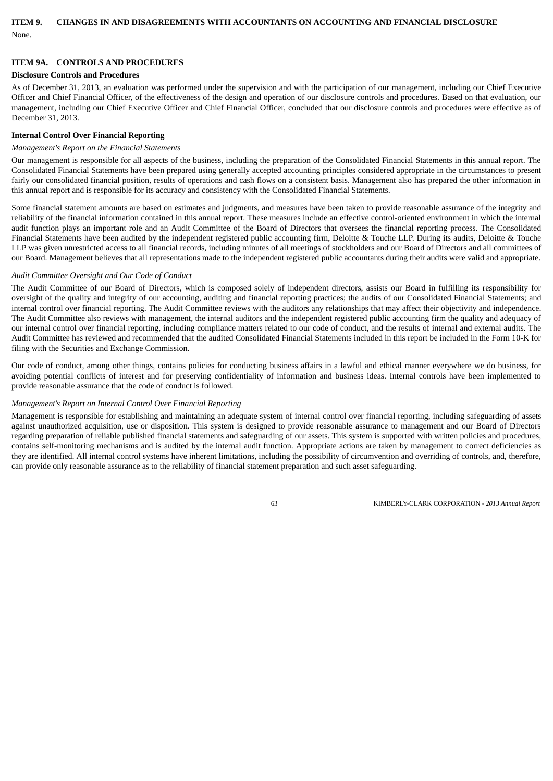# **ITEM 9. CHANGES IN AND DISAGREEMENTS WITH ACCOUNTANTS ON ACCOUNTING AND FINANCIAL DISCLOSURE** None.

## **ITEM 9A. CONTROLS AND PROCEDURES**

## **Disclosure Controls and Procedures**

As of December 31, 2013, an evaluation was performed under the supervision and with the participation of our management, including our Chief Executive Officer and Chief Financial Officer, of the effectiveness of the design and operation of our disclosure controls and procedures. Based on that evaluation, our management, including our Chief Executive Officer and Chief Financial Officer, concluded that our disclosure controls and procedures were effective as of December 31, 2013.

## **Internal Control Over Financial Reporting**

## *Management's Report on the Financial Statements*

Our management is responsible for all aspects of the business, including the preparation of the Consolidated Financial Statements in this annual report. The Consolidated Financial Statements have been prepared using generally accepted accounting principles considered appropriate in the circumstances to present fairly our consolidated financial position, results of operations and cash flows on a consistent basis. Management also has prepared the other information in this annual report and is responsible for its accuracy and consistency with the Consolidated Financial Statements.

Some financial statement amounts are based on estimates and judgments, and measures have been taken to provide reasonable assurance of the integrity and reliability of the financial information contained in this annual report. These measures include an effective control-oriented environment in which the internal audit function plays an important role and an Audit Committee of the Board of Directors that oversees the financial reporting process. The Consolidated Financial Statements have been audited by the independent registered public accounting firm, Deloitte & Touche LLP. During its audits, Deloitte & Touche LLP was given unrestricted access to all financial records, including minutes of all meetings of stockholders and our Board of Directors and all committees of our Board. Management believes that all representations made to the independent registered public accountants during their audits were valid and appropriate.

## *Audit Committee Oversight and Our Code of Conduct*

The Audit Committee of our Board of Directors, which is composed solely of independent directors, assists our Board in fulfilling its responsibility for oversight of the quality and integrity of our accounting, auditing and financial reporting practices; the audits of our Consolidated Financial Statements; and internal control over financial reporting. The Audit Committee reviews with the auditors any relationships that may affect their objectivity and independence. The Audit Committee also reviews with management, the internal auditors and the independent registered public accounting firm the quality and adequacy of our internal control over financial reporting, including compliance matters related to our code of conduct, and the results of internal and external audits. The Audit Committee has reviewed and recommended that the audited Consolidated Financial Statements included in this report be included in the Form 10-K for filing with the Securities and Exchange Commission.

Our code of conduct, among other things, contains policies for conducting business affairs in a lawful and ethical manner everywhere we do business, for avoiding potential conflicts of interest and for preserving confidentiality of information and business ideas. Internal controls have been implemented to provide reasonable assurance that the code of conduct is followed.

## *Management's Report on Internal Control Over Financial Reporting*

Management is responsible for establishing and maintaining an adequate system of internal control over financial reporting, including safeguarding of assets against unauthorized acquisition, use or disposition. This system is designed to provide reasonable assurance to management and our Board of Directors regarding preparation of reliable published financial statements and safeguarding of our assets. This system is supported with written policies and procedures, contains self-monitoring mechanisms and is audited by the internal audit function. Appropriate actions are taken by management to correct deficiencies as they are identified. All internal control systems have inherent limitations, including the possibility of circumvention and overriding of controls, and, therefore, can provide only reasonable assurance as to the reliability of financial statement preparation and such asset safeguarding.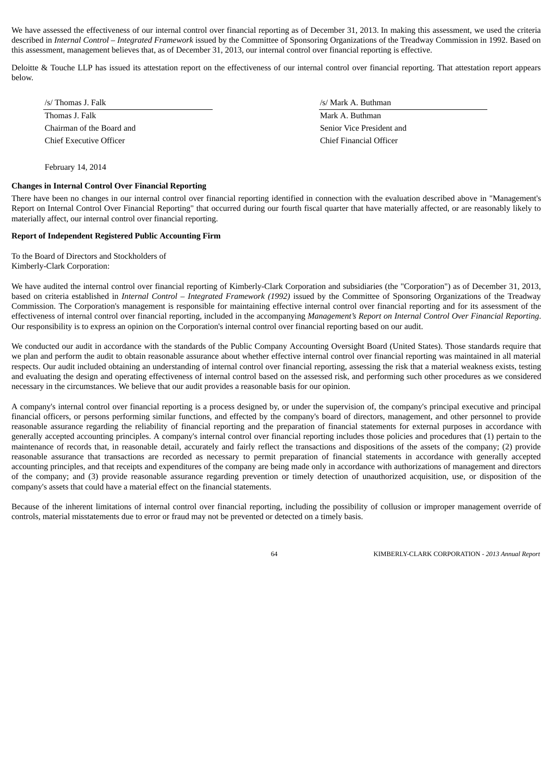We have assessed the effectiveness of our internal control over financial reporting as of December 31, 2013. In making this assessment, we used the criteria described in *Internal Control – Integrated Framework* issued by the Committee of Sponsoring Organizations of the Treadway Commission in 1992. Based on this assessment, management believes that, as of December 31, 2013, our internal control over financial reporting is effective.

Deloitte & Touche LLP has issued its attestation report on the effectiveness of our internal control over financial reporting. That attestation report appears below.

/s/ Thomas J. Falk /s/ Mark A. Buthman

Thomas J. Falk **Mark A. Buthman** Chairman of the Board and Senior Vice President and Senior Vice President and Senior Vice President and Chief Executive Officer Chief Financial Officer

February 14, 2014

### **Changes in Internal Control Over Financial Reporting**

There have been no changes in our internal control over financial reporting identified in connection with the evaluation described above in "Management's Report on Internal Control Over Financial Reporting" that occurred during our fourth fiscal quarter that have materially affected, or are reasonably likely to materially affect, our internal control over financial reporting.

### **Report of Independent Registered Public Accounting Firm**

To the Board of Directors and Stockholders of Kimberly-Clark Corporation:

We have audited the internal control over financial reporting of Kimberly-Clark Corporation and subsidiaries (the "Corporation") as of December 31, 2013, based on criteria established in *Internal Control – Integrated Framework (1992)* issued by the Committee of Sponsoring Organizations of the Treadway Commission. The Corporation's management is responsible for maintaining effective internal control over financial reporting and for its assessment of the effectiveness of internal control over financial reporting, included in the accompanying *Management's Report on Internal Control Over Financial Reporting*. Our responsibility is to express an opinion on the Corporation's internal control over financial reporting based on our audit.

We conducted our audit in accordance with the standards of the Public Company Accounting Oversight Board (United States). Those standards require that we plan and perform the audit to obtain reasonable assurance about whether effective internal control over financial reporting was maintained in all material respects. Our audit included obtaining an understanding of internal control over financial reporting, assessing the risk that a material weakness exists, testing and evaluating the design and operating effectiveness of internal control based on the assessed risk, and performing such other procedures as we considered necessary in the circumstances. We believe that our audit provides a reasonable basis for our opinion.

A company's internal control over financial reporting is a process designed by, or under the supervision of, the company's principal executive and principal financial officers, or persons performing similar functions, and effected by the company's board of directors, management, and other personnel to provide reasonable assurance regarding the reliability of financial reporting and the preparation of financial statements for external purposes in accordance with generally accepted accounting principles. A company's internal control over financial reporting includes those policies and procedures that (1) pertain to the maintenance of records that, in reasonable detail, accurately and fairly reflect the transactions and dispositions of the assets of the company; (2) provide reasonable assurance that transactions are recorded as necessary to permit preparation of financial statements in accordance with generally accepted accounting principles, and that receipts and expenditures of the company are being made only in accordance with authorizations of management and directors of the company; and (3) provide reasonable assurance regarding prevention or timely detection of unauthorized acquisition, use, or disposition of the company's assets that could have a material effect on the financial statements.

Because of the inherent limitations of internal control over financial reporting, including the possibility of collusion or improper management override of controls, material misstatements due to error or fraud may not be prevented or detected on a timely basis.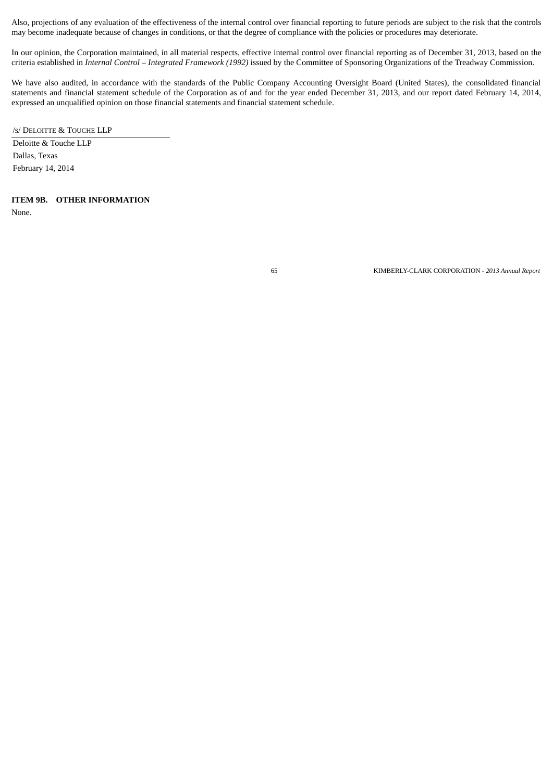Also, projections of any evaluation of the effectiveness of the internal control over financial reporting to future periods are subject to the risk that the controls may become inadequate because of changes in conditions, or that the degree of compliance with the policies or procedures may deteriorate.

In our opinion, the Corporation maintained, in all material respects, effective internal control over financial reporting as of December 31, 2013, based on the criteria established in *Internal Control – Integrated Framework (1992)* issued by the Committee of Sponsoring Organizations of the Treadway Commission.

We have also audited, in accordance with the standards of the Public Company Accounting Oversight Board (United States), the consolidated financial statements and financial statement schedule of the Corporation as of and for the year ended December 31, 2013, and our report dated February 14, 2014, expressed an unqualified opinion on those financial statements and financial statement schedule.

/s/ DELOITTE & TOUCHE LLP

Deloitte & Touche LLP Dallas, Texas February 14, 2014

**ITEM 9B. OTHER INFORMATION** None.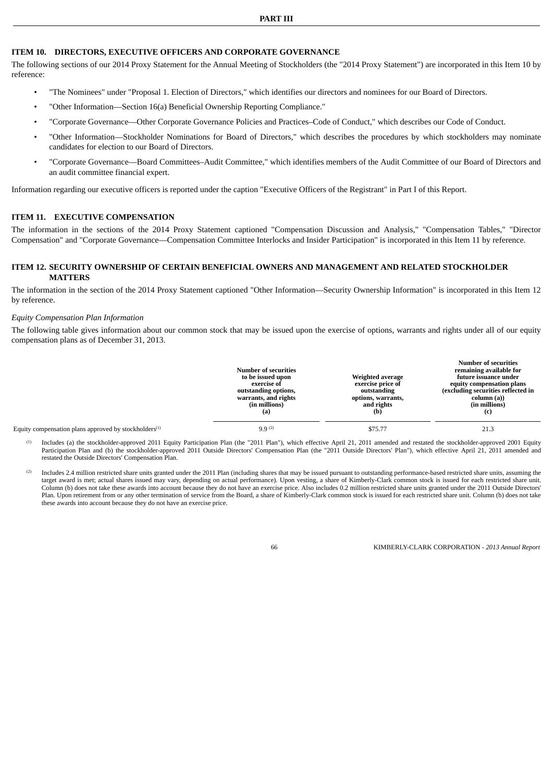### **ITEM 10. DIRECTORS, EXECUTIVE OFFICERS AND CORPORATE GOVERNANCE**

The following sections of our 2014 Proxy Statement for the Annual Meeting of Stockholders (the "2014 Proxy Statement") are incorporated in this Item 10 by reference:

- "The Nominees" under "Proposal 1. Election of Directors," which identifies our directors and nominees for our Board of Directors.
- "Other Information—Section 16(a) Beneficial Ownership Reporting Compliance."
- "Corporate Governance—Other Corporate Governance Policies and Practices–Code of Conduct," which describes our Code of Conduct.
- "Other Information—Stockholder Nominations for Board of Directors," which describes the procedures by which stockholders may nominate candidates for election to our Board of Directors.
- "Corporate Governance—Board Committees–Audit Committee," which identifies members of the Audit Committee of our Board of Directors and an audit committee financial expert.

Information regarding our executive officers is reported under the caption "Executive Officers of the Registrant" in Part I of this Report.

### **ITEM 11. EXECUTIVE COMPENSATION**

The information in the sections of the 2014 Proxy Statement captioned "Compensation Discussion and Analysis," "Compensation Tables," "Director Compensation" and "Corporate Governance—Compensation Committee Interlocks and Insider Participation" is incorporated in this Item 11 by reference.

### **ITEM 12. SECURITY OWNERSHIP OF CERTAIN BENEFICIAL OWNERS AND MANAGEMENT AND RELATED STOCKHOLDER MATTERS**

The information in the section of the 2014 Proxy Statement captioned "Other Information—Security Ownership Information" is incorporated in this Item 12 by reference.

#### *Equity Compensation Plan Information*

The following table gives information about our common stock that may be issued upon the exercise of options, warrants and rights under all of our equity compensation plans as of December 31, 2013.

|                                                                   | Number of securities<br>to be issued upon<br>exercise of<br>outstanding options,<br>warrants, and rights<br>(in millions)<br>(a) | Weighted average<br>exercise price of<br>outstanding<br>options, warrants,<br>and rights<br>(b) | <b>Number of securities</b><br>remaining available for<br>future issuance under<br>equity compensation plans<br>(excluding securities reflected in<br>column (a))<br>(in millions)<br>(c) |
|-------------------------------------------------------------------|----------------------------------------------------------------------------------------------------------------------------------|-------------------------------------------------------------------------------------------------|-------------------------------------------------------------------------------------------------------------------------------------------------------------------------------------------|
| Equity compensation plans approved by stockholders <sup>(1)</sup> | 9.9(2)                                                                                                                           | \$75.77                                                                                         | 21.3                                                                                                                                                                                      |

- (1) Includes (a) the stockholder-approved 2011 Equity Participation Plan (the "2011 Plan"), which effective April 21, 2011 amended and restated the stockholder-approved 2001 Equity Participation Plan and (b) the stockholder-approved 2011 Outside Directors' Compensation Plan (the "2011 Outside Directors' Plan"), which effective April 21, 2011 amended and restated the Outside Directors' Compensation Plan.
- (2) Includes 2.4 million restricted share units granted under the 2011 Plan (including shares that may be issued pursuant to outstanding performance-based restricted share units, assuming the target award is met; actual shares issued may vary, depending on actual performance). Upon vesting, a share of Kimberly-Clark common stock is issued for each restricted share unit. Column (b) does not take these awards into account because they do not have an exercise price. Also includes 0.2 million restricted share units granted under the 2011 Outside Directors' Plan. Upon retirement from or any other termination of service from the Board, a share of Kimberly-Clark common stock is issued for each restricted share unit. Column (b) does not take these awards into account because they do not have an exercise price.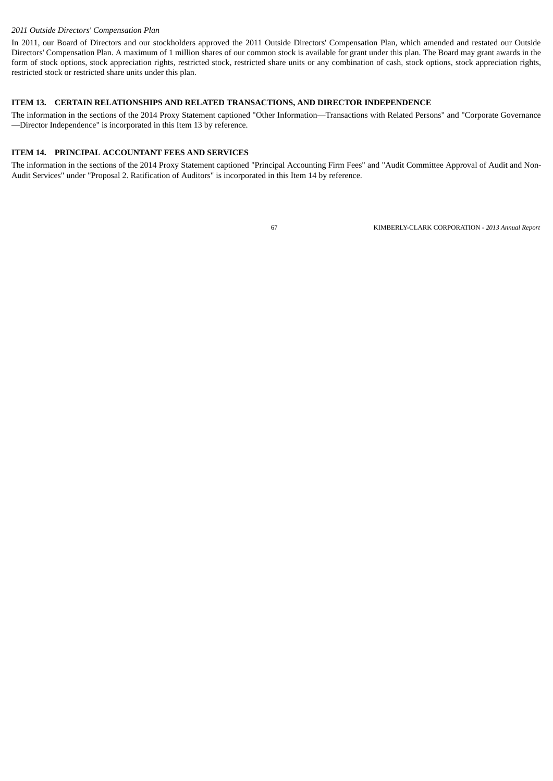### *2011 Outside Directors' Compensation Plan*

In 2011, our Board of Directors and our stockholders approved the 2011 Outside Directors' Compensation Plan, which amended and restated our Outside Directors' Compensation Plan. A maximum of 1 million shares of our common stock is available for grant under this plan. The Board may grant awards in the form of stock options, stock appreciation rights, restricted stock, restricted share units or any combination of cash, stock options, stock appreciation rights, restricted stock or restricted share units under this plan.

### **ITEM 13. CERTAIN RELATIONSHIPS AND RELATED TRANSACTIONS, AND DIRECTOR INDEPENDENCE**

The information in the sections of the 2014 Proxy Statement captioned "Other Information—Transactions with Related Persons" and "Corporate Governance —Director Independence" is incorporated in this Item 13 by reference.

### **ITEM 14. PRINCIPAL ACCOUNTANT FEES AND SERVICES**

The information in the sections of the 2014 Proxy Statement captioned "Principal Accounting Firm Fees" and "Audit Committee Approval of Audit and Non-Audit Services" under "Proposal 2. Ratification of Auditors" is incorporated in this Item 14 by reference.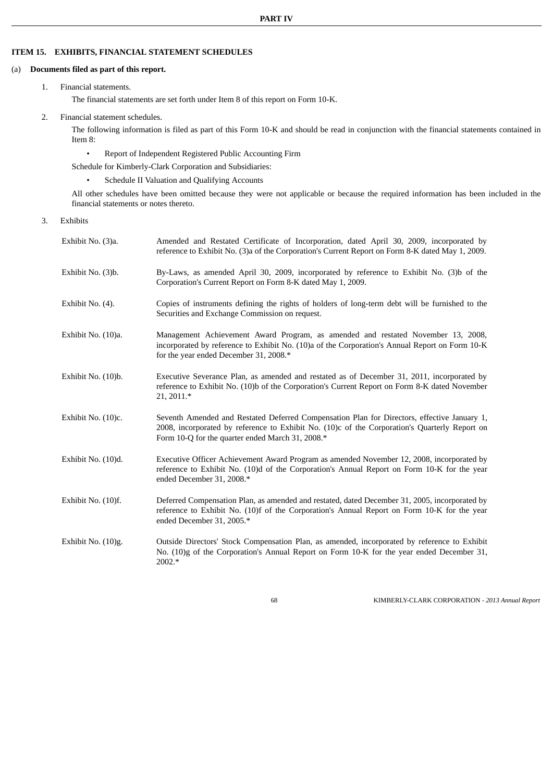### **ITEM 15. EXHIBITS, FINANCIAL STATEMENT SCHEDULES**

### (a) **Documents filed as part of this report.**

1. Financial statements.

The financial statements are set forth under Item 8 of this report on Form 10-K.

2. Financial statement schedules.

The following information is filed as part of this Form 10-K and should be read in conjunction with the financial statements contained in Item 8:

• Report of Independent Registered Public Accounting Firm

Schedule for Kimberly-Clark Corporation and Subsidiaries:

• Schedule II Valuation and Qualifying Accounts

All other schedules have been omitted because they were not applicable or because the required information has been included in the financial statements or notes thereto.

3. Exhibits

| Exhibit No. (3)a.     | Amended and Restated Certificate of Incorporation, dated April 30, 2009, incorporated by<br>reference to Exhibit No. (3)a of the Corporation's Current Report on Form 8-K dated May 1, 2009.                                                     |
|-----------------------|--------------------------------------------------------------------------------------------------------------------------------------------------------------------------------------------------------------------------------------------------|
| Exhibit No. (3)b.     | By-Laws, as amended April 30, 2009, incorporated by reference to Exhibit No. (3)b of the<br>Corporation's Current Report on Form 8-K dated May 1, 2009.                                                                                          |
| Exhibit No. (4).      | Copies of instruments defining the rights of holders of long-term debt will be furnished to the<br>Securities and Exchange Commission on request.                                                                                                |
| Exhibit No. (10)a.    | Management Achievement Award Program, as amended and restated November 13, 2008,<br>incorporated by reference to Exhibit No. (10)a of the Corporation's Annual Report on Form 10-K<br>for the year ended December 31, 2008.*                     |
| Exhibit No. (10)b.    | Executive Severance Plan, as amended and restated as of December 31, 2011, incorporated by<br>reference to Exhibit No. (10)b of the Corporation's Current Report on Form 8-K dated November<br>21, 2011.*                                        |
| Exhibit No. (10)c.    | Seventh Amended and Restated Deferred Compensation Plan for Directors, effective January 1,<br>2008, incorporated by reference to Exhibit No. (10)c of the Corporation's Quarterly Report on<br>Form 10-Q for the quarter ended March 31, 2008.* |
| Exhibit No. (10)d.    | Executive Officer Achievement Award Program as amended November 12, 2008, incorporated by<br>reference to Exhibit No. (10)d of the Corporation's Annual Report on Form 10-K for the year<br>ended December 31, 2008.*                            |
| Exhibit No. (10)f.    | Deferred Compensation Plan, as amended and restated, dated December 31, 2005, incorporated by<br>reference to Exhibit No. (10)f of the Corporation's Annual Report on Form 10-K for the year<br>ended December 31, 2005.*                        |
| Exhibit No. $(10)$ g. | Outside Directors' Stock Compensation Plan, as amended, incorporated by reference to Exhibit<br>No. (10)g of the Corporation's Annual Report on Form 10-K for the year ended December 31,<br>2002.*                                              |
|                       |                                                                                                                                                                                                                                                  |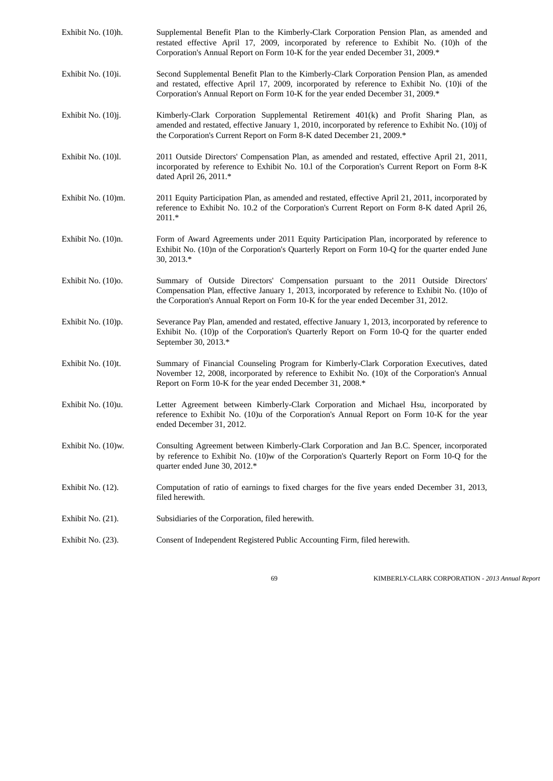| Exhibit No. (10)h. | Supplemental Benefit Plan to the Kimberly-Clark Corporation Pension Plan, as amended and<br>restated effective April 17, 2009, incorporated by reference to Exhibit No. (10)h of the<br>Corporation's Annual Report on Form 10-K for the year ended December 31, 2009.*         |
|--------------------|---------------------------------------------------------------------------------------------------------------------------------------------------------------------------------------------------------------------------------------------------------------------------------|
| Exhibit No. (10)i. | Second Supplemental Benefit Plan to the Kimberly-Clark Corporation Pension Plan, as amended<br>and restated, effective April 17, 2009, incorporated by reference to Exhibit No. (10)i of the<br>Corporation's Annual Report on Form 10-K for the year ended December 31, 2009.* |
| Exhibit No. (10)j. | Kimberly-Clark Corporation Supplemental Retirement 401(k) and Profit Sharing Plan, as<br>amended and restated, effective January 1, 2010, incorporated by reference to Exhibit No. (10)j of<br>the Corporation's Current Report on Form 8-K dated December 21, 2009.*           |
| Exhibit No. (10)l. | 2011 Outside Directors' Compensation Plan, as amended and restated, effective April 21, 2011,<br>incorporated by reference to Exhibit No. 10.1 of the Corporation's Current Report on Form 8-K<br>dated April 26, 2011.*                                                        |
| Exhibit No. (10)m. | 2011 Equity Participation Plan, as amended and restated, effective April 21, 2011, incorporated by<br>reference to Exhibit No. 10.2 of the Corporation's Current Report on Form 8-K dated April 26,<br>2011.*                                                                   |
| Exhibit No. (10)n. | Form of Award Agreements under 2011 Equity Participation Plan, incorporated by reference to<br>Exhibit No. (10)n of the Corporation's Quarterly Report on Form 10-Q for the quarter ended June<br>30, 2013.*                                                                    |
| Exhibit No. (10)o. | Summary of Outside Directors' Compensation pursuant to the 2011 Outside Directors'<br>Compensation Plan, effective January 1, 2013, incorporated by reference to Exhibit No. (10)o of<br>the Corporation's Annual Report on Form 10-K for the year ended December 31, 2012.     |
| Exhibit No. (10)p. | Severance Pay Plan, amended and restated, effective January 1, 2013, incorporated by reference to<br>Exhibit No. (10)p of the Corporation's Quarterly Report on Form 10-Q for the quarter ended<br>September 30, 2013.*                                                         |
| Exhibit No. (10)t. | Summary of Financial Counseling Program for Kimberly-Clark Corporation Executives, dated<br>November 12, 2008, incorporated by reference to Exhibit No. (10)t of the Corporation's Annual<br>Report on Form 10-K for the year ended December 31, 2008.*                         |
| Exhibit No. (10)u. | Letter Agreement between Kimberly-Clark Corporation and Michael Hsu, incorporated by<br>reference to Exhibit No. (10)u of the Corporation's Annual Report on Form 10-K for the year<br>ended December 31, 2012.                                                                 |
| Exhibit No. (10)w. | Consulting Agreement between Kimberly-Clark Corporation and Jan B.C. Spencer, incorporated<br>by reference to Exhibit No. (10)w of the Corporation's Quarterly Report on Form 10-Q for the<br>quarter ended June 30, 2012.*                                                     |
| Exhibit No. (12).  | Computation of ratio of earnings to fixed charges for the five years ended December 31, 2013,<br>filed herewith.                                                                                                                                                                |
| Exhibit No. (21).  | Subsidiaries of the Corporation, filed herewith.                                                                                                                                                                                                                                |
| Exhibit No. (23).  | Consent of Independent Registered Public Accounting Firm, filed herewith.                                                                                                                                                                                                       |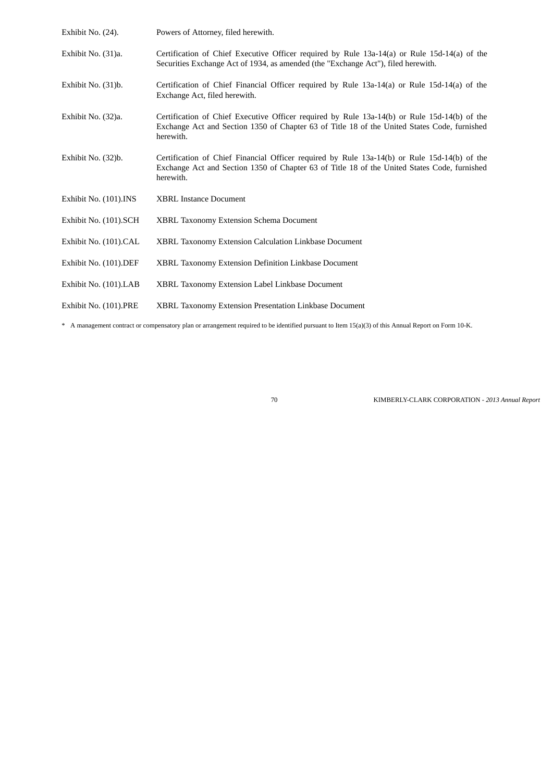| Exhibit No. (24).     | Powers of Attorney, filed herewith.                                                                                                                                                                       |
|-----------------------|-----------------------------------------------------------------------------------------------------------------------------------------------------------------------------------------------------------|
| Exhibit No. (31)a.    | Certification of Chief Executive Officer required by Rule 13a-14(a) or Rule 15d-14(a) of the<br>Securities Exchange Act of 1934, as amended (the "Exchange Act"), filed herewith.                         |
| Exhibit No. (31)b.    | Certification of Chief Financial Officer required by Rule 13a-14(a) or Rule 15d-14(a) of the<br>Exchange Act, filed herewith.                                                                             |
| Exhibit No. (32)a.    | Certification of Chief Executive Officer required by Rule 13a-14(b) or Rule 15d-14(b) of the<br>Exchange Act and Section 1350 of Chapter 63 of Title 18 of the United States Code, furnished<br>herewith. |
| Exhibit No. (32)b.    | Certification of Chief Financial Officer required by Rule 13a-14(b) or Rule 15d-14(b) of the<br>Exchange Act and Section 1350 of Chapter 63 of Title 18 of the United States Code, furnished<br>herewith. |
| Exhibit No. (101).INS | <b>XBRL Instance Document</b>                                                                                                                                                                             |
| Exhibit No. (101).SCH | <b>XBRL Taxonomy Extension Schema Document</b>                                                                                                                                                            |
| Exhibit No. (101).CAL | XBRL Taxonomy Extension Calculation Linkbase Document                                                                                                                                                     |
| Exhibit No. (101).DEF | XBRL Taxonomy Extension Definition Linkbase Document                                                                                                                                                      |
| Exhibit No. (101).LAB | XBRL Taxonomy Extension Label Linkbase Document                                                                                                                                                           |
| Exhibit No. (101).PRE | XBRL Taxonomy Extension Presentation Linkbase Document                                                                                                                                                    |

\* A management contract or compensatory plan or arrangement required to be identified pursuant to Item 15(a)(3) of this Annual Report on Form 10-K.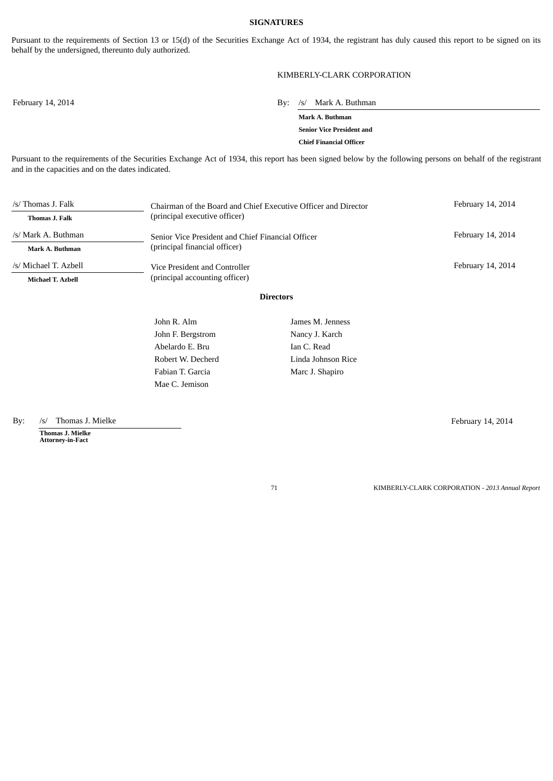## **SIGNATURES**

Pursuant to the requirements of Section 13 or 15(d) of the Securities Exchange Act of 1934, the registrant has duly caused this report to be signed on its behalf by the undersigned, thereunto duly authorized.

#### KIMBERLY-CLARK CORPORATION

February 14, 2014 **By:** /s/ Mark A. Buthman

| Mark A. Buthman                  |  |
|----------------------------------|--|
| <b>Senior Vice President and</b> |  |
| <b>Chief Financial Officer</b>   |  |

Pursuant to the requirements of the Securities Exchange Act of 1934, this report has been signed below by the following persons on behalf of the registrant and in the capacities and on the dates indicated.

| /s/ Thomas J. Falk    | Chairman of the Board and Chief Executive Officer and Director | February 14, 2014 |
|-----------------------|----------------------------------------------------------------|-------------------|
| Thomas J. Falk        | (principal executive officer)                                  |                   |
| /s/ Mark A. Buthman   | Senior Vice President and Chief Financial Officer              | February 14, 2014 |
| Mark A. Buthman       | (principal financial officer)                                  |                   |
| /s/ Michael T. Azbell | Vice President and Controller                                  | February 14, 2014 |
| Michael T. Azbell     | (principal accounting officer)                                 |                   |

#### **Directors**

| John R. Alm       | James M. Jenness   |
|-------------------|--------------------|
| John F. Bergstrom | Nancy J. Karch     |
| Abelardo E. Bru   | Jan C. Read        |
| Robert W. Decherd | Linda Johnson Rice |
| Fabian T. Garcia  | Marc J. Shapiro    |
| Mae C. Jemison    |                    |

By: /s/ Thomas J. Mielke February 14, 2014

**Thomas J. Mielke Attorney-in-Fact**

71 KIMBERLY-CLARK CORPORATION *- 2013 Annual Report*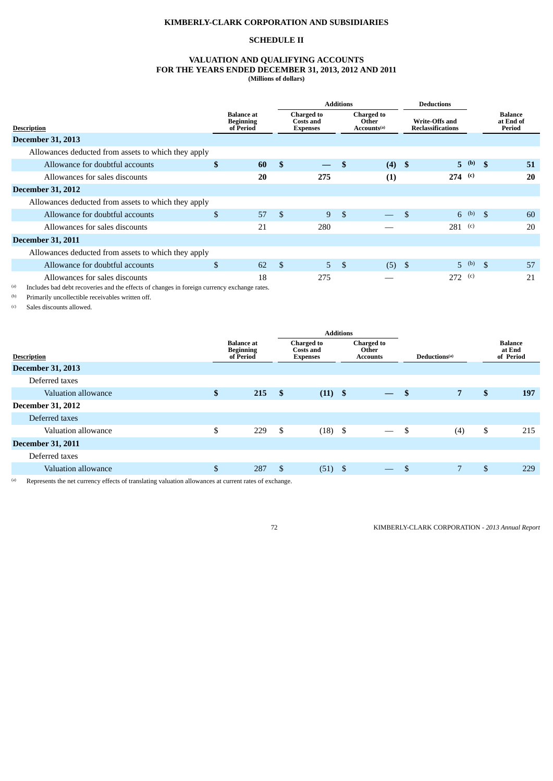# **KIMBERLY-CLARK CORPORATION AND SUBSIDIARIES**

# **SCHEDULE II**

#### **VALUATION AND QUALIFYING ACCOUNTS FOR THE YEARS ENDED DECEMBER 31, 2013, 2012 AND 2011 (Millions of dollars)**

|     |                                                                                             |                                                    | <b>Additions</b> |                                                          | <b>Deductions</b> |                                                |                                            |           |      |                                              |
|-----|---------------------------------------------------------------------------------------------|----------------------------------------------------|------------------|----------------------------------------------------------|-------------------|------------------------------------------------|--------------------------------------------|-----------|------|----------------------------------------------|
|     | <b>Description</b>                                                                          | <b>Balance</b> at<br><b>Beginning</b><br>of Period |                  | <b>Charged to</b><br><b>Costs and</b><br><b>Expenses</b> |                   | Charged to<br>Other<br>Accounts <sup>(a)</sup> | Write-Offs and<br><b>Reclassifications</b> |           |      | <b>Balance</b><br>at End of<br><b>Period</b> |
|     | <b>December 31, 2013</b>                                                                    |                                                    |                  |                                                          |                   |                                                |                                            |           |      |                                              |
|     | Allowances deducted from assets to which they apply                                         |                                                    |                  |                                                          |                   |                                                |                                            |           |      |                                              |
|     | Allowance for doubtful accounts                                                             | \$<br>60                                           | -\$              |                                                          | \$                | $(4)$ \$                                       |                                            | $5^{(b)}$ | -S   | 51                                           |
|     | Allowances for sales discounts                                                              | 20                                                 |                  | 275                                                      |                   | (1)                                            | 274 (c)                                    |           |      | 20                                           |
|     | <b>December 31, 2012</b>                                                                    |                                                    |                  |                                                          |                   |                                                |                                            |           |      |                                              |
|     | Allowances deducted from assets to which they apply                                         |                                                    |                  |                                                          |                   |                                                |                                            |           |      |                                              |
|     | Allowance for doubtful accounts                                                             | \$<br>57                                           | <sup>\$</sup>    | 9                                                        | <sup>\$</sup>     |                                                | \$                                         | $6^{(b)}$ | - \$ | 60                                           |
|     | Allowances for sales discounts                                                              | 21                                                 |                  | 280                                                      |                   |                                                | 281                                        | (c)       |      | 20                                           |
|     | <b>December 31, 2011</b>                                                                    |                                                    |                  |                                                          |                   |                                                |                                            |           |      |                                              |
|     | Allowances deducted from assets to which they apply                                         |                                                    |                  |                                                          |                   |                                                |                                            |           |      |                                              |
|     | Allowance for doubtful accounts                                                             | \$<br>62                                           | \$               | 5.                                                       | \$                | $(5)$ \$                                       |                                            | $5^{(b)}$ | -\$  | 57                                           |
|     | Allowances for sales discounts                                                              | 18                                                 |                  | 275                                                      |                   |                                                | 272                                        | (c)       |      | 21                                           |
| (a) | Includes bad debt recoveries and the effects of changes in foreign currency exchange rates. |                                                    |                  |                                                          |                   |                                                |                                            |           |      |                                              |

(b) Primarily uncollectible receivables written off.

(c) Sales discounts allowed.

|                          |    |                                                    | <b>Additions</b> |                                                   |  |                                        |               |                           |    |                                       |  |
|--------------------------|----|----------------------------------------------------|------------------|---------------------------------------------------|--|----------------------------------------|---------------|---------------------------|----|---------------------------------------|--|
| <b>Description</b>       |    | <b>Balance</b> at<br><b>Beginning</b><br>of Period |                  | <b>Charged to</b><br>Costs and<br><b>Expenses</b> |  | Charged to<br>Other<br><b>Accounts</b> |               | Deductions <sup>(a)</sup> |    | <b>Balance</b><br>at End<br>of Period |  |
| <b>December 31, 2013</b> |    |                                                    |                  |                                                   |  |                                        |               |                           |    |                                       |  |
| Deferred taxes           |    |                                                    |                  |                                                   |  |                                        |               |                           |    |                                       |  |
| Valuation allowance      | \$ | 215                                                | $\mathbf{s}$     | $(11)$ \$                                         |  | —                                      | <sup>\$</sup> | 7                         | \$ | 197                                   |  |
| <b>December 31, 2012</b> |    |                                                    |                  |                                                   |  |                                        |               |                           |    |                                       |  |
| Deferred taxes           |    |                                                    |                  |                                                   |  |                                        |               |                           |    |                                       |  |
| Valuation allowance      | \$ | 229                                                | \$               | $(18)$ \$                                         |  | $\hspace{0.05cm}$                      | -\$           | (4)                       | \$ | 215                                   |  |
| <b>December 31, 2011</b> |    |                                                    |                  |                                                   |  |                                        |               |                           |    |                                       |  |
| Deferred taxes           |    |                                                    |                  |                                                   |  |                                        |               |                           |    |                                       |  |
| Valuation allowance      | \$ | 287                                                | \$               | $(51)$ \$                                         |  | $\hspace{0.1mm}-\hspace{0.1mm}$        | -\$           | 7                         | \$ | 229                                   |  |
|                          |    |                                                    |                  |                                                   |  |                                        |               |                           |    |                                       |  |

Represents the net currency effects of translating valuation allowances at current rates of exchange.

72 KIMBERLY-CLARK CORPORATION *- 2013 Annual Report*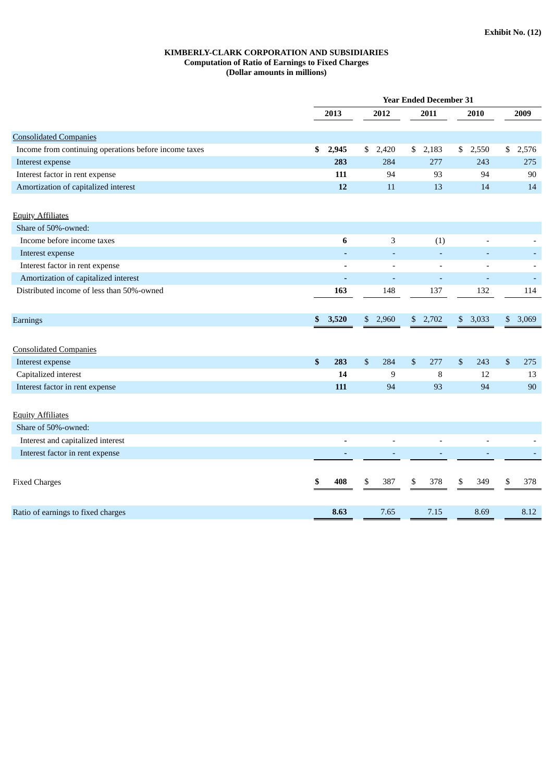## **KIMBERLY-CLARK CORPORATION AND SUBSIDIARIES Computation of Ratio of Earnings to Fixed Charges (Dollar amounts in millions)**

|                                                       |             | <b>Year Ended December 31</b>  |                          |                       |                       |  |  |  |
|-------------------------------------------------------|-------------|--------------------------------|--------------------------|-----------------------|-----------------------|--|--|--|
|                                                       | 2013        | 2012                           | 2011                     | 2010                  | 2009                  |  |  |  |
| <b>Consolidated Companies</b>                         |             |                                |                          |                       |                       |  |  |  |
| Income from continuing operations before income taxes | \$<br>2,945 | 2,420<br>\$                    | \$<br>2,183              | \$<br>2,550           | 2,576<br>\$           |  |  |  |
| Interest expense                                      | 283         | 284                            | 277                      | 243                   | 275                   |  |  |  |
| Interest factor in rent expense                       | 111         | 94                             | 93                       | 94                    | 90                    |  |  |  |
| Amortization of capitalized interest                  | 12          | 11                             | 13                       | 14                    | 14                    |  |  |  |
| <b>Equity Affiliates</b>                              |             |                                |                          |                       |                       |  |  |  |
| Share of 50%-owned:                                   |             |                                |                          |                       |                       |  |  |  |
| Income before income taxes                            |             | $\bf 6$<br>3                   | (1)                      |                       |                       |  |  |  |
| Interest expense                                      |             | $\blacksquare$<br>÷.           | $\sim$                   | $\overline{a}$        |                       |  |  |  |
| Interest factor in rent expense                       |             | ÷,<br>$\overline{\phantom{a}}$ | $\overline{\phantom{a}}$ |                       |                       |  |  |  |
| Amortization of capitalized interest                  |             |                                | Ē,                       | ÷,                    |                       |  |  |  |
| Distributed income of less than 50%-owned             | 163         | 148                            | 137                      | 132                   | 114                   |  |  |  |
| Earnings                                              | 3,520<br>\$ | 2,960<br>\$                    | \$2,702                  | 3,033<br>$\mathbb{S}$ | 3,069<br>\$           |  |  |  |
|                                                       |             |                                |                          |                       |                       |  |  |  |
| <b>Consolidated Companies</b>                         | \$<br>283   | \$<br>284                      | \$<br>277                | \$<br>243             | $\mathfrak{S}$<br>275 |  |  |  |
| Interest expense<br>Capitalized interest              | 14          | 9                              | 8                        | 12                    | 13                    |  |  |  |
| Interest factor in rent expense                       | 111         | 94                             | 93                       | 94                    | 90                    |  |  |  |
|                                                       |             |                                |                          |                       |                       |  |  |  |
| <b>Equity Affiliates</b>                              |             |                                |                          |                       |                       |  |  |  |
| Share of 50%-owned:                                   |             |                                |                          |                       |                       |  |  |  |
| Interest and capitalized interest                     |             | $\overline{a}$                 |                          |                       |                       |  |  |  |
| Interest factor in rent expense                       |             | $\overline{\phantom{a}}$<br>٠  | ٠                        | ٠                     |                       |  |  |  |
| <b>Fixed Charges</b>                                  | 408<br>\$   | \$<br>387                      | \$<br>378                | \$<br>349             | \$<br>378             |  |  |  |
| Ratio of earnings to fixed charges                    | 8.63        | 7.65                           | 7.15                     | 8.69                  | 8.12                  |  |  |  |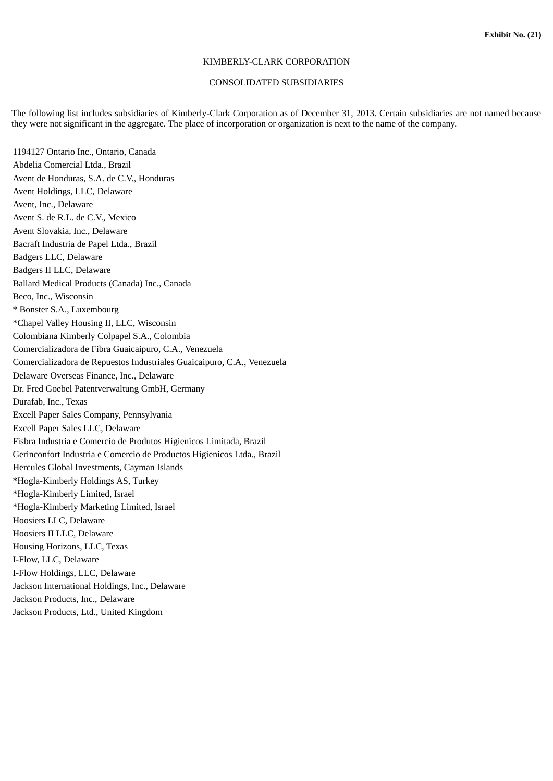## KIMBERLY-CLARK CORPORATION

# CONSOLIDATED SUBSIDIARIES

The following list includes subsidiaries of Kimberly-Clark Corporation as of December 31, 2013. Certain subsidiaries are not named because they were not significant in the aggregate. The place of incorporation or organization is next to the name of the company.

1194127 Ontario Inc., Ontario, Canada Abdelia Comercial Ltda., Brazil Avent de Honduras, S.A. de C.V., Honduras Avent Holdings, LLC, Delaware Avent, Inc., Delaware Avent S. de R.L. de C.V., Mexico Avent Slovakia, Inc., Delaware Bacraft Industria de Papel Ltda., Brazil Badgers LLC, Delaware Badgers II LLC, Delaware Ballard Medical Products (Canada) Inc., Canada Beco, Inc., Wisconsin \* Bonster S.A., Luxembourg \*Chapel Valley Housing II, LLC, Wisconsin Colombiana Kimberly Colpapel S.A., Colombia Comercializadora de Fibra Guaicaipuro, C.A., Venezuela Comercializadora de Repuestos Industriales Guaicaipuro, C.A., Venezuela Delaware Overseas Finance, Inc., Delaware Dr. Fred Goebel Patentverwaltung GmbH, Germany Durafab, Inc., Texas Excell Paper Sales Company, Pennsylvania Excell Paper Sales LLC, Delaware Fisbra Industria e Comercio de Produtos Higienicos Limitada, Brazil Gerinconfort Industria e Comercio de Productos Higienicos Ltda., Brazil Hercules Global Investments, Cayman Islands \*Hogla-Kimberly Holdings AS, Turkey \*Hogla-Kimberly Limited, Israel \*Hogla-Kimberly Marketing Limited, Israel Hoosiers LLC, Delaware Hoosiers II LLC, Delaware Housing Horizons, LLC, Texas I-Flow, LLC, Delaware I-Flow Holdings, LLC, Delaware Jackson International Holdings, Inc., Delaware Jackson Products, Inc., Delaware Jackson Products, Ltd., United Kingdom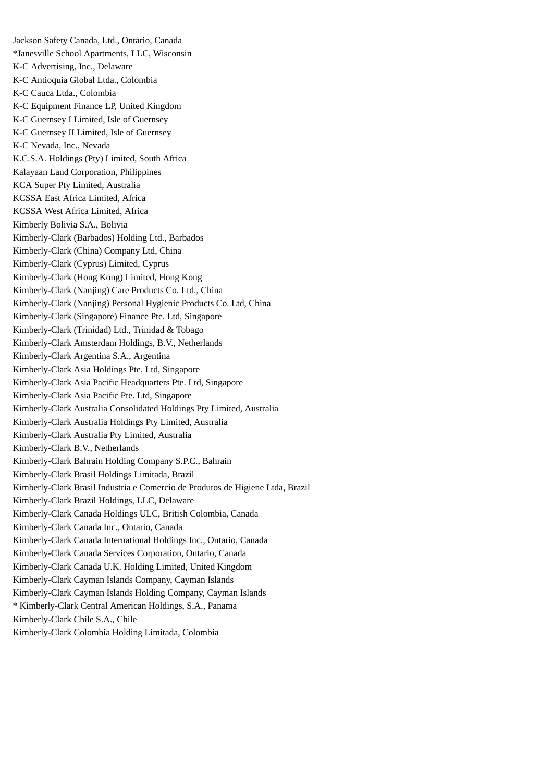Jackson Safety Canada, Ltd., Ontario, Canada \*Janesville School Apartments, LLC, Wisconsin K-C Advertising, Inc., Delaware K-C Antioquia Global Ltda., Colombia K-C Cauca Ltda., Colombia K-C Equipment Finance LP, United Kingdom K-C Guernsey I Limited, Isle of Guernsey K-C Guernsey II Limited, Isle of Guernsey K-C Nevada, Inc., Nevada K.C.S.A. Holdings (Pty) Limited, South Africa Kalayaan Land Corporation, Philippines KCA Super Pty Limited, Australia KCSSA East Africa Limited, Africa KCSSA West Africa Limited, Africa Kimberly Bolivia S.A., Bolivia Kimberly-Clark (Barbados) Holding Ltd., Barbados Kimberly-Clark (China) Company Ltd, China Kimberly-Clark (Cyprus) Limited, Cyprus Kimberly-Clark (Hong Kong) Limited, Hong Kong Kimberly-Clark (Nanjing) Care Products Co. Ltd., China Kimberly-Clark (Nanjing) Personal Hygienic Products Co. Ltd, China Kimberly-Clark (Singapore) Finance Pte. Ltd, Singapore Kimberly-Clark (Trinidad) Ltd., Trinidad & Tobago Kimberly-Clark Amsterdam Holdings, B.V., Netherlands Kimberly-Clark Argentina S.A., Argentina Kimberly-Clark Asia Holdings Pte. Ltd, Singapore Kimberly-Clark Asia Pacific Headquarters Pte. Ltd, Singapore Kimberly-Clark Asia Pacific Pte. Ltd, Singapore Kimberly-Clark Australia Consolidated Holdings Pty Limited, Australia Kimberly-Clark Australia Holdings Pty Limited, Australia Kimberly-Clark Australia Pty Limited, Australia Kimberly-Clark B.V., Netherlands Kimberly-Clark Bahrain Holding Company S.P.C., Bahrain Kimberly-Clark Brasil Holdings Limitada, Brazil Kimberly-Clark Brasil Industria e Comercio de Produtos de Higiene Ltda, Brazil Kimberly-Clark Brazil Holdings, LLC, Delaware Kimberly-Clark Canada Holdings ULC, British Colombia, Canada Kimberly-Clark Canada Inc., Ontario, Canada Kimberly-Clark Canada International Holdings Inc., Ontario, Canada Kimberly-Clark Canada Services Corporation, Ontario, Canada Kimberly-Clark Canada U.K. Holding Limited, United Kingdom Kimberly-Clark Cayman Islands Company, Cayman Islands Kimberly-Clark Cayman Islands Holding Company, Cayman Islands \* Kimberly-Clark Central American Holdings, S.A., Panama Kimberly-Clark Chile S.A., Chile Kimberly-Clark Colombia Holding Limitada, Colombia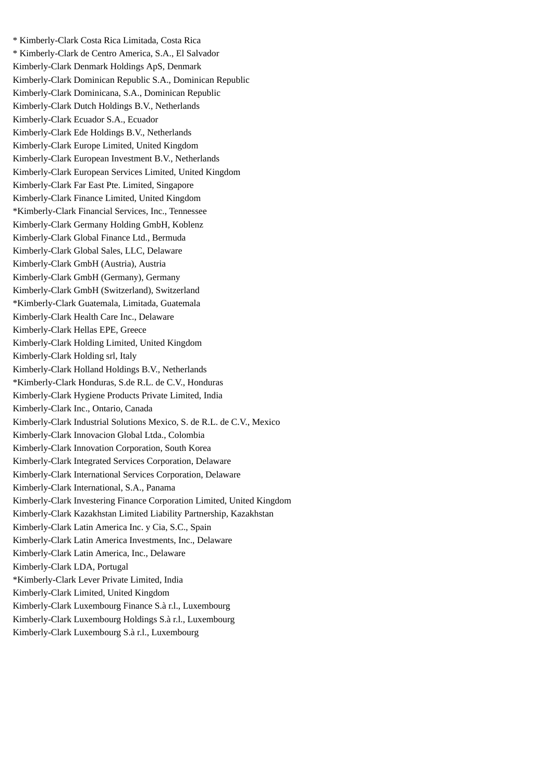\* Kimberly-Clark Costa Rica Limitada, Costa Rica \* Kimberly-Clark de Centro America, S.A., El Salvador Kimberly-Clark Denmark Holdings ApS, Denmark Kimberly-Clark Dominican Republic S.A., Dominican Republic Kimberly-Clark Dominicana, S.A., Dominican Republic Kimberly-Clark Dutch Holdings B.V., Netherlands Kimberly-Clark Ecuador S.A., Ecuador Kimberly-Clark Ede Holdings B.V., Netherlands Kimberly-Clark Europe Limited, United Kingdom Kimberly-Clark European Investment B.V., Netherlands Kimberly-Clark European Services Limited, United Kingdom Kimberly-Clark Far East Pte. Limited, Singapore Kimberly-Clark Finance Limited, United Kingdom \*Kimberly-Clark Financial Services, Inc., Tennessee Kimberly-Clark Germany Holding GmbH, Koblenz Kimberly-Clark Global Finance Ltd., Bermuda Kimberly-Clark Global Sales, LLC, Delaware Kimberly-Clark GmbH (Austria), Austria Kimberly-Clark GmbH (Germany), Germany Kimberly-Clark GmbH (Switzerland), Switzerland \*Kimberly-Clark Guatemala, Limitada, Guatemala Kimberly-Clark Health Care Inc., Delaware Kimberly-Clark Hellas EPE, Greece Kimberly-Clark Holding Limited, United Kingdom Kimberly-Clark Holding srl, Italy Kimberly-Clark Holland Holdings B.V., Netherlands \*Kimberly-Clark Honduras, S.de R.L. de C.V., Honduras Kimberly-Clark Hygiene Products Private Limited, India Kimberly-Clark Inc., Ontario, Canada Kimberly-Clark Industrial Solutions Mexico, S. de R.L. de C.V., Mexico Kimberly-Clark Innovacion Global Ltda., Colombia Kimberly-Clark Innovation Corporation, South Korea Kimberly-Clark Integrated Services Corporation, Delaware Kimberly-Clark International Services Corporation, Delaware Kimberly-Clark International, S.A., Panama Kimberly-Clark Investering Finance Corporation Limited, United Kingdom Kimberly-Clark Kazakhstan Limited Liability Partnership, Kazakhstan Kimberly-Clark Latin America Inc. y Cia, S.C., Spain Kimberly-Clark Latin America Investments, Inc., Delaware Kimberly-Clark Latin America, Inc., Delaware Kimberly-Clark LDA, Portugal \*Kimberly-Clark Lever Private Limited, India Kimberly-Clark Limited, United Kingdom Kimberly-Clark Luxembourg Finance S.à r.l., Luxembourg Kimberly-Clark Luxembourg Holdings S.à r.l., Luxembourg Kimberly-Clark Luxembourg S.à r.l., Luxembourg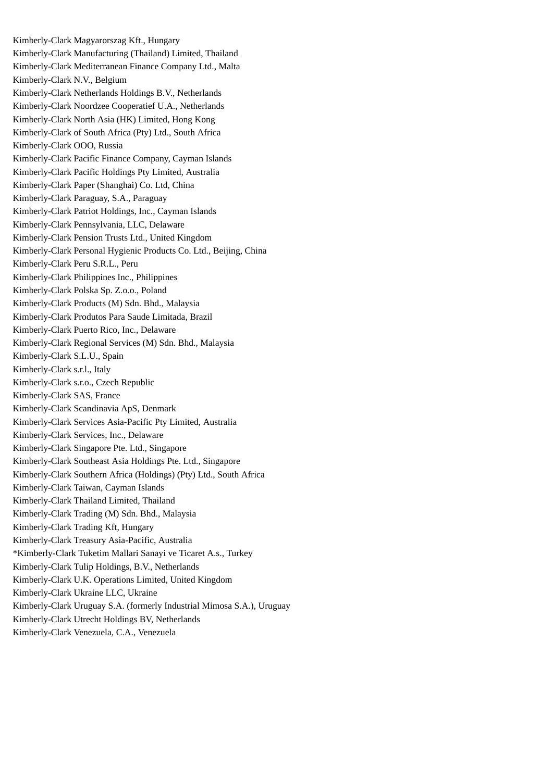Kimberly-Clark Magyarorszag Kft., Hungary Kimberly-Clark Manufacturing (Thailand) Limited, Thailand Kimberly-Clark Mediterranean Finance Company Ltd., Malta Kimberly-Clark N.V., Belgium Kimberly-Clark Netherlands Holdings B.V., Netherlands Kimberly-Clark Noordzee Cooperatief U.A., Netherlands Kimberly-Clark North Asia (HK) Limited, Hong Kong Kimberly-Clark of South Africa (Pty) Ltd., South Africa Kimberly-Clark OOO, Russia Kimberly-Clark Pacific Finance Company, Cayman Islands Kimberly-Clark Pacific Holdings Pty Limited, Australia Kimberly-Clark Paper (Shanghai) Co. Ltd, China Kimberly-Clark Paraguay, S.A., Paraguay Kimberly-Clark Patriot Holdings, Inc., Cayman Islands Kimberly-Clark Pennsylvania, LLC, Delaware Kimberly-Clark Pension Trusts Ltd., United Kingdom Kimberly-Clark Personal Hygienic Products Co. Ltd., Beijing, China Kimberly-Clark Peru S.R.L., Peru Kimberly-Clark Philippines Inc., Philippines Kimberly-Clark Polska Sp. Z.o.o., Poland Kimberly-Clark Products (M) Sdn. Bhd., Malaysia Kimberly-Clark Produtos Para Saude Limitada, Brazil Kimberly-Clark Puerto Rico, Inc., Delaware Kimberly-Clark Regional Services (M) Sdn. Bhd., Malaysia Kimberly-Clark S.L.U., Spain Kimberly-Clark s.r.l., Italy Kimberly-Clark s.r.o., Czech Republic Kimberly-Clark SAS, France Kimberly-Clark Scandinavia ApS, Denmark Kimberly-Clark Services Asia-Pacific Pty Limited, Australia Kimberly-Clark Services, Inc., Delaware Kimberly-Clark Singapore Pte. Ltd., Singapore Kimberly-Clark Southeast Asia Holdings Pte. Ltd., Singapore Kimberly-Clark Southern Africa (Holdings) (Pty) Ltd., South Africa Kimberly-Clark Taiwan, Cayman Islands Kimberly-Clark Thailand Limited, Thailand Kimberly-Clark Trading (M) Sdn. Bhd., Malaysia Kimberly-Clark Trading Kft, Hungary Kimberly-Clark Treasury Asia-Pacific, Australia \*Kimberly-Clark Tuketim Mallari Sanayi ve Ticaret A.s., Turkey Kimberly-Clark Tulip Holdings, B.V., Netherlands Kimberly-Clark U.K. Operations Limited, United Kingdom Kimberly-Clark Ukraine LLC, Ukraine Kimberly-Clark Uruguay S.A. (formerly Industrial Mimosa S.A.), Uruguay Kimberly-Clark Utrecht Holdings BV, Netherlands Kimberly-Clark Venezuela, C.A., Venezuela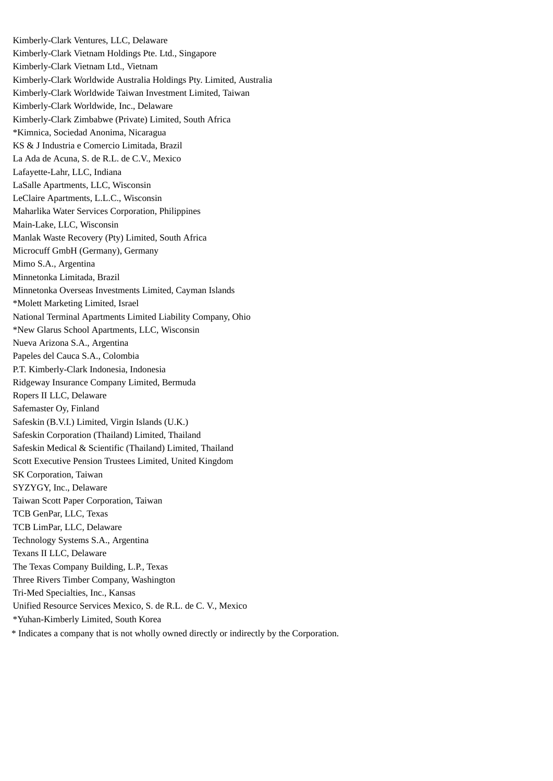Kimberly-Clark Ventures, LLC, Delaware Kimberly-Clark Vietnam Holdings Pte. Ltd., Singapore Kimberly-Clark Vietnam Ltd., Vietnam Kimberly-Clark Worldwide Australia Holdings Pty. Limited, Australia Kimberly-Clark Worldwide Taiwan Investment Limited, Taiwan Kimberly-Clark Worldwide, Inc., Delaware Kimberly-Clark Zimbabwe (Private) Limited, South Africa \*Kimnica, Sociedad Anonima, Nicaragua KS & J Industria e Comercio Limitada, Brazil La Ada de Acuna, S. de R.L. de C.V., Mexico Lafayette-Lahr, LLC, Indiana LaSalle Apartments, LLC, Wisconsin LeClaire Apartments, L.L.C., Wisconsin Maharlika Water Services Corporation, Philippines Main-Lake, LLC, Wisconsin Manlak Waste Recovery (Pty) Limited, South Africa Microcuff GmbH (Germany), Germany Mimo S.A., Argentina Minnetonka Limitada, Brazil Minnetonka Overseas Investments Limited, Cayman Islands \*Molett Marketing Limited, Israel National Terminal Apartments Limited Liability Company, Ohio \*New Glarus School Apartments, LLC, Wisconsin Nueva Arizona S.A., Argentina Papeles del Cauca S.A., Colombia P.T. Kimberly-Clark Indonesia, Indonesia Ridgeway Insurance Company Limited, Bermuda Ropers II LLC, Delaware Safemaster Oy, Finland Safeskin (B.V.I.) Limited, Virgin Islands (U.K.) Safeskin Corporation (Thailand) Limited, Thailand Safeskin Medical & Scientific (Thailand) Limited, Thailand Scott Executive Pension Trustees Limited, United Kingdom SK Corporation, Taiwan SYZYGY, Inc., Delaware Taiwan Scott Paper Corporation, Taiwan TCB GenPar, LLC, Texas TCB LimPar, LLC, Delaware Technology Systems S.A., Argentina Texans II LLC, Delaware The Texas Company Building, L.P., Texas Three Rivers Timber Company, Washington Tri-Med Specialties, Inc., Kansas Unified Resource Services Mexico, S. de R.L. de C. V., Mexico \*Yuhan-Kimberly Limited, South Korea \* Indicates a company that is not wholly owned directly or indirectly by the Corporation.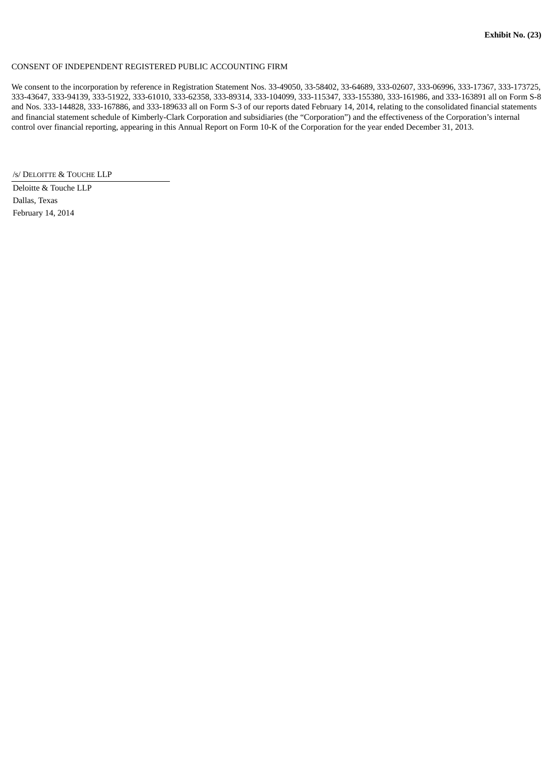# CONSENT OF INDEPENDENT REGISTERED PUBLIC ACCOUNTING FIRM

We consent to the incorporation by reference in Registration Statement Nos. 33-49050, 33-58402, 33-64689, 333-02607, 333-06996, 333-17367, 333-173725, 333-43647, 333-94139, 333-51922, 333-61010, 333-62358, 333-89314, 333-104099, 333-115347, 333-155380, 333-161986, and 333-163891 all on Form S-8 and Nos. 333-144828, 333-167886, and 333-189633 all on Form S-3 of our reports dated February 14, 2014, relating to the consolidated financial statements and financial statement schedule of Kimberly-Clark Corporation and subsidiaries (the "Corporation") and the effectiveness of the Corporation's internal control over financial reporting, appearing in this Annual Report on Form 10-K of the Corporation for the year ended December 31, 2013.

/s/ DELOITTE & TOUCHE LLP

Deloitte & Touche LLP Dallas, Texas February 14, 2014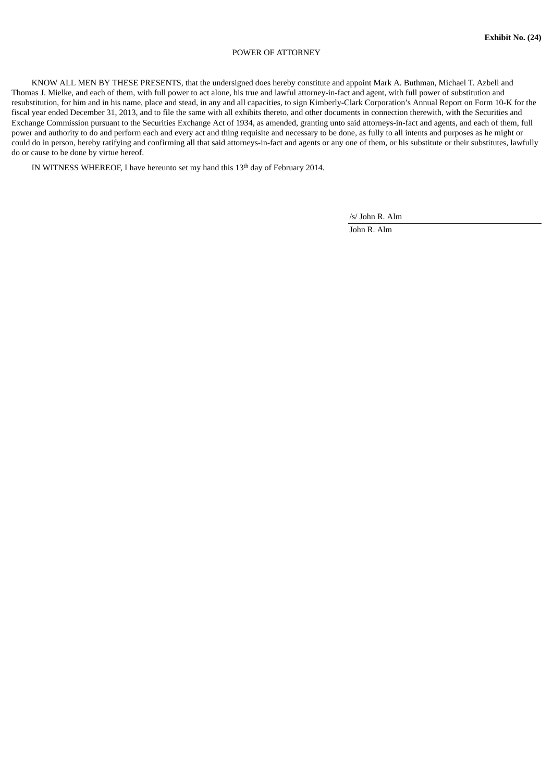KNOW ALL MEN BY THESE PRESENTS, that the undersigned does hereby constitute and appoint Mark A. Buthman, Michael T. Azbell and Thomas J. Mielke, and each of them, with full power to act alone, his true and lawful attorney-in-fact and agent, with full power of substitution and resubstitution, for him and in his name, place and stead, in any and all capacities, to sign Kimberly-Clark Corporation's Annual Report on Form 10-K for the fiscal year ended December 31, 2013, and to file the same with all exhibits thereto, and other documents in connection therewith, with the Securities and Exchange Commission pursuant to the Securities Exchange Act of 1934, as amended, granting unto said attorneys-in-fact and agents, and each of them, full power and authority to do and perform each and every act and thing requisite and necessary to be done, as fully to all intents and purposes as he might or could do in person, hereby ratifying and confirming all that said attorneys-in-fact and agents or any one of them, or his substitute or their substitutes, lawfully do or cause to be done by virtue hereof.

IN WITNESS WHEREOF, I have hereunto set my hand this  $13<sup>th</sup>$  day of February 2014.

/s/ John R. Alm

John R. Alm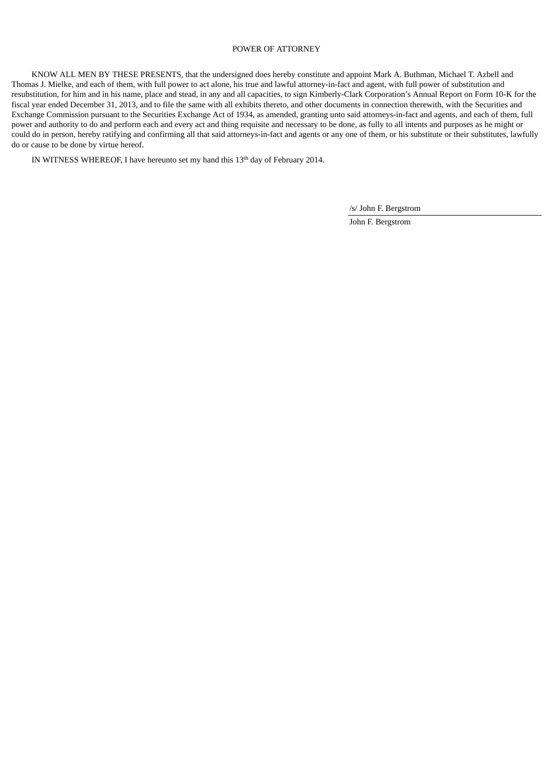KNOW ALL MEN BY THESE PRESENTS, that the undersigned does hereby constitute and appoint Mark A. Buthman, Michael T. Azbell and Thomas J. Mielke, and each of them, with full power to act alone, his true and lawful attorney-in-fact and agent, with full power of substitution and resubstitution, for him and in his name, place and stead, in any and all capacities, to sign Kimberly-Clark Corporation's Annual Report on Form 10-K for the fiscal year ended December 31, 2013, and to file the same with all exhibits thereto, and other documents in connection therewith, with the Securities and Exchange Commission pursuant to the Securities Exchange Act of 1934, as amended, granting unto said attorneys-in-fact and agents, and each of them, full power and authority to do and perform each and every act and thing requisite and necessary to be done, as fully to all intents and purposes as he might or could do in person, hereby ratifying and confirming all that said attorneys-in-fact and agents or any one of them, or his substitute or their substitutes, lawfully do or cause to be done by virtue hereof.

IN WITNESS WHEREOF, I have hereunto set my hand this 13<sup>th</sup> day of February 2014.

/s/ John F. Bergstrom

John F. Bergstrom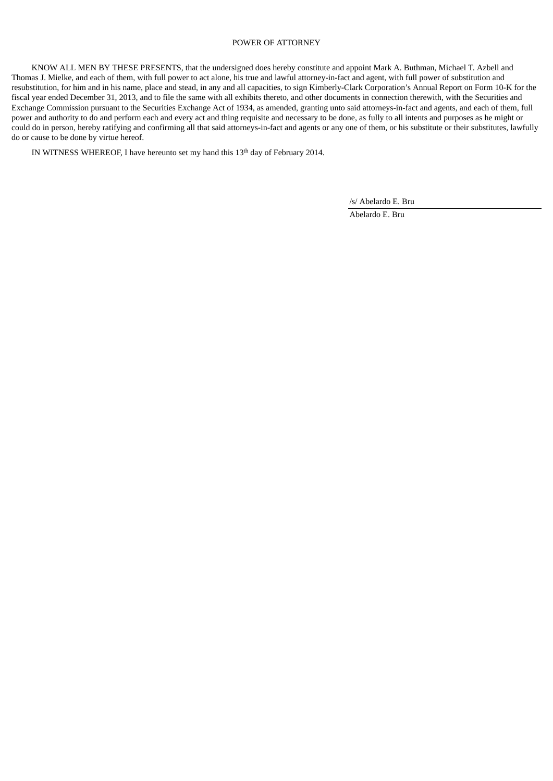KNOW ALL MEN BY THESE PRESENTS, that the undersigned does hereby constitute and appoint Mark A. Buthman, Michael T. Azbell and Thomas J. Mielke, and each of them, with full power to act alone, his true and lawful attorney-in-fact and agent, with full power of substitution and resubstitution, for him and in his name, place and stead, in any and all capacities, to sign Kimberly-Clark Corporation's Annual Report on Form 10-K for the fiscal year ended December 31, 2013, and to file the same with all exhibits thereto, and other documents in connection therewith, with the Securities and Exchange Commission pursuant to the Securities Exchange Act of 1934, as amended, granting unto said attorneys-in-fact and agents, and each of them, full power and authority to do and perform each and every act and thing requisite and necessary to be done, as fully to all intents and purposes as he might or could do in person, hereby ratifying and confirming all that said attorneys-in-fact and agents or any one of them, or his substitute or their substitutes, lawfully do or cause to be done by virtue hereof.

IN WITNESS WHEREOF, I have hereunto set my hand this 13<sup>th</sup> day of February 2014.

/s/ Abelardo E. Bru

Abelardo E. Bru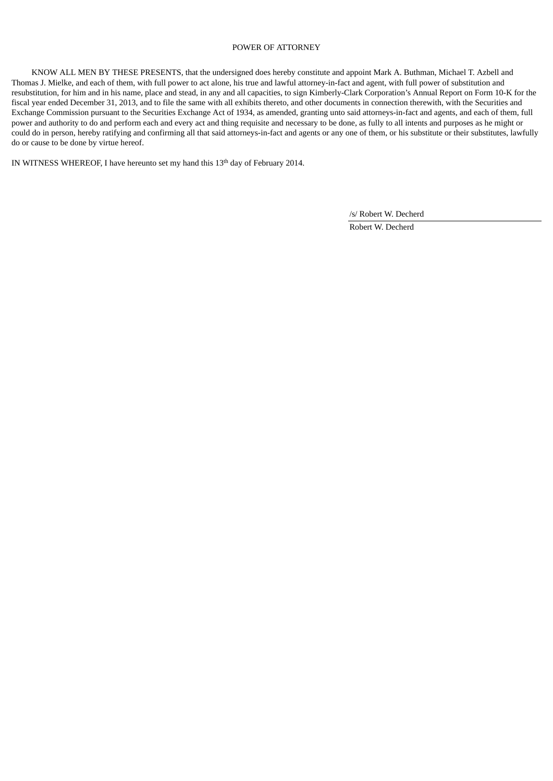KNOW ALL MEN BY THESE PRESENTS, that the undersigned does hereby constitute and appoint Mark A. Buthman, Michael T. Azbell and Thomas J. Mielke, and each of them, with full power to act alone, his true and lawful attorney-in-fact and agent, with full power of substitution and resubstitution, for him and in his name, place and stead, in any and all capacities, to sign Kimberly-Clark Corporation's Annual Report on Form 10-K for the fiscal year ended December 31, 2013, and to file the same with all exhibits thereto, and other documents in connection therewith, with the Securities and Exchange Commission pursuant to the Securities Exchange Act of 1934, as amended, granting unto said attorneys-in-fact and agents, and each of them, full power and authority to do and perform each and every act and thing requisite and necessary to be done, as fully to all intents and purposes as he might or could do in person, hereby ratifying and confirming all that said attorneys-in-fact and agents or any one of them, or his substitute or their substitutes, lawfully do or cause to be done by virtue hereof.

IN WITNESS WHEREOF, I have hereunto set my hand this 13<sup>th</sup> day of February 2014.

/s/ Robert W. Decherd

Robert W. Decherd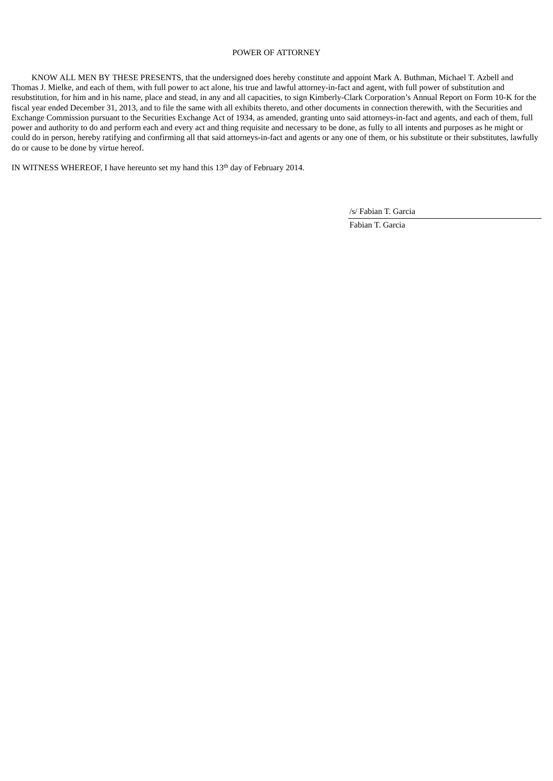KNOW ALL MEN BY THESE PRESENTS, that the undersigned does hereby constitute and appoint Mark A. Buthman, Michael T. Azbell and Thomas J. Mielke, and each of them, with full power to act alone, his true and lawful attorney-in-fact and agent, with full power of substitution and resubstitution, for him and in his name, place and stead, in any and all capacities, to sign Kimberly-Clark Corporation's Annual Report on Form 10-K for the fiscal year ended December 31, 2013, and to file the same with all exhibits thereto, and other documents in connection therewith, with the Securities and Exchange Commission pursuant to the Securities Exchange Act of 1934, as amended, granting unto said attorneys-in-fact and agents, and each of them, full power and authority to do and perform each and every act and thing requisite and necessary to be done, as fully to all intents and purposes as he might or could do in person, hereby ratifying and confirming all that said attorneys-in-fact and agents or any one of them, or his substitute or their substitutes, lawfully do or cause to be done by virtue hereof.

IN WITNESS WHEREOF, I have hereunto set my hand this  $13<sup>th</sup>$  day of February 2014.

/s/ Fabian T. Garcia

Fabian T. Garcia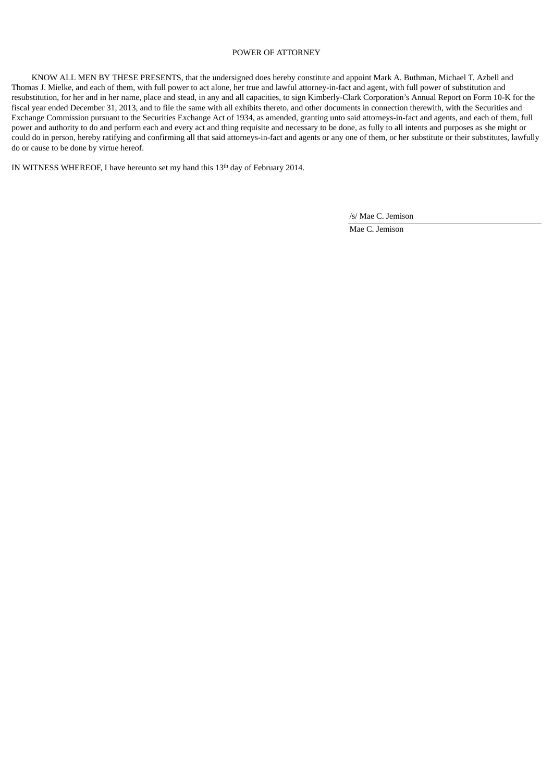KNOW ALL MEN BY THESE PRESENTS, that the undersigned does hereby constitute and appoint Mark A. Buthman, Michael T. Azbell and Thomas J. Mielke, and each of them, with full power to act alone, her true and lawful attorney-in-fact and agent, with full power of substitution and resubstitution, for her and in her name, place and stead, in any and all capacities, to sign Kimberly-Clark Corporation's Annual Report on Form 10-K for the fiscal year ended December 31, 2013, and to file the same with all exhibits thereto, and other documents in connection therewith, with the Securities and Exchange Commission pursuant to the Securities Exchange Act of 1934, as amended, granting unto said attorneys-in-fact and agents, and each of them, full power and authority to do and perform each and every act and thing requisite and necessary to be done, as fully to all intents and purposes as she might or could do in person, hereby ratifying and confirming all that said attorneys-in-fact and agents or any one of them, or her substitute or their substitutes, lawfully do or cause to be done by virtue hereof.

IN WITNESS WHEREOF, I have hereunto set my hand this  $13<sup>th</sup>$  day of February 2014.

/s/ Mae C. Jemison

Mae C. Jemison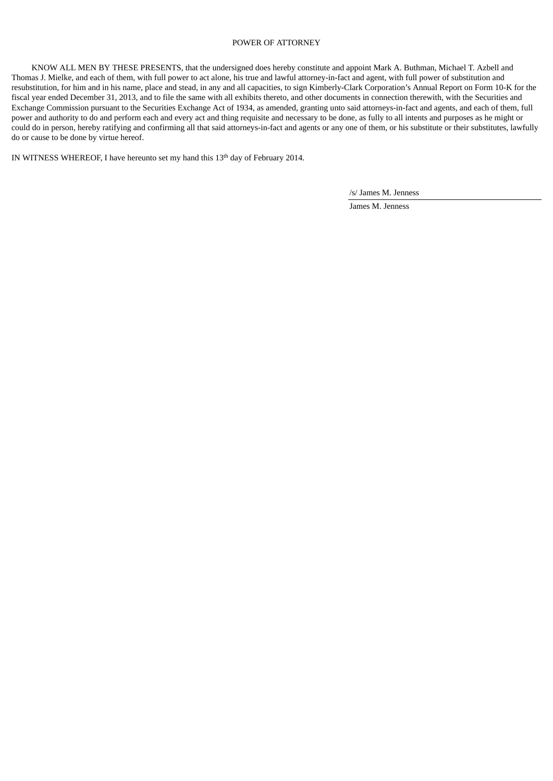KNOW ALL MEN BY THESE PRESENTS, that the undersigned does hereby constitute and appoint Mark A. Buthman, Michael T. Azbell and Thomas J. Mielke, and each of them, with full power to act alone, his true and lawful attorney-in-fact and agent, with full power of substitution and resubstitution, for him and in his name, place and stead, in any and all capacities, to sign Kimberly-Clark Corporation's Annual Report on Form 10-K for the fiscal year ended December 31, 2013, and to file the same with all exhibits thereto, and other documents in connection therewith, with the Securities and Exchange Commission pursuant to the Securities Exchange Act of 1934, as amended, granting unto said attorneys-in-fact and agents, and each of them, full power and authority to do and perform each and every act and thing requisite and necessary to be done, as fully to all intents and purposes as he might or could do in person, hereby ratifying and confirming all that said attorneys-in-fact and agents or any one of them, or his substitute or their substitutes, lawfully do or cause to be done by virtue hereof.

IN WITNESS WHEREOF, I have hereunto set my hand this  $13<sup>th</sup>$  day of February 2014.

/s/ James M. Jenness

James M. Jenness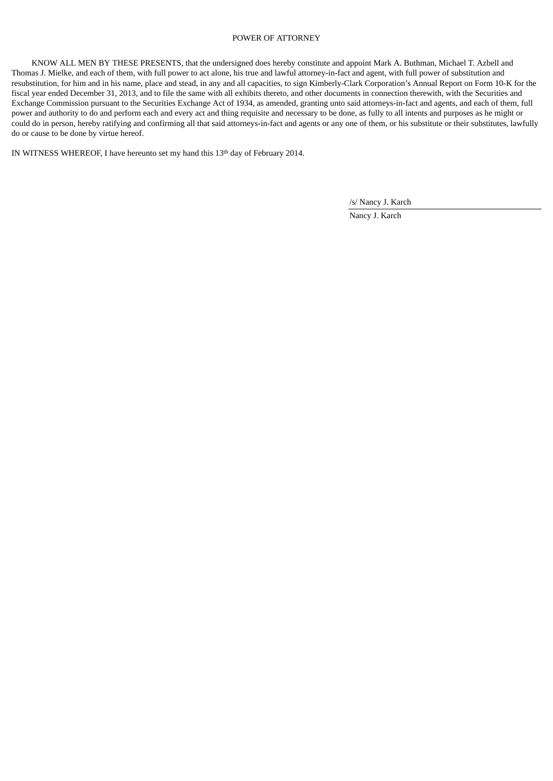KNOW ALL MEN BY THESE PRESENTS, that the undersigned does hereby constitute and appoint Mark A. Buthman, Michael T. Azbell and Thomas J. Mielke, and each of them, with full power to act alone, his true and lawful attorney-in-fact and agent, with full power of substitution and resubstitution, for him and in his name, place and stead, in any and all capacities, to sign Kimberly-Clark Corporation's Annual Report on Form 10-K for the fiscal year ended December 31, 2013, and to file the same with all exhibits thereto, and other documents in connection therewith, with the Securities and Exchange Commission pursuant to the Securities Exchange Act of 1934, as amended, granting unto said attorneys-in-fact and agents, and each of them, full power and authority to do and perform each and every act and thing requisite and necessary to be done, as fully to all intents and purposes as he might or could do in person, hereby ratifying and confirming all that said attorneys-in-fact and agents or any one of them, or his substitute or their substitutes, lawfully do or cause to be done by virtue hereof.

IN WITNESS WHEREOF, I have hereunto set my hand this 13<sup>th</sup> day of February 2014.

/s/ Nancy J. Karch

Nancy J. Karch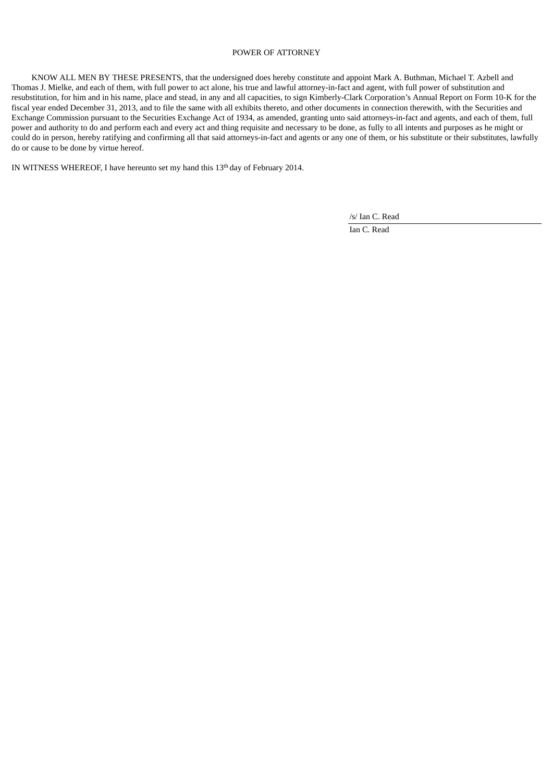KNOW ALL MEN BY THESE PRESENTS, that the undersigned does hereby constitute and appoint Mark A. Buthman, Michael T. Azbell and Thomas J. Mielke, and each of them, with full power to act alone, his true and lawful attorney-in-fact and agent, with full power of substitution and resubstitution, for him and in his name, place and stead, in any and all capacities, to sign Kimberly-Clark Corporation's Annual Report on Form 10-K for the fiscal year ended December 31, 2013, and to file the same with all exhibits thereto, and other documents in connection therewith, with the Securities and Exchange Commission pursuant to the Securities Exchange Act of 1934, as amended, granting unto said attorneys-in-fact and agents, and each of them, full power and authority to do and perform each and every act and thing requisite and necessary to be done, as fully to all intents and purposes as he might or could do in person, hereby ratifying and confirming all that said attorneys-in-fact and agents or any one of them, or his substitute or their substitutes, lawfully do or cause to be done by virtue hereof.

IN WITNESS WHEREOF, I have hereunto set my hand this  $13<sup>th</sup>$  day of February 2014.

/s/ Ian C. Read

Ian C. Read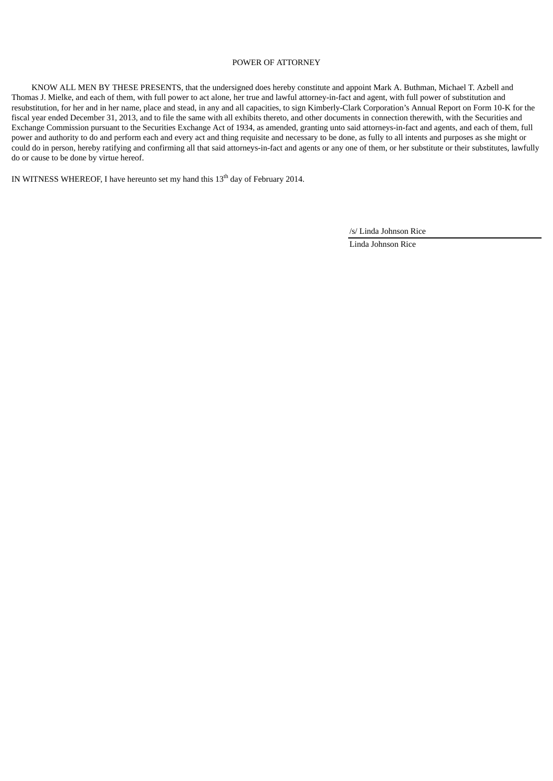KNOW ALL MEN BY THESE PRESENTS, that the undersigned does hereby constitute and appoint Mark A. Buthman, Michael T. Azbell and Thomas J. Mielke, and each of them, with full power to act alone, her true and lawful attorney-in-fact and agent, with full power of substitution and resubstitution, for her and in her name, place and stead, in any and all capacities, to sign Kimberly-Clark Corporation's Annual Report on Form 10-K for the fiscal year ended December 31, 2013, and to file the same with all exhibits thereto, and other documents in connection therewith, with the Securities and Exchange Commission pursuant to the Securities Exchange Act of 1934, as amended, granting unto said attorneys-in-fact and agents, and each of them, full power and authority to do and perform each and every act and thing requisite and necessary to be done, as fully to all intents and purposes as she might or could do in person, hereby ratifying and confirming all that said attorneys-in-fact and agents or any one of them, or her substitute or their substitutes, lawfully do or cause to be done by virtue hereof.

IN WITNESS WHEREOF, I have hereunto set my hand this  $13<sup>th</sup>$  day of February 2014.

/s/ Linda Johnson Rice

Linda Johnson Rice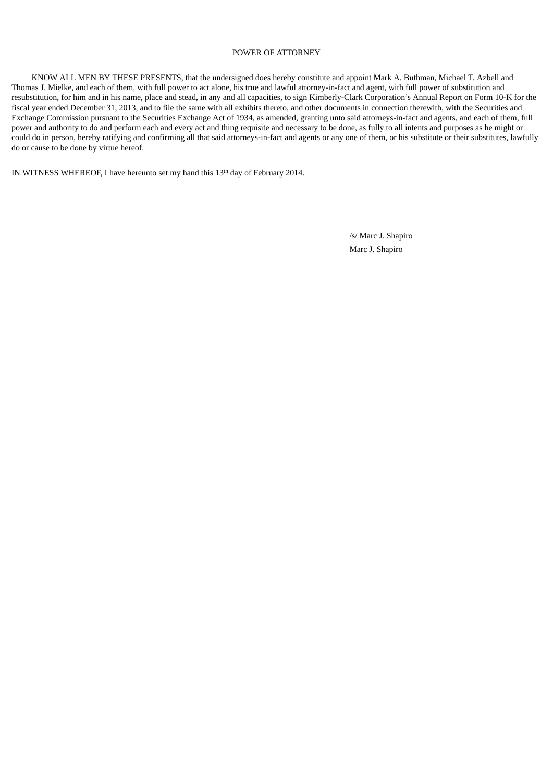KNOW ALL MEN BY THESE PRESENTS, that the undersigned does hereby constitute and appoint Mark A. Buthman, Michael T. Azbell and Thomas J. Mielke, and each of them, with full power to act alone, his true and lawful attorney-in-fact and agent, with full power of substitution and resubstitution, for him and in his name, place and stead, in any and all capacities, to sign Kimberly-Clark Corporation's Annual Report on Form 10-K for the fiscal year ended December 31, 2013, and to file the same with all exhibits thereto, and other documents in connection therewith, with the Securities and Exchange Commission pursuant to the Securities Exchange Act of 1934, as amended, granting unto said attorneys-in-fact and agents, and each of them, full power and authority to do and perform each and every act and thing requisite and necessary to be done, as fully to all intents and purposes as he might or could do in person, hereby ratifying and confirming all that said attorneys-in-fact and agents or any one of them, or his substitute or their substitutes, lawfully do or cause to be done by virtue hereof.

IN WITNESS WHEREOF, I have hereunto set my hand this  $13<sup>th</sup>$  day of February 2014.

/s/ Marc J. Shapiro Marc J. Shapiro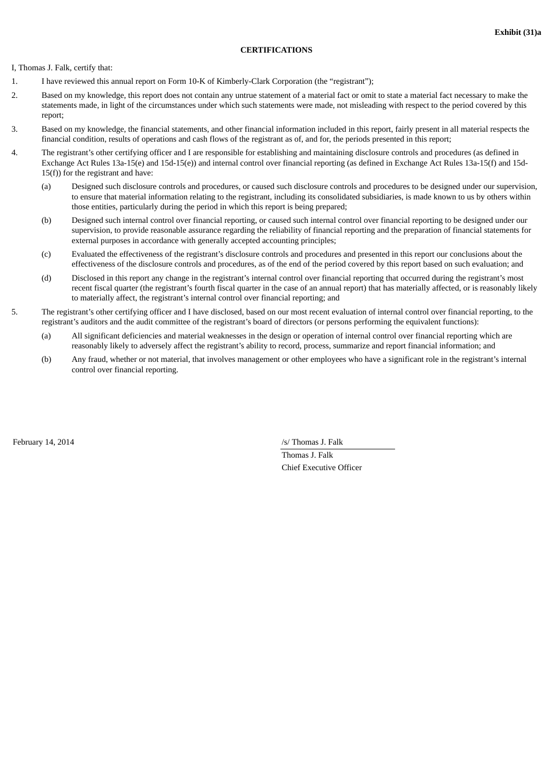#### **CERTIFICATIONS**

I, Thomas J. Falk, certify that:

- 1. I have reviewed this annual report on Form 10-K of Kimberly-Clark Corporation (the "registrant");
- 2. Based on my knowledge, this report does not contain any untrue statement of a material fact or omit to state a material fact necessary to make the statements made, in light of the circumstances under which such statements were made, not misleading with respect to the period covered by this report;
- 3. Based on my knowledge, the financial statements, and other financial information included in this report, fairly present in all material respects the financial condition, results of operations and cash flows of the registrant as of, and for, the periods presented in this report;
- 4. The registrant's other certifying officer and I are responsible for establishing and maintaining disclosure controls and procedures (as defined in Exchange Act Rules 13a-15(e) and 15d-15(e)) and internal control over financial reporting (as defined in Exchange Act Rules 13a-15(f) and 15d- $15(f)$ ) for the registrant and have:
	- (a) Designed such disclosure controls and procedures, or caused such disclosure controls and procedures to be designed under our supervision, to ensure that material information relating to the registrant, including its consolidated subsidiaries, is made known to us by others within those entities, particularly during the period in which this report is being prepared;
	- (b) Designed such internal control over financial reporting, or caused such internal control over financial reporting to be designed under our supervision, to provide reasonable assurance regarding the reliability of financial reporting and the preparation of financial statements for external purposes in accordance with generally accepted accounting principles;
	- (c) Evaluated the effectiveness of the registrant's disclosure controls and procedures and presented in this report our conclusions about the effectiveness of the disclosure controls and procedures, as of the end of the period covered by this report based on such evaluation; and
	- (d) Disclosed in this report any change in the registrant's internal control over financial reporting that occurred during the registrant's most recent fiscal quarter (the registrant's fourth fiscal quarter in the case of an annual report) that has materially affected, or is reasonably likely to materially affect, the registrant's internal control over financial reporting; and
- 5. The registrant's other certifying officer and I have disclosed, based on our most recent evaluation of internal control over financial reporting, to the registrant's auditors and the audit committee of the registrant's board of directors (or persons performing the equivalent functions):
	- (a) All significant deficiencies and material weaknesses in the design or operation of internal control over financial reporting which are reasonably likely to adversely affect the registrant's ability to record, process, summarize and report financial information; and
	- (b) Any fraud, whether or not material, that involves management or other employees who have a significant role in the registrant's internal control over financial reporting.

February 14, 2014 /s/ Thomas J. Falk

Thomas J. Falk Chief Executive Officer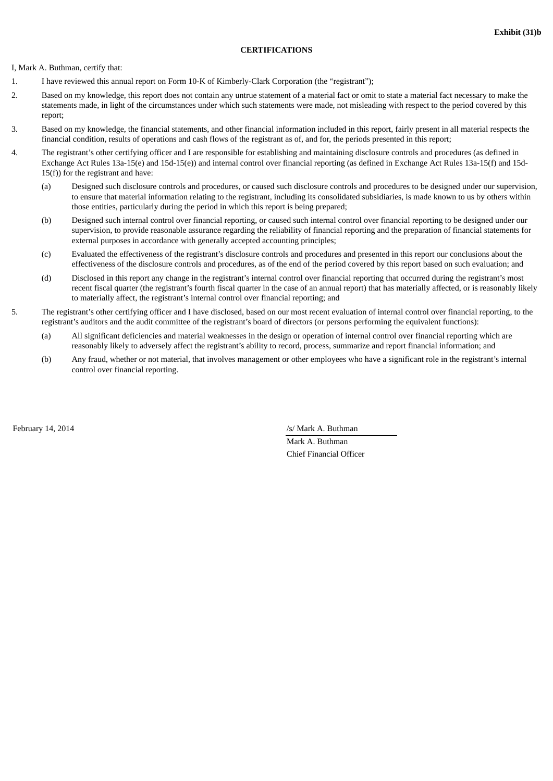#### **CERTIFICATIONS**

I, Mark A. Buthman, certify that:

- 1. I have reviewed this annual report on Form 10-K of Kimberly-Clark Corporation (the "registrant");
- 2. Based on my knowledge, this report does not contain any untrue statement of a material fact or omit to state a material fact necessary to make the statements made, in light of the circumstances under which such statements were made, not misleading with respect to the period covered by this report;
- 3. Based on my knowledge, the financial statements, and other financial information included in this report, fairly present in all material respects the financial condition, results of operations and cash flows of the registrant as of, and for, the periods presented in this report;
- 4. The registrant's other certifying officer and I are responsible for establishing and maintaining disclosure controls and procedures (as defined in Exchange Act Rules 13a-15(e) and 15d-15(e)) and internal control over financial reporting (as defined in Exchange Act Rules 13a-15(f) and 15d-15(f)) for the registrant and have:
	- (a) Designed such disclosure controls and procedures, or caused such disclosure controls and procedures to be designed under our supervision, to ensure that material information relating to the registrant, including its consolidated subsidiaries, is made known to us by others within those entities, particularly during the period in which this report is being prepared;
	- (b) Designed such internal control over financial reporting, or caused such internal control over financial reporting to be designed under our supervision, to provide reasonable assurance regarding the reliability of financial reporting and the preparation of financial statements for external purposes in accordance with generally accepted accounting principles;
	- (c) Evaluated the effectiveness of the registrant's disclosure controls and procedures and presented in this report our conclusions about the effectiveness of the disclosure controls and procedures, as of the end of the period covered by this report based on such evaluation; and
	- (d) Disclosed in this report any change in the registrant's internal control over financial reporting that occurred during the registrant's most recent fiscal quarter (the registrant's fourth fiscal quarter in the case of an annual report) that has materially affected, or is reasonably likely to materially affect, the registrant's internal control over financial reporting; and
- 5. The registrant's other certifying officer and I have disclosed, based on our most recent evaluation of internal control over financial reporting, to the registrant's auditors and the audit committee of the registrant's board of directors (or persons performing the equivalent functions):
	- (a) All significant deficiencies and material weaknesses in the design or operation of internal control over financial reporting which are reasonably likely to adversely affect the registrant's ability to record, process, summarize and report financial information; and
	- (b) Any fraud, whether or not material, that involves management or other employees who have a significant role in the registrant's internal control over financial reporting.

February 14, 2014 /s/ Mark A. Buthman

Mark A. Buthman Chief Financial Officer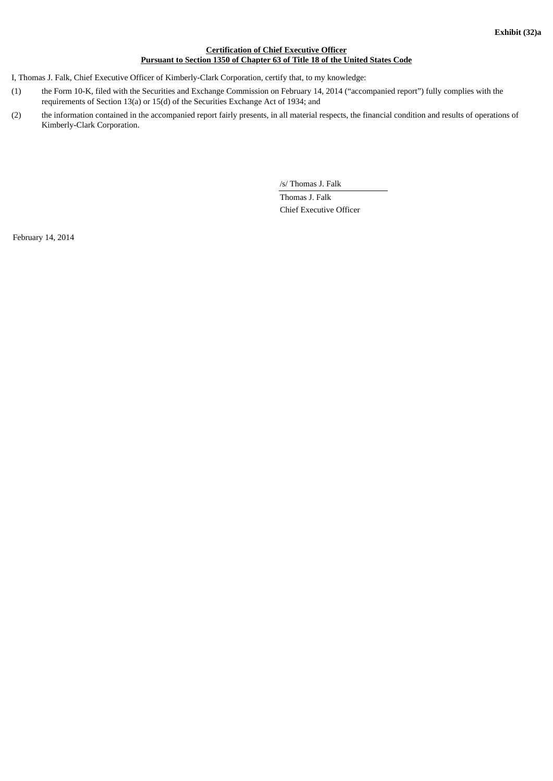## **Certification of Chief Executive Officer Pursuant to Section 1350 of Chapter 63 of Title 18 of the United States Code**

I, Thomas J. Falk, Chief Executive Officer of Kimberly-Clark Corporation, certify that, to my knowledge:

- (1) the Form 10-K, filed with the Securities and Exchange Commission on February 14, 2014 ("accompanied report") fully complies with the requirements of Section 13(a) or 15(d) of the Securities Exchange Act of 1934; and
- (2) the information contained in the accompanied report fairly presents, in all material respects, the financial condition and results of operations of Kimberly-Clark Corporation.

/s/ Thomas J. Falk

Thomas J. Falk Chief Executive Officer

February 14, 2014